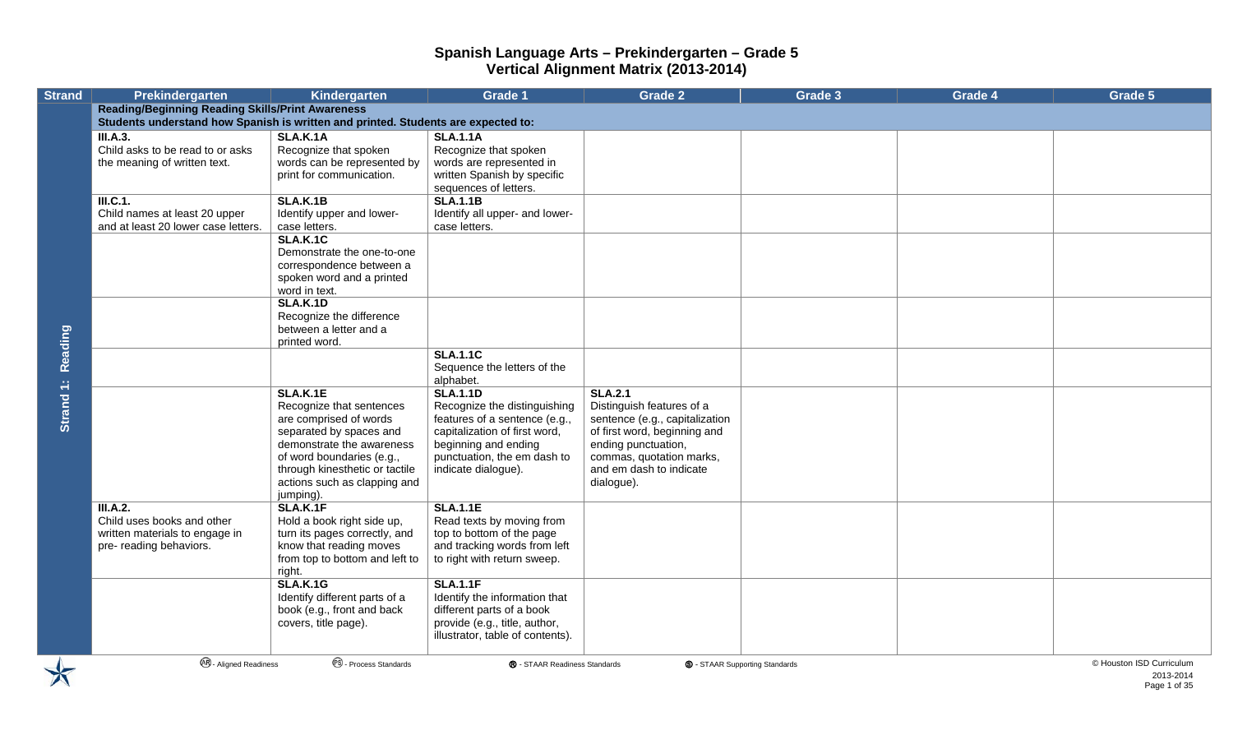| <b>Reading/Beginning Reading Skills/Print Awareness</b><br>Students understand how Spanish is written and printed. Students are expected to:<br>III.A.3.<br><b>SLA.K.1A</b><br><b>SLA.1.1A</b><br>Child asks to be read to or asks<br>Recognize that spoken<br>Recognize that spoken<br>words can be represented by<br>words are represented in<br>the meaning of written text.<br>written Spanish by specific<br>print for communication.<br>sequences of letters.<br><b>SLA.K.1B</b><br><b>SLA.1.1B</b><br>ILC.1.<br>Child names at least 20 upper<br>Identify upper and lower-<br>Identify all upper- and lower-<br>and at least 20 lower case letters.<br>case letters.<br>case letters.<br><b>SLA.K.1C</b><br>Demonstrate the one-to-one<br>correspondence between a<br>spoken word and a printed<br>word in text.<br><b>SLA.K.1D</b><br>Recognize the difference<br>between a letter and a<br>Reading<br>printed word.<br><b>SLA.1.1C</b><br>Sequence the letters of the<br>alphabet.<br>Strand 1:<br><b>SLA.K.1E</b><br><b>SLA.1.1D</b><br><b>SLA.2.1</b><br>Distinguish features of a<br>Recognize that sentences<br>Recognize the distinguishing<br>are comprised of words<br>features of a sentence (e.g.,<br>sentence (e.g., capitalization<br>separated by spaces and<br>capitalization of first word,<br>of first word, beginning and<br>demonstrate the awareness<br>beginning and ending<br>ending punctuation,<br>punctuation, the em dash to<br>of word boundaries (e.g.,<br>commas, quotation marks,<br>and em dash to indicate<br>through kinesthetic or tactile<br>indicate dialogue).<br>actions such as clapping and<br>dialogue).<br>jumping).<br>SLA.K.1F<br><b>SLA.1.1E</b><br>III.A.2.<br>Read texts by moving from<br>Child uses books and other<br>Hold a book right side up,<br>top to bottom of the page<br>written materials to engage in<br>turn its pages correctly, and<br>know that reading moves<br>and tracking words from left<br>pre- reading behaviors.<br>from top to bottom and left to<br>to right with return sweep.<br>right.<br><b>SLA.K.1G</b><br><b>SLA.1.1F</b> | <b>Strand</b> | <b>Prekindergarten</b> | Kindergarten                  | <b>Grade 1</b>                | <b>Grade 2</b> | Grade 3 | Grade 4 | Grade 5                               |
|------------------------------------------------------------------------------------------------------------------------------------------------------------------------------------------------------------------------------------------------------------------------------------------------------------------------------------------------------------------------------------------------------------------------------------------------------------------------------------------------------------------------------------------------------------------------------------------------------------------------------------------------------------------------------------------------------------------------------------------------------------------------------------------------------------------------------------------------------------------------------------------------------------------------------------------------------------------------------------------------------------------------------------------------------------------------------------------------------------------------------------------------------------------------------------------------------------------------------------------------------------------------------------------------------------------------------------------------------------------------------------------------------------------------------------------------------------------------------------------------------------------------------------------------------------------------------------------------------------------------------------------------------------------------------------------------------------------------------------------------------------------------------------------------------------------------------------------------------------------------------------------------------------------------------------------------------------------------------------------------------------------------------------------------------------------------------------------------------------------|---------------|------------------------|-------------------------------|-------------------------------|----------------|---------|---------|---------------------------------------|
|                                                                                                                                                                                                                                                                                                                                                                                                                                                                                                                                                                                                                                                                                                                                                                                                                                                                                                                                                                                                                                                                                                                                                                                                                                                                                                                                                                                                                                                                                                                                                                                                                                                                                                                                                                                                                                                                                                                                                                                                                                                                                                                  |               |                        |                               |                               |                |         |         |                                       |
|                                                                                                                                                                                                                                                                                                                                                                                                                                                                                                                                                                                                                                                                                                                                                                                                                                                                                                                                                                                                                                                                                                                                                                                                                                                                                                                                                                                                                                                                                                                                                                                                                                                                                                                                                                                                                                                                                                                                                                                                                                                                                                                  |               |                        |                               |                               |                |         |         |                                       |
|                                                                                                                                                                                                                                                                                                                                                                                                                                                                                                                                                                                                                                                                                                                                                                                                                                                                                                                                                                                                                                                                                                                                                                                                                                                                                                                                                                                                                                                                                                                                                                                                                                                                                                                                                                                                                                                                                                                                                                                                                                                                                                                  |               |                        |                               |                               |                |         |         |                                       |
|                                                                                                                                                                                                                                                                                                                                                                                                                                                                                                                                                                                                                                                                                                                                                                                                                                                                                                                                                                                                                                                                                                                                                                                                                                                                                                                                                                                                                                                                                                                                                                                                                                                                                                                                                                                                                                                                                                                                                                                                                                                                                                                  |               |                        |                               |                               |                |         |         |                                       |
|                                                                                                                                                                                                                                                                                                                                                                                                                                                                                                                                                                                                                                                                                                                                                                                                                                                                                                                                                                                                                                                                                                                                                                                                                                                                                                                                                                                                                                                                                                                                                                                                                                                                                                                                                                                                                                                                                                                                                                                                                                                                                                                  |               |                        |                               |                               |                |         |         |                                       |
|                                                                                                                                                                                                                                                                                                                                                                                                                                                                                                                                                                                                                                                                                                                                                                                                                                                                                                                                                                                                                                                                                                                                                                                                                                                                                                                                                                                                                                                                                                                                                                                                                                                                                                                                                                                                                                                                                                                                                                                                                                                                                                                  |               |                        |                               |                               |                |         |         |                                       |
|                                                                                                                                                                                                                                                                                                                                                                                                                                                                                                                                                                                                                                                                                                                                                                                                                                                                                                                                                                                                                                                                                                                                                                                                                                                                                                                                                                                                                                                                                                                                                                                                                                                                                                                                                                                                                                                                                                                                                                                                                                                                                                                  |               |                        |                               |                               |                |         |         |                                       |
|                                                                                                                                                                                                                                                                                                                                                                                                                                                                                                                                                                                                                                                                                                                                                                                                                                                                                                                                                                                                                                                                                                                                                                                                                                                                                                                                                                                                                                                                                                                                                                                                                                                                                                                                                                                                                                                                                                                                                                                                                                                                                                                  |               |                        |                               |                               |                |         |         |                                       |
| book (e.g., front and back<br>different parts of a book<br>provide (e.g., title, author,<br>covers, title page).<br>illustrator, table of contents).                                                                                                                                                                                                                                                                                                                                                                                                                                                                                                                                                                                                                                                                                                                                                                                                                                                                                                                                                                                                                                                                                                                                                                                                                                                                                                                                                                                                                                                                                                                                                                                                                                                                                                                                                                                                                                                                                                                                                             |               |                        | Identify different parts of a | Identify the information that |                |         |         |                                       |
| <sup>®</sup> - Process Standards<br><b>AR</b> - Aligned Readiness<br>® - STAAR Readiness Standards<br><b>S</b> - STAAR Supporting Standards                                                                                                                                                                                                                                                                                                                                                                                                                                                                                                                                                                                                                                                                                                                                                                                                                                                                                                                                                                                                                                                                                                                                                                                                                                                                                                                                                                                                                                                                                                                                                                                                                                                                                                                                                                                                                                                                                                                                                                      |               |                        |                               |                               |                |         |         | © Houston ISD Curriculum<br>2013-2014 |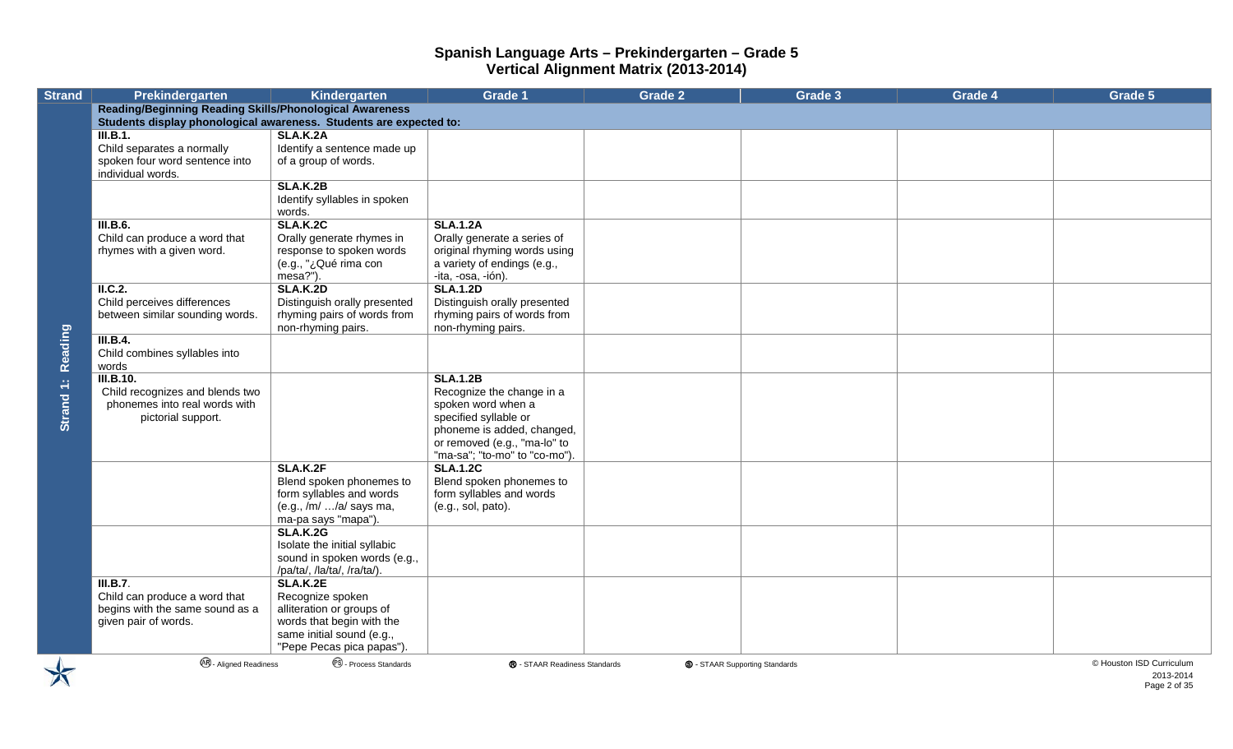| <b>Strand</b> | Prekindergarten                                                    | Kindergarten                                           | <b>Grade 1</b>                                   | <b>Grade 2</b> | Grade 3                               | Grade 4 | Grade 5                  |
|---------------|--------------------------------------------------------------------|--------------------------------------------------------|--------------------------------------------------|----------------|---------------------------------------|---------|--------------------------|
|               | <b>Reading/Beginning Reading Skills/Phonological Awareness</b>     |                                                        |                                                  |                |                                       |         |                          |
|               | Students display phonological awareness. Students are expected to: |                                                        |                                                  |                |                                       |         |                          |
|               | III.B.1.                                                           | <b>SLA.K.2A</b>                                        |                                                  |                |                                       |         |                          |
|               | Child separates a normally                                         | Identify a sentence made up                            |                                                  |                |                                       |         |                          |
|               | spoken four word sentence into                                     | of a group of words.                                   |                                                  |                |                                       |         |                          |
|               | individual words.                                                  |                                                        |                                                  |                |                                       |         |                          |
|               |                                                                    | <b>SLA.K.2B</b>                                        |                                                  |                |                                       |         |                          |
|               |                                                                    | Identify syllables in spoken<br>words.                 |                                                  |                |                                       |         |                          |
|               | <b>III.B.6.</b>                                                    | <b>SLA.K.2C</b>                                        | <b>SLA.1.2A</b>                                  |                |                                       |         |                          |
|               | Child can produce a word that                                      | Orally generate rhymes in                              | Orally generate a series of                      |                |                                       |         |                          |
|               | rhymes with a given word.                                          | response to spoken words                               | original rhyming words using                     |                |                                       |         |                          |
|               |                                                                    | (e.g., "¿Qué rima con                                  | a variety of endings (e.g.,                      |                |                                       |         |                          |
|               |                                                                    | mesa?").                                               | -ita, -osa, -ión).                               |                |                                       |         |                          |
|               | II.C.2.<br>Child perceives differences                             | <b>SLA.K.2D</b><br>Distinguish orally presented        | <b>SLA.1.2D</b><br>Distinguish orally presented  |                |                                       |         |                          |
|               | between similar sounding words.                                    | rhyming pairs of words from                            | rhyming pairs of words from                      |                |                                       |         |                          |
|               |                                                                    | non-rhyming pairs.                                     | non-rhyming pairs.                               |                |                                       |         |                          |
|               | III.B.4.                                                           |                                                        |                                                  |                |                                       |         |                          |
| Reading       | Child combines syllables into                                      |                                                        |                                                  |                |                                       |         |                          |
|               | words                                                              |                                                        |                                                  |                |                                       |         |                          |
|               | <b>III.B.10.</b>                                                   |                                                        | <b>SLA.1.2B</b>                                  |                |                                       |         |                          |
| Strand 1:     | Child recognizes and blends two                                    |                                                        | Recognize the change in a                        |                |                                       |         |                          |
|               | phonemes into real words with                                      |                                                        | spoken word when a                               |                |                                       |         |                          |
|               | pictorial support.                                                 |                                                        | specified syllable or                            |                |                                       |         |                          |
|               |                                                                    |                                                        | phoneme is added, changed,                       |                |                                       |         |                          |
|               |                                                                    |                                                        | or removed (e.g., "ma-lo" to                     |                |                                       |         |                          |
|               |                                                                    | SLA.K.2F                                               | "ma-sa"; "to-mo" to "co-mo").<br><b>SLA.1.2C</b> |                |                                       |         |                          |
|               |                                                                    | Blend spoken phonemes to                               | Blend spoken phonemes to                         |                |                                       |         |                          |
|               |                                                                    | form syllables and words                               | form syllables and words                         |                |                                       |         |                          |
|               |                                                                    | (e.g., /m/ /a/ says ma,                                | (e.g., sol, pato).                               |                |                                       |         |                          |
|               |                                                                    | ma-pa says "mapa").                                    |                                                  |                |                                       |         |                          |
|               |                                                                    | <b>SLA.K.2G</b>                                        |                                                  |                |                                       |         |                          |
|               |                                                                    | Isolate the initial syllabic                           |                                                  |                |                                       |         |                          |
|               |                                                                    | sound in spoken words (e.g.,                           |                                                  |                |                                       |         |                          |
|               |                                                                    | /pa/ta/, /la/ta/, /ra/ta/).                            |                                                  |                |                                       |         |                          |
|               | III.B.7.                                                           | SLA.K.2E                                               |                                                  |                |                                       |         |                          |
|               | Child can produce a word that                                      | Recognize spoken                                       |                                                  |                |                                       |         |                          |
|               | begins with the same sound as a<br>given pair of words.            | alliteration or groups of<br>words that begin with the |                                                  |                |                                       |         |                          |
|               |                                                                    | same initial sound (e.g.,                              |                                                  |                |                                       |         |                          |
|               |                                                                    | "Pepe Pecas pica papas").                              |                                                  |                |                                       |         |                          |
|               | <sup>48</sup> - Aligned Readiness                                  | <sup><sup>6</sup> - Process Standards</sup>            | ® - STAAR Readiness Standards                    |                | <b>S</b> - STAAR Supporting Standards |         | © Houston ISD Curriculum |

2013-2014 Page 2 of 35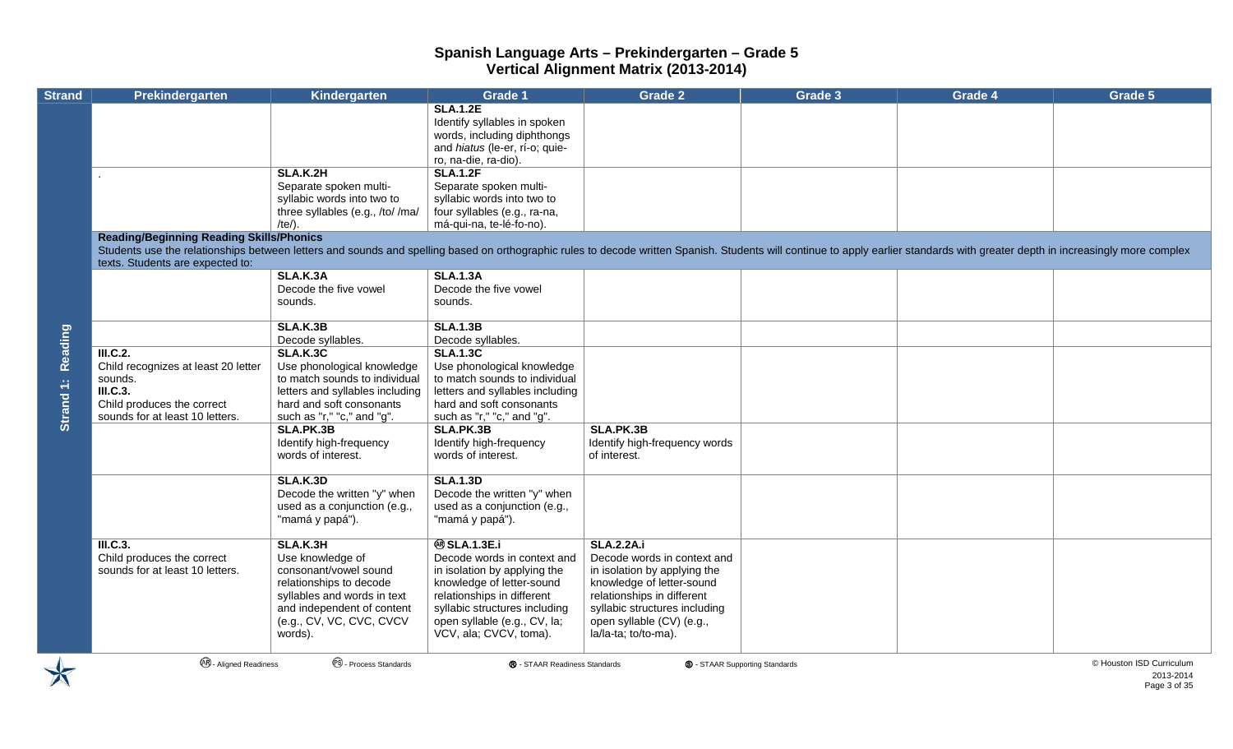| <b>Strand</b>        | Prekindergarten                                                                                                                                                                                                                | Kindergarten                         | <b>Grade 1</b>                                                | <b>Grade 2</b>                             | Grade 3                               | Grade 4 | Grade 5                  |
|----------------------|--------------------------------------------------------------------------------------------------------------------------------------------------------------------------------------------------------------------------------|--------------------------------------|---------------------------------------------------------------|--------------------------------------------|---------------------------------------|---------|--------------------------|
|                      |                                                                                                                                                                                                                                |                                      | <b>SLA.1.2E</b>                                               |                                            |                                       |         |                          |
|                      |                                                                                                                                                                                                                                |                                      | Identify syllables in spoken                                  |                                            |                                       |         |                          |
|                      |                                                                                                                                                                                                                                |                                      | words, including diphthongs<br>and hiatus (le-er, rí-o; quie- |                                            |                                       |         |                          |
|                      |                                                                                                                                                                                                                                |                                      | ro, na-die, ra-dio).                                          |                                            |                                       |         |                          |
|                      |                                                                                                                                                                                                                                | SLA.K.2H                             | <b>SLA.1.2F</b>                                               |                                            |                                       |         |                          |
|                      |                                                                                                                                                                                                                                | Separate spoken multi-               | Separate spoken multi-                                        |                                            |                                       |         |                          |
|                      |                                                                                                                                                                                                                                | syllabic words into two to           | syllabic words into two to                                    |                                            |                                       |         |                          |
|                      |                                                                                                                                                                                                                                | three syllables (e.g., /to//ma/      | four syllables (e.g., ra-na,                                  |                                            |                                       |         |                          |
|                      |                                                                                                                                                                                                                                | /te/).                               | má-qui-na, te-lé-fo-no).                                      |                                            |                                       |         |                          |
|                      | <b>Reading/Beginning Reading Skills/Phonics</b>                                                                                                                                                                                |                                      |                                                               |                                            |                                       |         |                          |
|                      | Students use the relationships between letters and sounds and spelling based on orthographic rules to decode written Spanish. Students will continue to apply earlier standards with greater depth in increasingly more comple |                                      |                                                               |                                            |                                       |         |                          |
|                      | texts. Students are expected to:                                                                                                                                                                                               |                                      |                                                               |                                            |                                       |         |                          |
|                      |                                                                                                                                                                                                                                | <b>SLA.K.3A</b>                      | <b>SLA.1.3A</b>                                               |                                            |                                       |         |                          |
|                      |                                                                                                                                                                                                                                | Decode the five vowel<br>sounds.     | Decode the five vowel<br>sounds.                              |                                            |                                       |         |                          |
|                      |                                                                                                                                                                                                                                |                                      |                                                               |                                            |                                       |         |                          |
|                      |                                                                                                                                                                                                                                | <b>SLA.K.3B</b>                      | <b>SLA.1.3B</b>                                               |                                            |                                       |         |                          |
|                      |                                                                                                                                                                                                                                | Decode syllables.                    | Decode syllables.                                             |                                            |                                       |         |                          |
|                      | III.C.2.                                                                                                                                                                                                                       | <b>SLA.K.3C</b>                      | <b>SLA.1.3C</b>                                               |                                            |                                       |         |                          |
| Reading<br>Strand 1: | Child recognizes at least 20 letter                                                                                                                                                                                            | Use phonological knowledge           | Use phonological knowledge                                    |                                            |                                       |         |                          |
|                      | sounds.                                                                                                                                                                                                                        | to match sounds to individual        | to match sounds to individual                                 |                                            |                                       |         |                          |
|                      | <b>III.C.3.</b>                                                                                                                                                                                                                | letters and syllables including      | letters and syllables including                               |                                            |                                       |         |                          |
|                      | Child produces the correct                                                                                                                                                                                                     | hard and soft consonants             | hard and soft consonants                                      |                                            |                                       |         |                          |
|                      | sounds for at least 10 letters.                                                                                                                                                                                                | such as "r," "c," and "g".           | such as "r," "c," and "g".                                    |                                            |                                       |         |                          |
|                      |                                                                                                                                                                                                                                | SLA.PK.3B<br>Identify high-frequency | SLA.PK.3B<br>Identify high-frequency                          | SLA.PK.3B<br>Identify high-frequency words |                                       |         |                          |
|                      |                                                                                                                                                                                                                                | words of interest.                   | words of interest.                                            | of interest.                               |                                       |         |                          |
|                      |                                                                                                                                                                                                                                |                                      |                                                               |                                            |                                       |         |                          |
|                      |                                                                                                                                                                                                                                | <b>SLA.K.3D</b>                      | <b>SLA.1.3D</b>                                               |                                            |                                       |         |                          |
|                      |                                                                                                                                                                                                                                | Decode the written "y" when          | Decode the written "y" when                                   |                                            |                                       |         |                          |
|                      |                                                                                                                                                                                                                                | used as a conjunction (e.g.,         | used as a conjunction (e.g.,                                  |                                            |                                       |         |                          |
|                      |                                                                                                                                                                                                                                | "mamá y papá").                      | "mamá y papá").                                               |                                            |                                       |         |                          |
|                      | III.C.3.                                                                                                                                                                                                                       | SLA.K.3H                             | <b>@SLA.1.3E.i</b>                                            | <b>SLA.2.2A.i</b>                          |                                       |         |                          |
|                      | Child produces the correct                                                                                                                                                                                                     | Use knowledge of                     | Decode words in context and                                   | Decode words in context and                |                                       |         |                          |
|                      | sounds for at least 10 letters.                                                                                                                                                                                                | consonant/vowel sound                | in isolation by applying the                                  | in isolation by applying the               |                                       |         |                          |
|                      |                                                                                                                                                                                                                                | relationships to decode              | knowledge of letter-sound                                     | knowledge of letter-sound                  |                                       |         |                          |
|                      |                                                                                                                                                                                                                                | syllables and words in text          | relationships in different                                    | relationships in different                 |                                       |         |                          |
|                      |                                                                                                                                                                                                                                | and independent of content           | syllabic structures including                                 | syllabic structures including              |                                       |         |                          |
|                      |                                                                                                                                                                                                                                | (e.g., CV, VC, CVC, CVCV             | open syllable (e.g., CV, la;                                  | open syllable (CV) (e.g.,                  |                                       |         |                          |
|                      |                                                                                                                                                                                                                                | words).                              | VCV, ala; CVCV, toma).                                        | la/la-ta; to/to-ma).                       |                                       |         |                          |
|                      | <b>48</b> - Aligned Readiness                                                                                                                                                                                                  | <sup>6</sup> - Process Standards     | ® - STAAR Readiness Standards                                 |                                            | <b>S</b> - STAAR Supporting Standards |         | © Houston ISD Curriculum |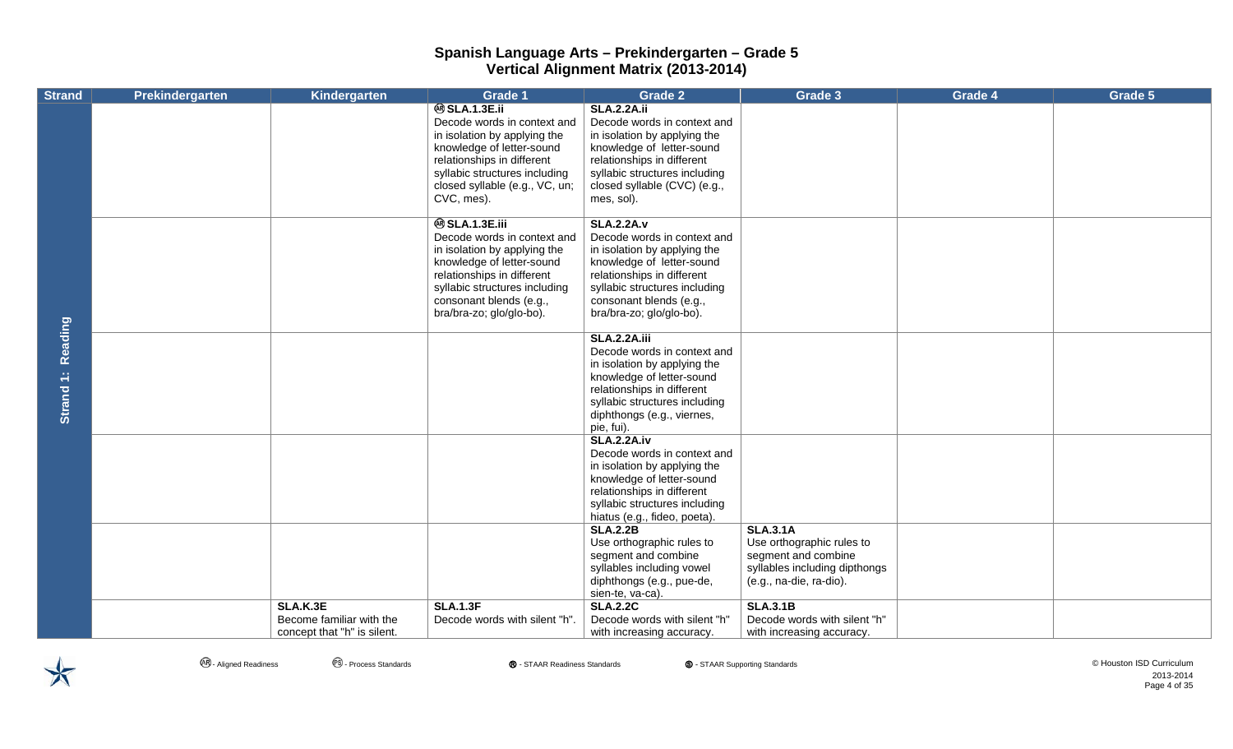| <b>Strand</b>  | Prekindergarten | Kindergarten                | <b>Grade 1</b>                                                                           | Grade 2                                                                                  | Grade 3                                              | Grade 4 | Grade 5 |
|----------------|-----------------|-----------------------------|------------------------------------------------------------------------------------------|------------------------------------------------------------------------------------------|------------------------------------------------------|---------|---------|
|                |                 |                             | <b>@SLA.1.3E.ii</b><br>Decode words in context and<br>in isolation by applying the       | <b>SLA.2.2A.ii</b><br>Decode words in context and<br>in isolation by applying the        |                                                      |         |         |
|                |                 |                             | knowledge of letter-sound<br>relationships in different                                  | knowledge of letter-sound<br>relationships in different                                  |                                                      |         |         |
|                |                 |                             | syllabic structures including                                                            | syllabic structures including                                                            |                                                      |         |         |
|                |                 |                             | closed syllable (e.g., VC, un;<br>CVC, mes).                                             | closed syllable (CVC) (e.g.,<br>mes, sol).                                               |                                                      |         |         |
|                |                 |                             | <b>@SLA.1.3E.iii</b>                                                                     | <b>SLA.2.2A.v</b>                                                                        |                                                      |         |         |
|                |                 |                             | Decode words in context and<br>in isolation by applying the<br>knowledge of letter-sound | Decode words in context and<br>in isolation by applying the<br>knowledge of letter-sound |                                                      |         |         |
|                |                 |                             | relationships in different                                                               | relationships in different                                                               |                                                      |         |         |
|                |                 |                             | syllabic structures including<br>consonant blends (e.g.,                                 | syllabic structures including<br>consonant blends (e.g.,                                 |                                                      |         |         |
|                |                 |                             | bra/bra-zo; glo/glo-bo).                                                                 | bra/bra-zo; glo/glo-bo).                                                                 |                                                      |         |         |
| <b>Reading</b> |                 |                             |                                                                                          | <b>SLA.2.2A.iii</b><br>Decode words in context and                                       |                                                      |         |         |
|                |                 |                             |                                                                                          | in isolation by applying the                                                             |                                                      |         |         |
|                |                 |                             |                                                                                          | knowledge of letter-sound<br>relationships in different                                  |                                                      |         |         |
| Strand 1:      |                 |                             |                                                                                          | syllabic structures including                                                            |                                                      |         |         |
|                |                 |                             |                                                                                          | diphthongs (e.g., viernes,<br>pie, fui).                                                 |                                                      |         |         |
|                |                 |                             |                                                                                          | <b>SLA.2.2A.iv</b><br>Decode words in context and                                        |                                                      |         |         |
|                |                 |                             |                                                                                          | in isolation by applying the                                                             |                                                      |         |         |
|                |                 |                             |                                                                                          | knowledge of letter-sound<br>relationships in different                                  |                                                      |         |         |
|                |                 |                             |                                                                                          | syllabic structures including                                                            |                                                      |         |         |
|                |                 |                             |                                                                                          | hiatus (e.g., fideo, poeta).<br><b>SLA.2.2B</b>                                          | <b>SLA.3.1A</b>                                      |         |         |
|                |                 |                             |                                                                                          | Use orthographic rules to                                                                | Use orthographic rules to                            |         |         |
|                |                 |                             |                                                                                          | segment and combine<br>syllables including vowel                                         | segment and combine<br>syllables including dipthongs |         |         |
|                |                 |                             |                                                                                          | diphthongs (e.g., pue-de,                                                                | (e.g., na-die, ra-dio).                              |         |         |
|                |                 | SLA.K.3E                    | <b>SLA.1.3F</b>                                                                          | sien-te, va-ca).<br><b>SLA.2.2C</b>                                                      | <b>SLA.3.1B</b>                                      |         |         |
|                |                 | Become familiar with the    | Decode words with silent "h".                                                            | Decode words with silent "h"                                                             | Decode words with silent "h"                         |         |         |
|                |                 | concept that "h" is silent. |                                                                                          | with increasing accuracy.                                                                | with increasing accuracy.                            |         |         |

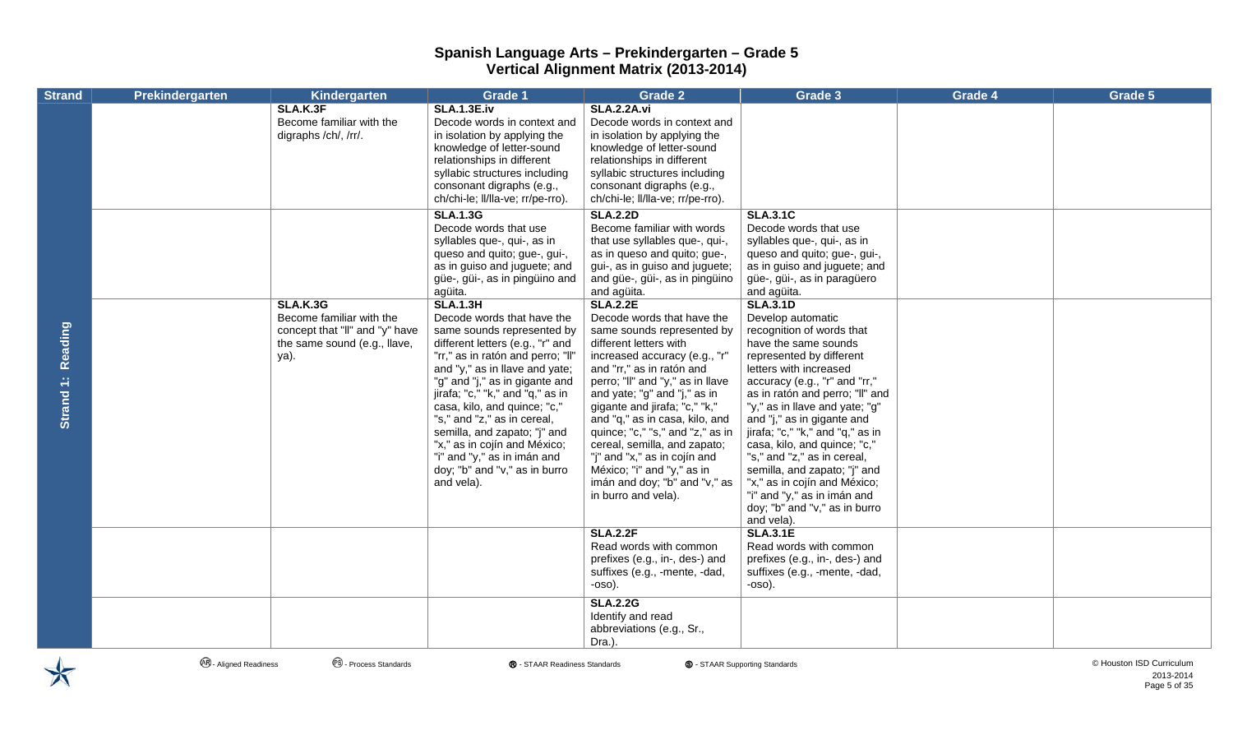| <b>Strand</b>        | Prekindergarten | Kindergarten                                                                                                          | <b>Grade 1</b>                                                                                                                                                                                                                                                                                                                                                                                                                                                            | <b>Grade 2</b>                                                                                                                                                                                                                                                                                                                                                                                                                                                                                       | Grade 3                                                                                                                                                                                                                                                                                                                                                                                                                                                                                                                              | Grade 4 | Grade 5 |
|----------------------|-----------------|-----------------------------------------------------------------------------------------------------------------------|---------------------------------------------------------------------------------------------------------------------------------------------------------------------------------------------------------------------------------------------------------------------------------------------------------------------------------------------------------------------------------------------------------------------------------------------------------------------------|------------------------------------------------------------------------------------------------------------------------------------------------------------------------------------------------------------------------------------------------------------------------------------------------------------------------------------------------------------------------------------------------------------------------------------------------------------------------------------------------------|--------------------------------------------------------------------------------------------------------------------------------------------------------------------------------------------------------------------------------------------------------------------------------------------------------------------------------------------------------------------------------------------------------------------------------------------------------------------------------------------------------------------------------------|---------|---------|
|                      |                 | SLA.K.3F<br>Become familiar with the<br>digraphs /ch/, /rr/.                                                          | <b>SLA.1.3E.iv</b><br>Decode words in context and<br>in isolation by applying the<br>knowledge of letter-sound<br>relationships in different<br>syllabic structures including<br>consonant digraphs (e.g.,<br>ch/chi-le; ll/lla-ve; rr/pe-rro).                                                                                                                                                                                                                           | <b>SLA.2.2A.vi</b><br>Decode words in context and<br>in isolation by applying the<br>knowledge of letter-sound<br>relationships in different<br>syllabic structures including<br>consonant digraphs (e.g.,<br>ch/chi-le; II/IIa-ve; rr/pe-rro).                                                                                                                                                                                                                                                      |                                                                                                                                                                                                                                                                                                                                                                                                                                                                                                                                      |         |         |
|                      |                 |                                                                                                                       | <b>SLA.1.3G</b><br>Decode words that use<br>syllables que-, qui-, as in<br>queso and quito; gue-, gui-,<br>as in guiso and juguete; and<br>güe-, güi-, as in pingüino and<br>agüita.                                                                                                                                                                                                                                                                                      | <b>SLA.2.2D</b><br>Become familiar with words<br>that use syllables que-, qui-,<br>as in queso and quito; gue-,<br>gui-, as in guiso and juguete;<br>and güe-, güi-, as in pingüino<br>and agüita.                                                                                                                                                                                                                                                                                                   | <b>SLA.3.1C</b><br>Decode words that use<br>syllables que-, qui-, as in<br>queso and quito; gue-, gui-,<br>as in guiso and juguete; and<br>güe-, güi-, as in paragüero<br>and agüita.                                                                                                                                                                                                                                                                                                                                                |         |         |
| Reading<br>Strand 1: |                 | <b>SLA.K.3G</b><br>Become familiar with the<br>concept that "II" and "y" have<br>the same sound (e.g., llave,<br>ya). | <b>SLA.1.3H</b><br>Decode words that have the<br>same sounds represented by<br>different letters (e.g., "r" and<br>"rr," as in ratón and perro; "II"<br>and "y," as in llave and yate;<br>"g" and "j," as in gigante and<br>jirafa; "c," "k," and "q," as in<br>casa, kilo, and quince; "c,"<br>"s," and "z," as in cereal,<br>semilla, and zapato; "j" and<br>"x," as in cojín and México;<br>"i" and "y," as in imán and<br>doy; "b" and "v," as in burro<br>and vela). | <b>SLA.2.2E</b><br>Decode words that have the<br>same sounds represented by<br>different letters with<br>increased accuracy (e.g., "r"<br>and "rr," as in ratón and<br>perro; "II" and "y," as in Ilave<br>and yate; "g" and "j," as in<br>gigante and jirafa; "c," "k,"<br>and "q," as in casa, kilo, and<br>quince; "c," "s," and "z," as in<br>cereal, semilla, and zapato;<br>"j" and "x," as in cojín and<br>México; "i" and "y," as in<br>imán and doy; "b" and "v," as<br>in burro and vela). | <b>SLA.3.1D</b><br>Develop automatic<br>recognition of words that<br>have the same sounds<br>represented by different<br>letters with increased<br>accuracy (e.g., "r" and "rr,"<br>as in ratón and perro; "II" and<br>"y," as in llave and yate; "g"<br>and "j," as in gigante and<br>jirafa; "c," "k," and "q," as in<br>casa, kilo, and quince; "c,"<br>"s," and "z," as in cereal,<br>semilla, and zapato; "j" and<br>"x," as in cojín and México;<br>"i" and "y," as in imán and<br>doy; "b" and "v," as in burro<br>and vela). |         |         |
|                      |                 |                                                                                                                       |                                                                                                                                                                                                                                                                                                                                                                                                                                                                           | <b>SLA.2.2F</b><br>Read words with common<br>prefixes (e.g., in-, des-) and<br>suffixes (e.g., -mente, -dad,<br>$-0SO$ ).                                                                                                                                                                                                                                                                                                                                                                            | <b>SLA.3.1E</b><br>Read words with common<br>prefixes (e.g., in-, des-) and<br>suffixes (e.g., -mente, -dad,<br>$-0SO$ ).                                                                                                                                                                                                                                                                                                                                                                                                            |         |         |
|                      |                 |                                                                                                                       |                                                                                                                                                                                                                                                                                                                                                                                                                                                                           | <b>SLA.2.2G</b><br>Identify and read<br>abbreviations (e.g., Sr.,<br>Dra.).                                                                                                                                                                                                                                                                                                                                                                                                                          |                                                                                                                                                                                                                                                                                                                                                                                                                                                                                                                                      |         |         |



**4**. Aligned Readiness **CO.** Process Standards **®** - STAAR Readiness Standards **©** - STAAR Supporting Standards **©** - STAAR Supporting Standards © Houston ISD Curriculum

2013-2014 Page 5 of 35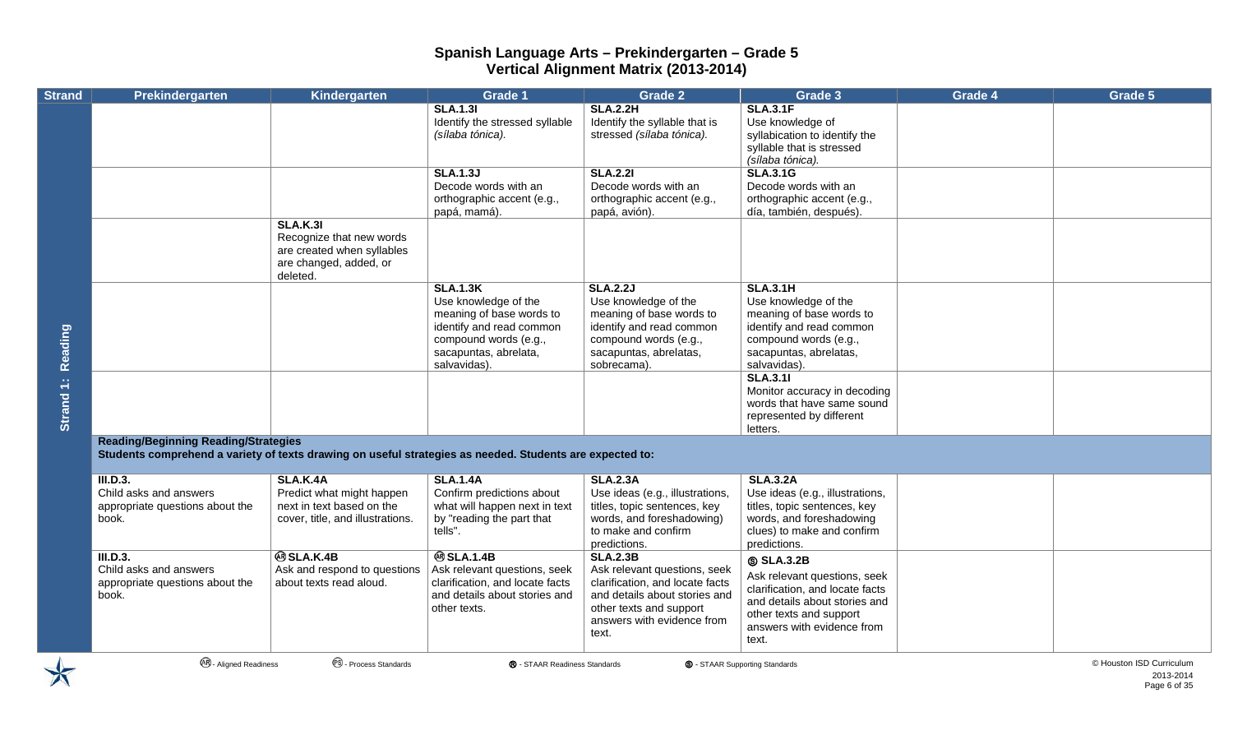| <b>Strand</b> | Prekindergarten                                                                                                                                         | Kindergarten                                                                                                    | <b>Grade 1</b>                                                                                                                                    | <b>Grade 2</b>                                                                                                                                                                        | Grade 3                                                                                                                                                                               | Grade 4 | Grade 5 |
|---------------|---------------------------------------------------------------------------------------------------------------------------------------------------------|-----------------------------------------------------------------------------------------------------------------|---------------------------------------------------------------------------------------------------------------------------------------------------|---------------------------------------------------------------------------------------------------------------------------------------------------------------------------------------|---------------------------------------------------------------------------------------------------------------------------------------------------------------------------------------|---------|---------|
|               |                                                                                                                                                         |                                                                                                                 | <b>SLA.1.31</b><br>Identify the stressed syllable<br>(sílaba tónica).                                                                             | <b>SLA.2.2H</b><br>Identify the syllable that is<br>stressed (sílaba tónica).                                                                                                         | <b>SLA.3.1F</b><br>Use knowledge of<br>syllabication to identify the<br>syllable that is stressed<br>(sílaba tónica).                                                                 |         |         |
|               |                                                                                                                                                         |                                                                                                                 | <b>SLA.1.3J</b><br>Decode words with an<br>orthographic accent (e.g.,<br>papá, mamá).                                                             | <b>SLA.2.21</b><br>Decode words with an<br>orthographic accent (e.g.,<br>papá, avión).                                                                                                | <b>SLA.3.1G</b><br>Decode words with an<br>orthographic accent (e.g.,<br>día, también, después).                                                                                      |         |         |
|               |                                                                                                                                                         | <b>SLA.K.31</b><br>Recognize that new words<br>are created when syllables<br>are changed, added, or<br>deleted. |                                                                                                                                                   |                                                                                                                                                                                       |                                                                                                                                                                                       |         |         |
| Reading       |                                                                                                                                                         |                                                                                                                 | <b>SLA.1.3K</b><br>Use knowledge of the<br>meaning of base words to<br>identify and read common<br>compound words (e.g.,<br>sacapuntas, abrelata, | <b>SLA.2.2J</b><br>Use knowledge of the<br>meaning of base words to<br>identify and read common<br>compound words (e.g.,<br>sacapuntas, abrelatas,                                    | <b>SLA.3.1H</b><br>Use knowledge of the<br>meaning of base words to<br>identify and read common<br>compound words (e.g.,<br>sacapuntas, abrelatas,                                    |         |         |
|               |                                                                                                                                                         |                                                                                                                 | salvavidas).                                                                                                                                      | sobrecama).                                                                                                                                                                           | salvavidas).                                                                                                                                                                          |         |         |
| Strand 1:     |                                                                                                                                                         |                                                                                                                 |                                                                                                                                                   |                                                                                                                                                                                       | <b>SLA.3.11</b><br>Monitor accuracy in decoding<br>words that have same sound<br>represented by different<br>letters.                                                                 |         |         |
|               | <b>Reading/Beginning Reading/Strategies</b><br>Students comprehend a variety of texts drawing on useful strategies as needed. Students are expected to: |                                                                                                                 |                                                                                                                                                   |                                                                                                                                                                                       |                                                                                                                                                                                       |         |         |
|               | III.D.3.<br>Child asks and answers<br>appropriate questions about the<br>book.                                                                          | <b>SLA.K.4A</b><br>Predict what might happen<br>next in text based on the<br>cover, title, and illustrations.   | <b>SLA.1.4A</b><br>Confirm predictions about<br>what will happen next in text<br>by "reading the part that<br>tells".                             | <b>SLA.2.3A</b><br>Use ideas (e.g., illustrations,<br>titles, topic sentences, key<br>words, and foreshadowing)<br>to make and confirm<br>predictions.                                | <b>SLA.3.2A</b><br>Use ideas (e.g., illustrations,<br>titles, topic sentences, key<br>words, and foreshadowing<br>clues) to make and confirm<br>predictions.                          |         |         |
|               | III.D.3.<br>Child asks and answers<br>appropriate questions about the<br>book.                                                                          | <b>® SLA.K.4B</b><br>Ask and respond to questions<br>about texts read aloud.                                    | <b>@SLA.1.4B</b><br>Ask relevant questions, seek<br>clarification, and locate facts<br>and details about stories and<br>other texts.              | <b>SLA.2.3B</b><br>Ask relevant questions, seek<br>clarification, and locate facts<br>and details about stories and<br>other texts and support<br>answers with evidence from<br>text. | <b>SLA.3.2B</b><br>Ask relevant questions, seek<br>clarification, and locate facts<br>and details about stories and<br>other texts and support<br>answers with evidence from<br>text. |         |         |

2013-2014 Page 6 of 35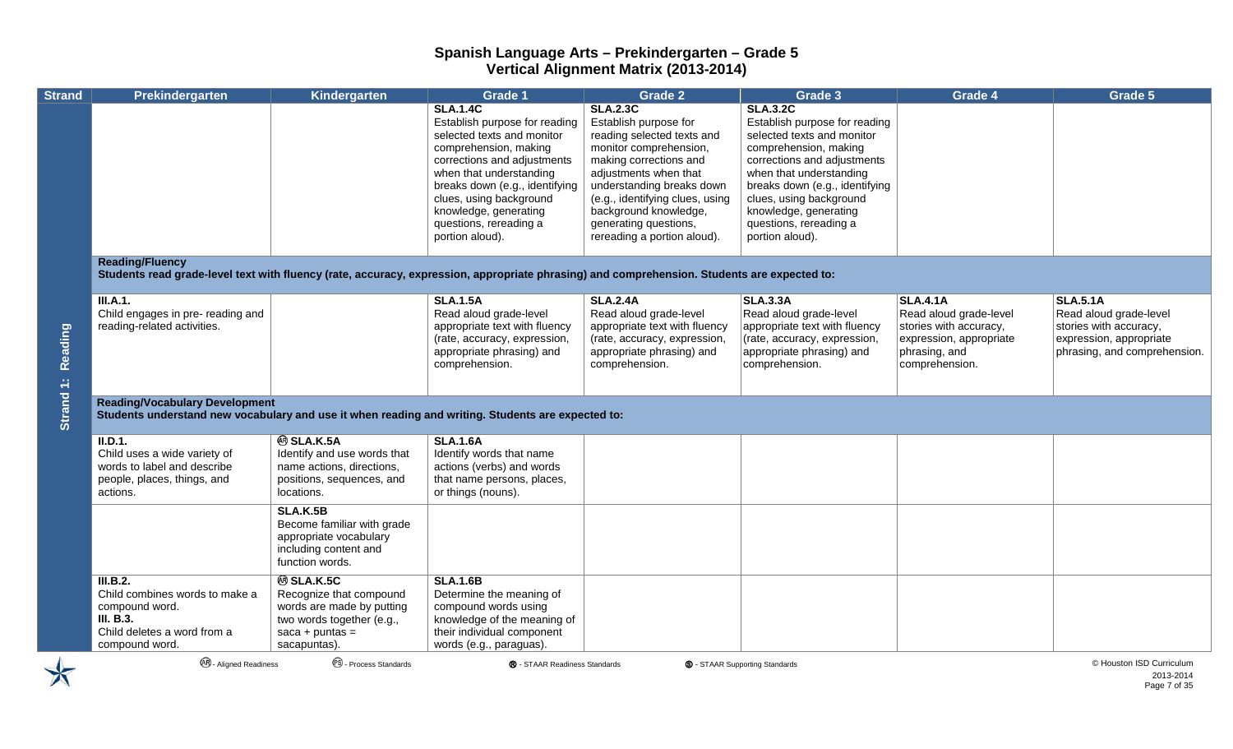| <b>Strand</b> | Prekindergarten                                                                                                                                                       | Kindergarten                                                                                                                              | <b>Grade 1</b>                                                                                                                                                                                                                                                                                       | <b>Grade 2</b>                                                                                                                                                                                                                                                                                       | Grade 3                                                                                                                                                                                                                                                                                              | Grade 4                                                                                                                           | Grade 5                                                                                                                        |
|---------------|-----------------------------------------------------------------------------------------------------------------------------------------------------------------------|-------------------------------------------------------------------------------------------------------------------------------------------|------------------------------------------------------------------------------------------------------------------------------------------------------------------------------------------------------------------------------------------------------------------------------------------------------|------------------------------------------------------------------------------------------------------------------------------------------------------------------------------------------------------------------------------------------------------------------------------------------------------|------------------------------------------------------------------------------------------------------------------------------------------------------------------------------------------------------------------------------------------------------------------------------------------------------|-----------------------------------------------------------------------------------------------------------------------------------|--------------------------------------------------------------------------------------------------------------------------------|
|               |                                                                                                                                                                       |                                                                                                                                           | <b>SLA.1.4C</b><br>Establish purpose for reading<br>selected texts and monitor<br>comprehension, making<br>corrections and adjustments<br>when that understanding<br>breaks down (e.g., identifying<br>clues, using background<br>knowledge, generating<br>questions, rereading a<br>portion aloud). | <b>SLA.2.3C</b><br>Establish purpose for<br>reading selected texts and<br>monitor comprehension,<br>making corrections and<br>adjustments when that<br>understanding breaks down<br>(e.g., identifying clues, using<br>background knowledge,<br>generating questions,<br>rereading a portion aloud). | <b>SLA.3.2C</b><br>Establish purpose for reading<br>selected texts and monitor<br>comprehension, making<br>corrections and adjustments<br>when that understanding<br>breaks down (e.g., identifying<br>clues, using background<br>knowledge, generating<br>questions, rereading a<br>portion aloud). |                                                                                                                                   |                                                                                                                                |
|               | <b>Reading/Fluency</b><br>Students read grade-level text with fluency (rate, accuracy, expression, appropriate phrasing) and comprehension. Students are expected to: |                                                                                                                                           |                                                                                                                                                                                                                                                                                                      |                                                                                                                                                                                                                                                                                                      |                                                                                                                                                                                                                                                                                                      |                                                                                                                                   |                                                                                                                                |
| Reading       | <b>III.A.1.</b><br>Child engages in pre- reading and<br>reading-related activities.                                                                                   |                                                                                                                                           | <b>SLA.1.5A</b><br>Read aloud grade-level<br>appropriate text with fluency<br>(rate, accuracy, expression,<br>appropriate phrasing) and<br>comprehension.                                                                                                                                            | <b>SLA.2.4A</b><br>Read aloud grade-level<br>appropriate text with fluency<br>(rate, accuracy, expression,<br>appropriate phrasing) and<br>comprehension.                                                                                                                                            | <b>SLA.3.3A</b><br>Read aloud grade-level<br>appropriate text with fluency<br>(rate, accuracy, expression,<br>appropriate phrasing) and<br>comprehension.                                                                                                                                            | <b>SLA.4.1A</b><br>Read aloud grade-level<br>stories with accuracy,<br>expression, appropriate<br>phrasing, and<br>comprehension. | <b>SLA.5.1A</b><br>Read aloud grade-level<br>stories with accuracy,<br>expression, appropriate<br>phrasing, and comprehension. |
| Strand 1:     | <b>Reading/Vocabulary Development</b><br>Students understand new vocabulary and use it when reading and writing. Students are expected to:                            |                                                                                                                                           |                                                                                                                                                                                                                                                                                                      |                                                                                                                                                                                                                                                                                                      |                                                                                                                                                                                                                                                                                                      |                                                                                                                                   |                                                                                                                                |
|               | II.D.1.<br>Child uses a wide variety of<br>words to label and describe<br>people, places, things, and<br>actions.                                                     | <b>@SLA.K.5A</b><br>Identify and use words that<br>name actions, directions,<br>positions, sequences, and<br>locations.                   | <b>SLA.1.6A</b><br>Identify words that name<br>actions (verbs) and words<br>that name persons, places,<br>or things (nouns).                                                                                                                                                                         |                                                                                                                                                                                                                                                                                                      |                                                                                                                                                                                                                                                                                                      |                                                                                                                                   |                                                                                                                                |
|               |                                                                                                                                                                       | <b>SLA.K.5B</b><br>Become familiar with grade<br>appropriate vocabulary<br>including content and<br>function words.                       |                                                                                                                                                                                                                                                                                                      |                                                                                                                                                                                                                                                                                                      |                                                                                                                                                                                                                                                                                                      |                                                                                                                                   |                                                                                                                                |
|               | III.B.2.<br>Child combines words to make a<br>compound word.<br>III. B.3.<br>Child deletes a word from a<br>compound word.                                            | <b>@SLA.K.5C</b><br>Recognize that compound<br>words are made by putting<br>two words together (e.g.,<br>$saca + puntas =$<br>sacapuntas) | <b>SLA.1.6B</b><br>Determine the meaning of<br>compound words using<br>knowledge of the meaning of<br>their individual component<br>words (e.g., paraguas).                                                                                                                                          |                                                                                                                                                                                                                                                                                                      |                                                                                                                                                                                                                                                                                                      |                                                                                                                                   |                                                                                                                                |
|               | <b>48</b> - Aligned Readiness                                                                                                                                         | <sup>®</sup> - Process Standards                                                                                                          | ® - STAAR Readiness Standards                                                                                                                                                                                                                                                                        |                                                                                                                                                                                                                                                                                                      | <b>S</b> - STAAR Supporting Standards                                                                                                                                                                                                                                                                |                                                                                                                                   | © Houston ISD Curriculum                                                                                                       |

2013-2014 Page 7 of 35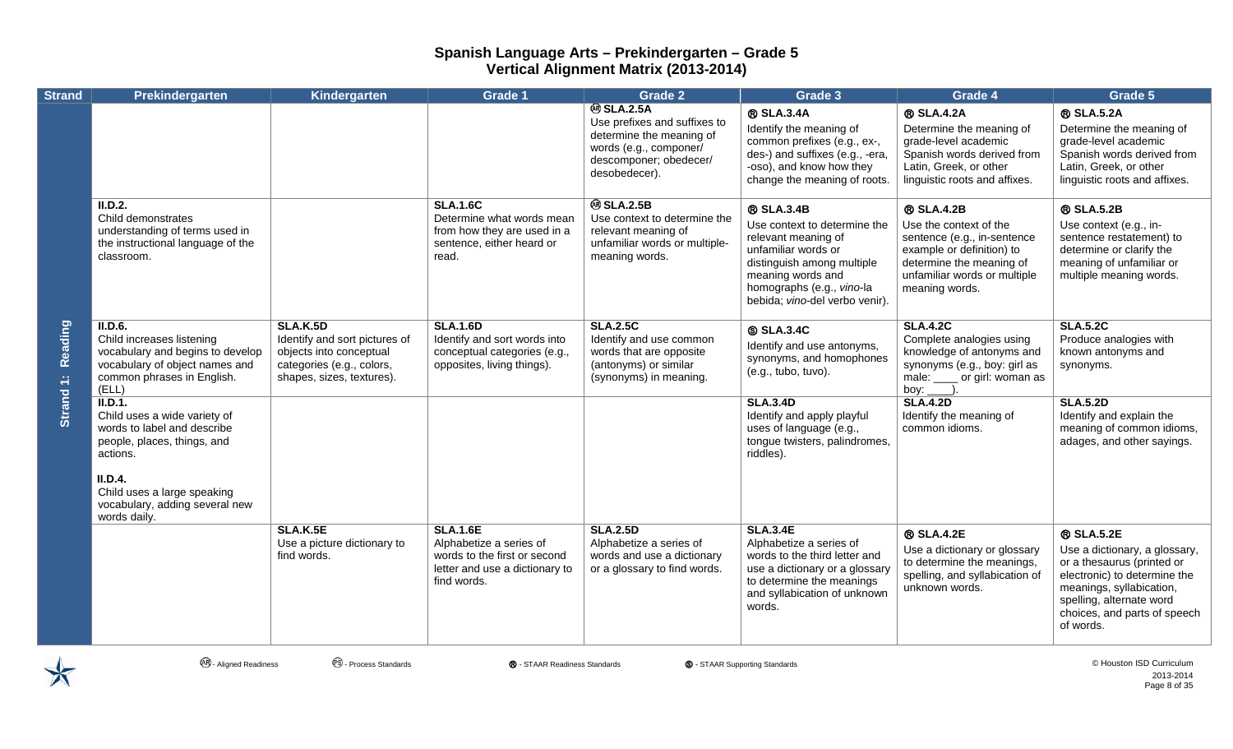| <b>Strand</b>        | Prekindergarten                                                                                                                                   | Kindergarten                                                                                                                          | <b>Grade 1</b>                                                                                                              | <b>Grade 2</b>                                                                                                                                    | Grade 3                                                                                                                                                                                                    | Grade 4                                                                                                                                                                               | Grade 5                                                                                                                                                                                                        |
|----------------------|---------------------------------------------------------------------------------------------------------------------------------------------------|---------------------------------------------------------------------------------------------------------------------------------------|-----------------------------------------------------------------------------------------------------------------------------|---------------------------------------------------------------------------------------------------------------------------------------------------|------------------------------------------------------------------------------------------------------------------------------------------------------------------------------------------------------------|---------------------------------------------------------------------------------------------------------------------------------------------------------------------------------------|----------------------------------------------------------------------------------------------------------------------------------------------------------------------------------------------------------------|
|                      |                                                                                                                                                   |                                                                                                                                       |                                                                                                                             | <b>@SLA.2.5A</b><br>Use prefixes and suffixes to<br>determine the meaning of<br>words (e.g., componer/<br>descomponer; obedecer/<br>desobedecer). | <b>® SLA.3.4A</b><br>Identify the meaning of<br>common prefixes (e.g., ex-,<br>des-) and suffixes (e.g., -era,<br>-oso), and know how they<br>change the meaning of roots.                                 | <b>® SLA.4.2A</b><br>Determine the meaning of<br>grade-level academic<br>Spanish words derived from<br>Latin, Greek, or other<br>linguistic roots and affixes.                        | <b>® SLA.5.2A</b><br>Determine the meaning of<br>grade-level academic<br>Spanish words derived from<br>Latin, Greek, or other<br>linguistic roots and affixes.                                                 |
| Reading<br>Strand 1: | II.D.2.<br>Child demonstrates<br>understanding of terms used in<br>the instructional language of the<br>classroom.                                |                                                                                                                                       | <b>SLA.1.6C</b><br>Determine what words mean<br>from how they are used in a<br>sentence, either heard or<br>read.           | <b>@SLA.2.5B</b><br>Use context to determine the<br>relevant meaning of<br>unfamiliar words or multiple-<br>meaning words.                        | ® SLA.3.4B<br>Use context to determine the<br>relevant meaning of<br>unfamiliar words or<br>distinguish among multiple<br>meaning words and<br>homographs (e.g., vino-la<br>bebida; vino-del verbo venir). | <b>® SLA.4.2B</b><br>Use the context of the<br>sentence (e.g., in-sentence<br>example or definition) to<br>determine the meaning of<br>unfamiliar words or multiple<br>meaning words. | <b>® SLA.5.2B</b><br>Use context (e.g., in-<br>sentence restatement) to<br>determine or clarify the<br>meaning of unfamiliar or<br>multiple meaning words.                                                     |
|                      | II.D.6.<br>Child increases listening<br>vocabulary and begins to develop<br>vocabulary of object names and<br>common phrases in English.<br>(ELL) | <b>SLA.K.5D</b><br>Identify and sort pictures of<br>objects into conceptual<br>categories (e.g., colors,<br>shapes, sizes, textures). | <b>SLA.1.6D</b><br>Identify and sort words into<br>conceptual categories (e.g.,<br>opposites, living things).               | <b>SLA.2.5C</b><br>Identify and use common<br>words that are opposite<br>(antonyms) or similar<br>(synonyms) in meaning.                          | <b>S SLA.3.4C</b><br>Identify and use antonyms,<br>synonyms, and homophones<br>(e.g., tubo, tuvo).                                                                                                         | <b>SLA.4.2C</b><br>Complete analogies using<br>knowledge of antonyms and<br>synonyms (e.g., boy: girl as<br>male: _____ or girl: woman as<br>boy: $\overline{\phantom{a}}$            | <b>SLA.5.2C</b><br>Produce analogies with<br>known antonyms and<br>synonyms.                                                                                                                                   |
|                      | II.D.1.<br>Child uses a wide variety of<br>words to label and describe<br>people, places, things, and<br>actions.<br>II.D.4.                      |                                                                                                                                       |                                                                                                                             |                                                                                                                                                   | <b>SLA.3.4D</b><br>Identify and apply playful<br>uses of language (e.g.,<br>tongue twisters, palindromes,<br>riddles).                                                                                     | <b>SLA.4.2D</b><br>Identify the meaning of<br>common idioms.                                                                                                                          | <b>SLA.5.2D</b><br>Identify and explain the<br>meaning of common idioms,<br>adages, and other sayings.                                                                                                         |
|                      | Child uses a large speaking<br>vocabulary, adding several new<br>words daily.                                                                     |                                                                                                                                       |                                                                                                                             |                                                                                                                                                   |                                                                                                                                                                                                            |                                                                                                                                                                                       |                                                                                                                                                                                                                |
|                      |                                                                                                                                                   | SLA.K.5E<br>Use a picture dictionary to<br>find words.                                                                                | <b>SLA.1.6E</b><br>Alphabetize a series of<br>words to the first or second<br>letter and use a dictionary to<br>find words. | <b>SLA.2.5D</b><br>Alphabetize a series of<br>words and use a dictionary<br>or a glossary to find words.                                          | <b>SLA.3.4E</b><br>Alphabetize a series of<br>words to the third letter and<br>use a dictionary or a glossary<br>to determine the meanings<br>and syllabication of unknown<br>words.                       | <b>® SLA.4.2E</b><br>Use a dictionary or glossary<br>to determine the meanings,<br>spelling, and syllabication of<br>unknown words.                                                   | ® SLA.5.2E<br>Use a dictionary, a glossary,<br>or a thesaurus (printed or<br>electronic) to determine the<br>meanings, syllabication,<br>spelling, alternate word<br>choices, and parts of speech<br>of words. |



**<sup>④</sup> - Aligned Readiness** ● ● Process Standards ● ● STAAR Readiness Standards ● ● STAAR Supporting Standards ● ● Aligned Readiness ● ● Process Standards ● ● Process Standards ● ● Process Standards ● ● Process Standards ● 2013-2014 Page 8 of 35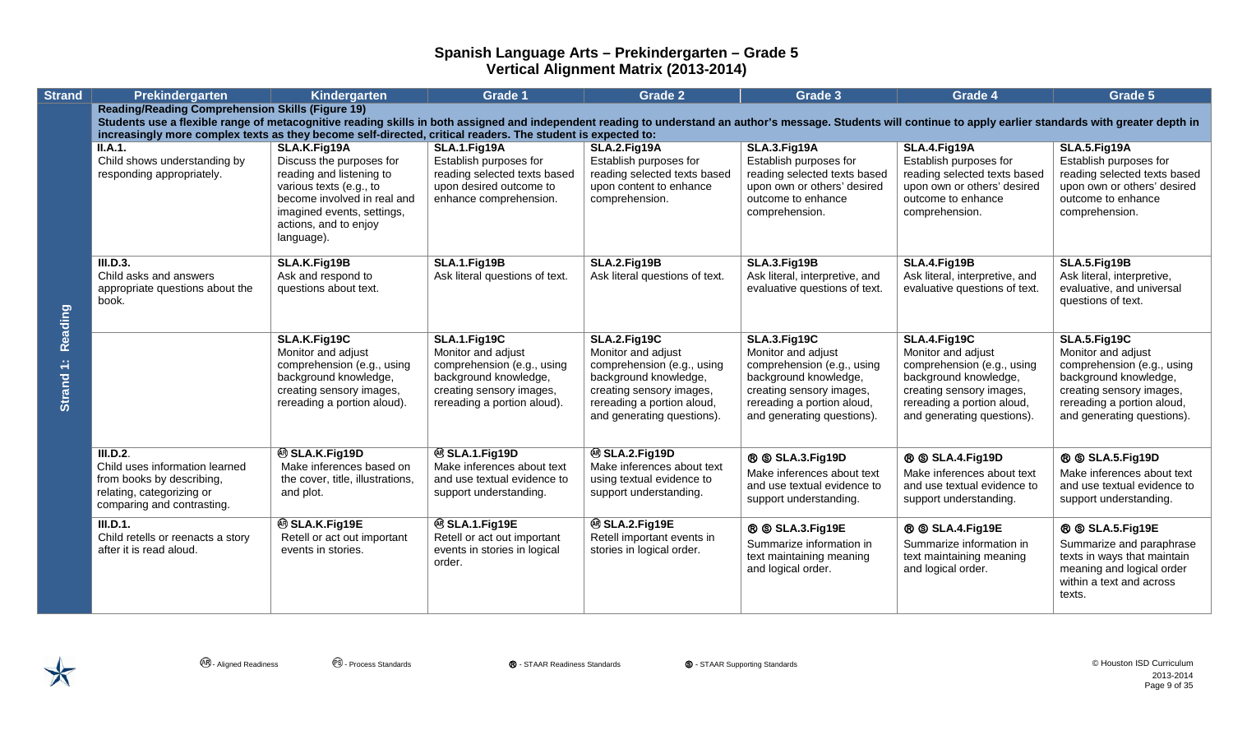| <b>Strand</b>        | Prekindergarten                                                                                                                                                                                                                                                              | Kindergarten                                            | <b>Grade 1</b>                                          | <b>Grade 2</b>                                         | Grade 3                                                | Grade 4                                                | Grade 5                                                |
|----------------------|------------------------------------------------------------------------------------------------------------------------------------------------------------------------------------------------------------------------------------------------------------------------------|---------------------------------------------------------|---------------------------------------------------------|--------------------------------------------------------|--------------------------------------------------------|--------------------------------------------------------|--------------------------------------------------------|
|                      | <b>Reading/Reading Comprehension Skills (Figure 19)</b><br>Students use a flexible range of metacognitive reading skills in both assigned and independent reading to understand an author's message. Students will continue to apply earlier standards with greater depth in |                                                         |                                                         |                                                        |                                                        |                                                        |                                                        |
|                      | increasingly more complex texts as they become self-directed, critical readers. The student is expected to:                                                                                                                                                                  |                                                         |                                                         |                                                        |                                                        |                                                        |                                                        |
|                      | II.A.1.                                                                                                                                                                                                                                                                      | SLA.K.Fig19A                                            | SLA.1.Fig19A                                            | SLA.2.Fig19A                                           | SLA.3.Fig19A                                           | SLA.4.Fig19A                                           | SLA.5.Fig19A                                           |
|                      | Child shows understanding by                                                                                                                                                                                                                                                 | Discuss the purposes for                                | Establish purposes for                                  | Establish purposes for                                 | Establish purposes for                                 | Establish purposes for                                 | Establish purposes for                                 |
|                      | responding appropriately.                                                                                                                                                                                                                                                    | reading and listening to                                | reading selected texts based                            | reading selected texts based                           | reading selected texts based                           | reading selected texts based                           | reading selected texts based                           |
|                      |                                                                                                                                                                                                                                                                              | various texts (e.g., to<br>become involved in real and  | upon desired outcome to<br>enhance comprehension.       | upon content to enhance<br>comprehension.              | upon own or others' desired<br>outcome to enhance      | upon own or others' desired<br>outcome to enhance      | upon own or others' desired<br>outcome to enhance      |
|                      |                                                                                                                                                                                                                                                                              | imagined events, settings,                              |                                                         |                                                        | comprehension.                                         | comprehension.                                         | comprehension.                                         |
|                      |                                                                                                                                                                                                                                                                              | actions, and to enjoy                                   |                                                         |                                                        |                                                        |                                                        |                                                        |
|                      |                                                                                                                                                                                                                                                                              | language).                                              |                                                         |                                                        |                                                        |                                                        |                                                        |
|                      | III.D.3.                                                                                                                                                                                                                                                                     | SLA.K.Fig19B                                            | SLA.1.Fig19B                                            | SLA.2.Fig19B                                           | SLA.3.Fig19B                                           | SLA.4.Fig19B                                           | SLA.5.Fig19B                                           |
|                      | Child asks and answers                                                                                                                                                                                                                                                       | Ask and respond to                                      | Ask literal questions of text.                          | Ask literal questions of text.                         | Ask literal, interpretive, and                         | Ask literal, interpretive, and                         | Ask literal, interpretive,                             |
|                      | appropriate questions about the<br>book.                                                                                                                                                                                                                                     | questions about text.                                   |                                                         |                                                        | evaluative questions of text.                          | evaluative questions of text.                          | evaluative, and universal                              |
|                      |                                                                                                                                                                                                                                                                              |                                                         |                                                         |                                                        |                                                        |                                                        | questions of text.                                     |
| Reading<br>Strand 1: |                                                                                                                                                                                                                                                                              |                                                         |                                                         |                                                        |                                                        |                                                        |                                                        |
|                      |                                                                                                                                                                                                                                                                              | SLA.K.Fig19C<br>Monitor and adjust                      | <b>SLA.1.Fig19C</b><br>Monitor and adjust               | <b>SLA.2.Fig19C</b><br>Monitor and adjust              | SLA.3.Fig19C<br>Monitor and adjust                     | SLA.4.Fig19C<br>Monitor and adjust                     | SLA.5.Fig19C<br>Monitor and adjust                     |
|                      |                                                                                                                                                                                                                                                                              | comprehension (e.g., using                              | comprehension (e.g., using                              | comprehension (e.g., using                             | comprehension (e.g., using                             | comprehension (e.g., using                             | comprehension (e.g., using                             |
|                      |                                                                                                                                                                                                                                                                              | background knowledge,                                   | background knowledge,                                   | background knowledge,                                  | background knowledge,                                  | background knowledge,                                  | background knowledge,                                  |
|                      |                                                                                                                                                                                                                                                                              | creating sensory images,<br>rereading a portion aloud). | creating sensory images,<br>rereading a portion aloud). | creating sensory images,<br>rereading a portion aloud, | creating sensory images,<br>rereading a portion aloud, | creating sensory images,<br>rereading a portion aloud, | creating sensory images,<br>rereading a portion aloud, |
|                      |                                                                                                                                                                                                                                                                              |                                                         |                                                         | and generating questions).                             | and generating questions).                             | and generating questions).                             | and generating questions).                             |
|                      |                                                                                                                                                                                                                                                                              |                                                         |                                                         |                                                        |                                                        |                                                        |                                                        |
|                      | III.D.2.                                                                                                                                                                                                                                                                     | <sup>®</sup> SLA.K.Fig19D                               | <sup>®</sup> SLA.1.Fig19D                               | <sup>®</sup> SLA.2.Fig19D                              | <b>® SLA.3.Fig19D</b>                                  | <b>® SLA.4.Fig19D</b>                                  | ® SLA.5.Fig19D                                         |
|                      | Child uses information learned                                                                                                                                                                                                                                               | Make inferences based on                                | Make inferences about text                              | Make inferences about text                             | Make inferences about text                             | Make inferences about text                             | Make inferences about text                             |
|                      | from books by describing,<br>relating, categorizing or                                                                                                                                                                                                                       | the cover, title, illustrations,<br>and plot.           | and use textual evidence to<br>support understanding.   | using textual evidence to<br>support understanding.    | and use textual evidence to                            | and use textual evidence to                            | and use textual evidence to                            |
|                      | comparing and contrasting.                                                                                                                                                                                                                                                   |                                                         |                                                         |                                                        | support understanding.                                 | support understanding.                                 | support understanding.                                 |
|                      | III.D.1.                                                                                                                                                                                                                                                                     | <b>@SLA.K.Fig19E</b>                                    | <sup>®</sup> SLA.1.Fig19E                               | <sup>®</sup> SLA.2.Fig19E                              | ® SLA.3.Fig19E                                         | ® SLA.4.Fig19E                                         | <b>® SLA.5.Fig19E</b>                                  |
|                      | Child retells or reenacts a story                                                                                                                                                                                                                                            | Retell or act out important                             | Retell or act out important                             | Retell important events in                             | Summarize information in                               | Summarize information in                               | Summarize and paraphrase                               |
|                      | after it is read aloud.                                                                                                                                                                                                                                                      | events in stories.                                      | events in stories in logical<br>order.                  | stories in logical order.                              | text maintaining meaning                               | text maintaining meaning                               | texts in ways that maintain                            |
|                      |                                                                                                                                                                                                                                                                              |                                                         |                                                         |                                                        | and logical order.                                     | and logical order.                                     | meaning and logical order                              |
|                      |                                                                                                                                                                                                                                                                              |                                                         |                                                         |                                                        |                                                        |                                                        | within a text and across<br>texts.                     |
|                      |                                                                                                                                                                                                                                                                              |                                                         |                                                         |                                                        |                                                        |                                                        |                                                        |

 $\bigtimes$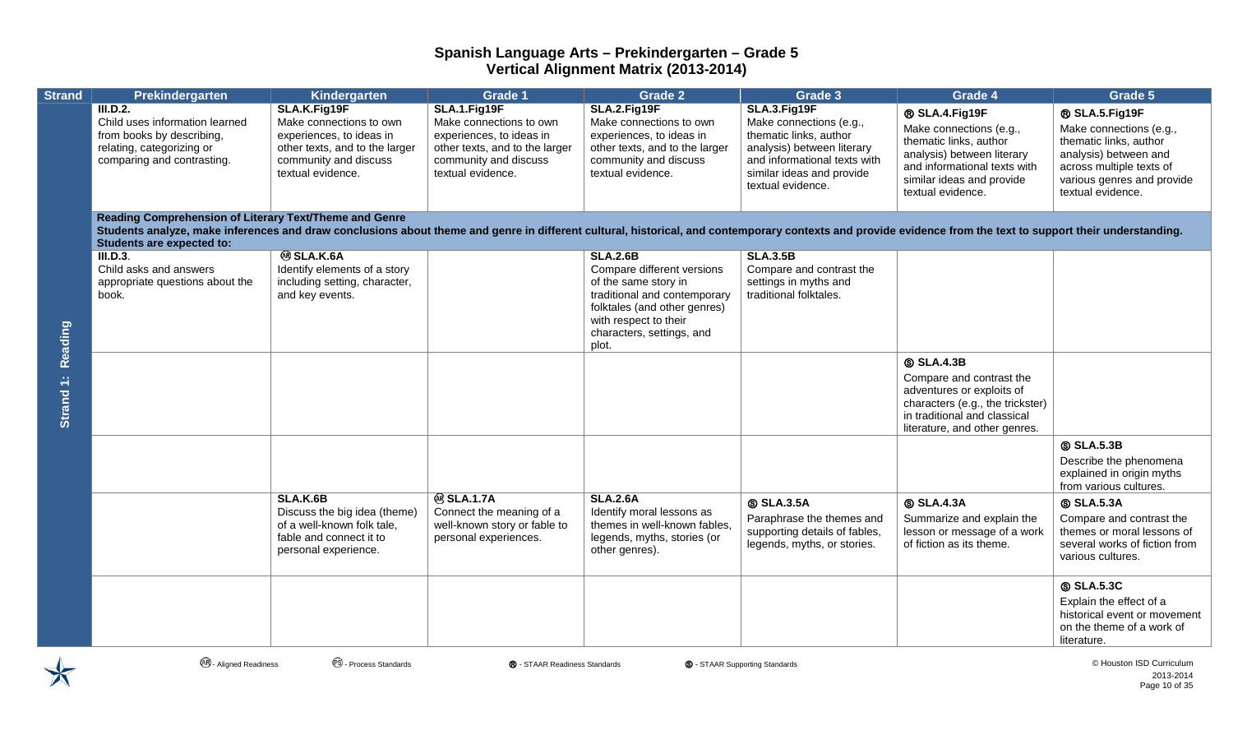| <b>Strand</b> | Prekindergarten                                                                                                                                                                                                                                                                                            | Kindergarten                                                                                                                                        | <b>Grade 1</b>                                                                                                                                      | <b>Grade 2</b>                                                                                                                                                                                       | Grade 3                                                                                                                                                                           | Grade 4                                                                                                                                                                             | Grade 5                                                                                                                                                                     |
|---------------|------------------------------------------------------------------------------------------------------------------------------------------------------------------------------------------------------------------------------------------------------------------------------------------------------------|-----------------------------------------------------------------------------------------------------------------------------------------------------|-----------------------------------------------------------------------------------------------------------------------------------------------------|------------------------------------------------------------------------------------------------------------------------------------------------------------------------------------------------------|-----------------------------------------------------------------------------------------------------------------------------------------------------------------------------------|-------------------------------------------------------------------------------------------------------------------------------------------------------------------------------------|-----------------------------------------------------------------------------------------------------------------------------------------------------------------------------|
|               | <b>III.D.2.</b><br>Child uses information learned<br>from books by describing,<br>relating, categorizing or<br>comparing and contrasting.                                                                                                                                                                  | SLA.K.Fig19F<br>Make connections to own<br>experiences, to ideas in<br>other texts, and to the larger<br>community and discuss<br>textual evidence. | SLA.1.Fig19F<br>Make connections to own<br>experiences, to ideas in<br>other texts, and to the larger<br>community and discuss<br>textual evidence. | SLA.2.Fig19F<br>Make connections to own<br>experiences, to ideas in<br>other texts, and to the larger<br>community and discuss<br>textual evidence.                                                  | SLA.3.Fig19F<br>Make connections (e.g.,<br>thematic links, author<br>analysis) between literary<br>and informational texts with<br>similar ideas and provide<br>textual evidence. | ® SLA.4.Fig19F<br>Make connections (e.g.,<br>thematic links, author<br>analysis) between literary<br>and informational texts with<br>similar ideas and provide<br>textual evidence. | ® SLA.5.Fig19F<br>Make connections (e.g.,<br>thematic links, author<br>analysis) between and<br>across multiple texts of<br>various genres and provide<br>textual evidence. |
|               | Reading Comprehension of Literary Text/Theme and Genre<br>Students analyze, make inferences and draw conclusions about theme and genre in different cultural, historical, and contemporary contexts and provide evidence from the text to support their understanding.<br><b>Students are expected to:</b> |                                                                                                                                                     |                                                                                                                                                     |                                                                                                                                                                                                      |                                                                                                                                                                                   |                                                                                                                                                                                     |                                                                                                                                                                             |
| Reading       | III.D.3.<br>Child asks and answers<br>appropriate questions about the<br>book.                                                                                                                                                                                                                             | <b>® SLA.K.6A</b><br>Identify elements of a story<br>including setting, character,<br>and key events.                                               |                                                                                                                                                     | <b>SLA.2.6B</b><br>Compare different versions<br>of the same story in<br>traditional and contemporary<br>folktales (and other genres)<br>with respect to their<br>characters, settings, and<br>plot. | <b>SLA.3.5B</b><br>Compare and contrast the<br>settings in myths and<br>traditional folktales.                                                                                    |                                                                                                                                                                                     |                                                                                                                                                                             |
| Strand 1:     |                                                                                                                                                                                                                                                                                                            |                                                                                                                                                     |                                                                                                                                                     |                                                                                                                                                                                                      |                                                                                                                                                                                   | <b>SLA.4.3B</b><br>Compare and contrast the<br>adventures or exploits of<br>characters (e.g., the trickster)<br>in traditional and classical<br>literature, and other genres.       |                                                                                                                                                                             |
|               |                                                                                                                                                                                                                                                                                                            |                                                                                                                                                     |                                                                                                                                                     |                                                                                                                                                                                                      |                                                                                                                                                                                   |                                                                                                                                                                                     | <b>SLA.5.3B</b><br>Describe the phenomena<br>explained in origin myths<br>from various cultures.                                                                            |
|               |                                                                                                                                                                                                                                                                                                            | <b>SLA.K.6B</b><br>Discuss the big idea (theme)<br>of a well-known folk tale,<br>fable and connect it to<br>personal experience.                    | <b>@SLA.1.7A</b><br>Connect the meaning of a<br>well-known story or fable to<br>personal experiences.                                               | <b>SLA.2.6A</b><br>Identify moral lessons as<br>themes in well-known fables,<br>legends, myths, stories (or<br>other genres).                                                                        | <b>SLA.3.5A</b><br>Paraphrase the themes and<br>supporting details of fables,<br>legends, myths, or stories.                                                                      | <b>SLA.4.3A</b><br>Summarize and explain the<br>lesson or message of a work<br>of fiction as its theme.                                                                             | <b>SLA.5.3A</b><br>Compare and contrast the<br>themes or moral lessons of<br>several works of fiction from<br>various cultures.                                             |
|               |                                                                                                                                                                                                                                                                                                            |                                                                                                                                                     |                                                                                                                                                     |                                                                                                                                                                                                      |                                                                                                                                                                                   |                                                                                                                                                                                     | <b>SLA.5.3C</b><br>Explain the effect of a<br>historical event or movement<br>on the theme of a work of<br>literature.                                                      |

 $\bigtimes$ 

**<sup>④</sup> - Aligned Readiness** ● ● Process Standards ● ● STAAR Readiness Standards ● ● STAAR Supporting Standards ● ● Aligned Readiness ● ● Process Standards ● ● Process Standards ● ● Process Standards ● ● Process Standards ●

2013-2014 Page 10 of 35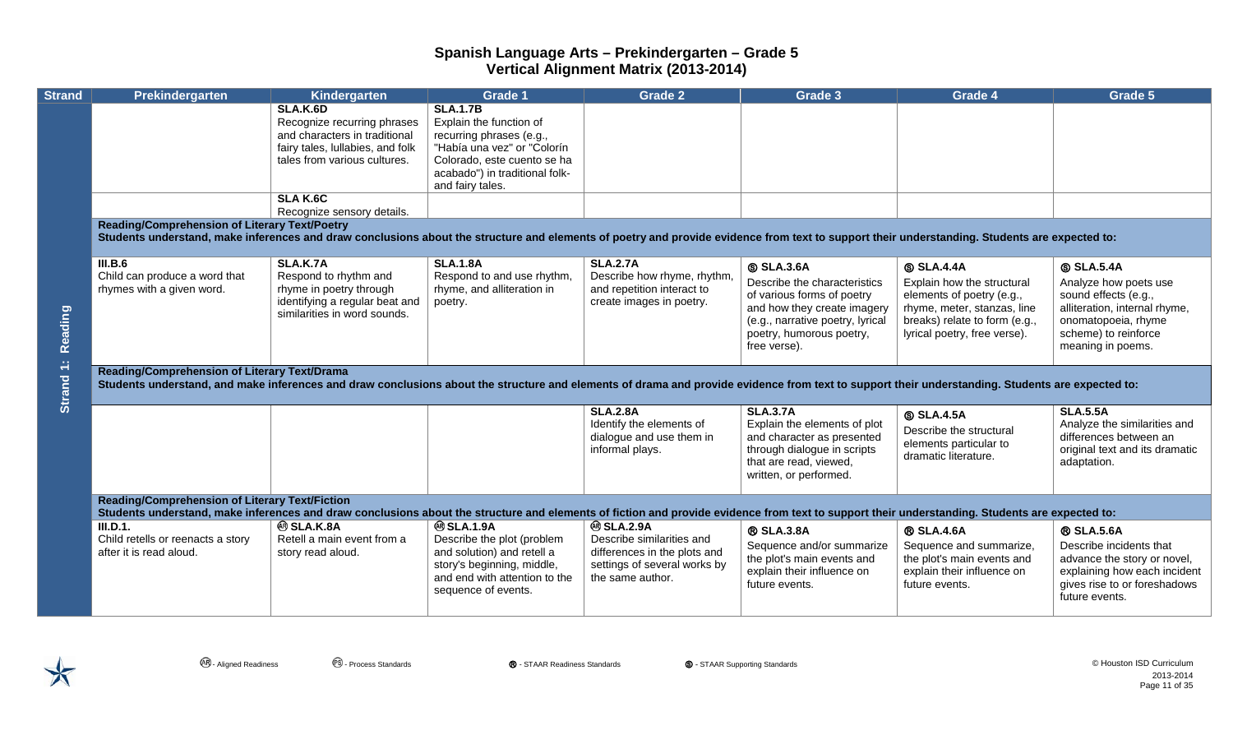| <b>Strand</b> | <b>Prekindergarten</b>                                                                                                                                                                                                                                                              | Kindergarten                                                                                                                                                          | Grade 1                                                                                                                                                                                    | <b>Grade 2</b>                                                                                                                    | Grade 3                                                                                                                                                                                      | Grade 4                                                                                                                                                                    | Grade 5                                                                                                                                                               |  |  |  |
|---------------|-------------------------------------------------------------------------------------------------------------------------------------------------------------------------------------------------------------------------------------------------------------------------------------|-----------------------------------------------------------------------------------------------------------------------------------------------------------------------|--------------------------------------------------------------------------------------------------------------------------------------------------------------------------------------------|-----------------------------------------------------------------------------------------------------------------------------------|----------------------------------------------------------------------------------------------------------------------------------------------------------------------------------------------|----------------------------------------------------------------------------------------------------------------------------------------------------------------------------|-----------------------------------------------------------------------------------------------------------------------------------------------------------------------|--|--|--|
|               |                                                                                                                                                                                                                                                                                     | <b>SLA.K.6D</b><br>Recognize recurring phrases<br>and characters in traditional<br>fairy tales, lullabies, and folk<br>tales from various cultures.<br><b>SLAK.6C</b> | <b>SLA.1.7B</b><br>Explain the function of<br>recurring phrases (e.g.,<br>"Había una vez" or "Colorín<br>Colorado, este cuento se ha<br>acabado") in traditional folk-<br>and fairy tales. |                                                                                                                                   |                                                                                                                                                                                              |                                                                                                                                                                            |                                                                                                                                                                       |  |  |  |
|               | Recognize sensory details.<br><b>Reading/Comprehension of Literary Text/Poetry</b><br>Students understand, make inferences and draw conclusions about the structure and elements of poetry and provide evidence from text to support their understanding. Students are expected to: |                                                                                                                                                                       |                                                                                                                                                                                            |                                                                                                                                   |                                                                                                                                                                                              |                                                                                                                                                                            |                                                                                                                                                                       |  |  |  |
| Reading       | III.B.6<br>Child can produce a word that<br>rhymes with a given word.                                                                                                                                                                                                               | <b>SLA.K.7A</b><br>Respond to rhythm and<br>rhyme in poetry through<br>identifying a regular beat and<br>similarities in word sounds.                                 | <b>SLA.1.8A</b><br>Respond to and use rhythm,<br>rhyme, and alliteration in<br>poetry.                                                                                                     | <b>SLA.2.7A</b><br>Describe how rhyme, rhythm,<br>and repetition interact to<br>create images in poetry.                          | <b>SLA.3.6A</b><br>Describe the characteristics<br>of various forms of poetry<br>and how they create imagery<br>(e.g., narrative poetry, lyrical<br>poetry, humorous poetry,<br>free verse). | <b>SLA.4.4A</b><br>Explain how the structural<br>elements of poetry (e.g.,<br>rhyme, meter, stanzas, line<br>breaks) relate to form (e.g.,<br>lyrical poetry, free verse). | <b>SLA.5.4A</b><br>Analyze how poets use<br>sound effects (e.g.,<br>alliteration, internal rhyme,<br>onomatopoeia, rhyme<br>scheme) to reinforce<br>meaning in poems. |  |  |  |
| Strand 1:     | <b>Reading/Comprehension of Literary Text/Drama</b><br>Students understand, and make inferences and draw conclusions about the structure and elements of drama and provide evidence from text to support their understanding. Students are expected to:                             |                                                                                                                                                                       |                                                                                                                                                                                            |                                                                                                                                   |                                                                                                                                                                                              |                                                                                                                                                                            |                                                                                                                                                                       |  |  |  |
|               |                                                                                                                                                                                                                                                                                     |                                                                                                                                                                       |                                                                                                                                                                                            | <b>SLA.2.8A</b><br>Identify the elements of<br>dialogue and use them in<br>informal plays.                                        | <b>SLA.3.7A</b><br>Explain the elements of plot<br>and character as presented<br>through dialogue in scripts<br>that are read, viewed,<br>written, or performed.                             | <b>SLA.4.5A</b><br>Describe the structural<br>elements particular to<br>dramatic literature.                                                                               | <b>SLA.5.5A</b><br>Analyze the similarities and<br>differences between an<br>original text and its dramatic<br>adaptation.                                            |  |  |  |
|               | <b>Reading/Comprehension of Literary Text/Fiction</b><br>Students understand, make inferences and draw conclusions about the structure and elements of fiction and provide evidence from text to support their understanding. Students are expected to:                             |                                                                                                                                                                       |                                                                                                                                                                                            |                                                                                                                                   |                                                                                                                                                                                              |                                                                                                                                                                            |                                                                                                                                                                       |  |  |  |
|               | III.D.1.<br>Child retells or reenacts a story<br>after it is read aloud.                                                                                                                                                                                                            | <b>@SLA.K.8A</b><br>Retell a main event from a<br>story read aloud.                                                                                                   | <b>@SLA.1.9A</b><br>Describe the plot (problem<br>and solution) and retell a<br>story's beginning, middle,<br>and end with attention to the<br>sequence of events.                         | <b>@SLA.2.9A</b><br>Describe similarities and<br>differences in the plots and<br>settings of several works by<br>the same author. | <b>® SLA.3.8A</b><br>Sequence and/or summarize<br>the plot's main events and<br>explain their influence on<br>future events.                                                                 | <b>® SLA.4.6A</b><br>Sequence and summarize,<br>the plot's main events and<br>explain their influence on<br>future events.                                                 | <b>® SLA.5.6A</b><br>Describe incidents that<br>advance the story or novel,<br>explaining how each incident<br>gives rise to or foreshadows<br>future events.         |  |  |  |

 $\bigtimes$ 

**<sup>④</sup> - Aligned Readiness** ● ● Process Standards ● ● STAAR Readiness Standards ● ● STAAR Supporting Standards ● ● Aligned Readiness ● ● Process Standards ● ● Process Standards ● ● Process Standards ● ● Process Standards ● 2013-2014 Page 11 of 35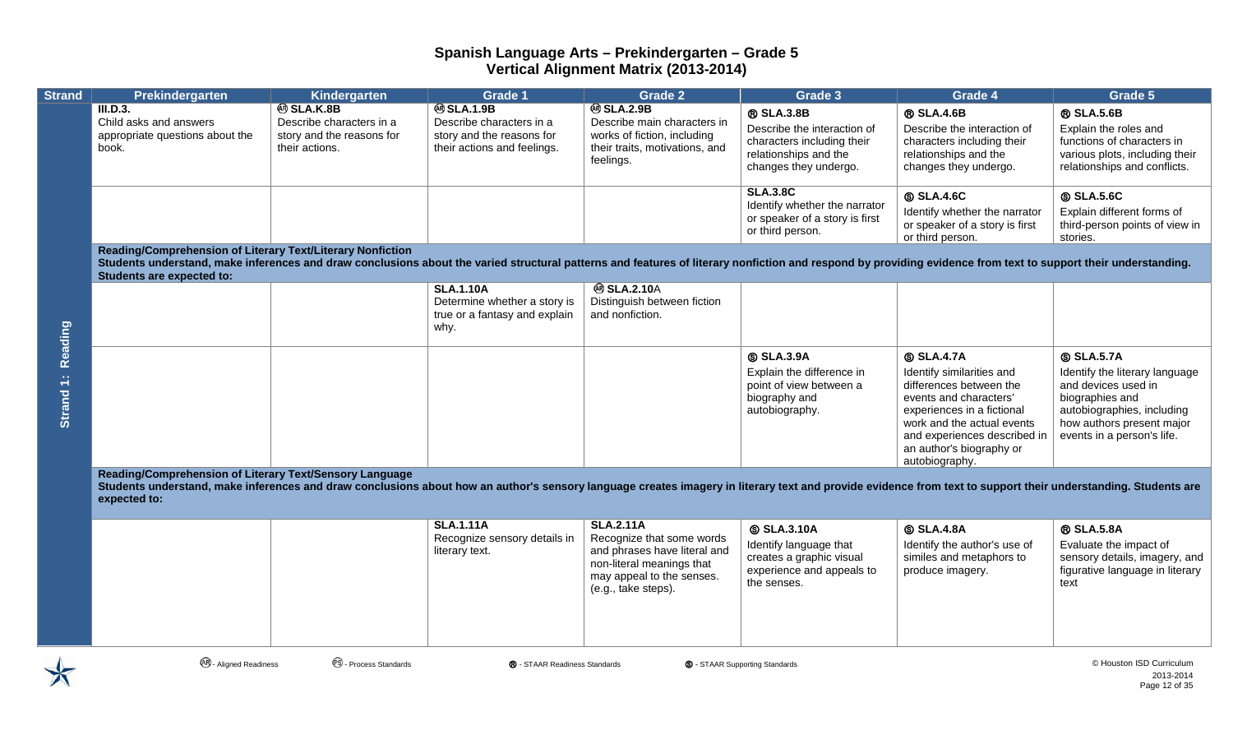| <b>Strand</b>        | Prekindergarten                                                                                                                                                                                                                                                                                                  | Kindergarten                                                                                | Grade 1                                                                                                  | <b>Grade 2</b>                                                                                                                                                 | Grade 3                                                                                                                          | Grade 4                                                                                                                                                                                                                                     | Grade 5                                                                                                                                                                              |
|----------------------|------------------------------------------------------------------------------------------------------------------------------------------------------------------------------------------------------------------------------------------------------------------------------------------------------------------|---------------------------------------------------------------------------------------------|----------------------------------------------------------------------------------------------------------|----------------------------------------------------------------------------------------------------------------------------------------------------------------|----------------------------------------------------------------------------------------------------------------------------------|---------------------------------------------------------------------------------------------------------------------------------------------------------------------------------------------------------------------------------------------|--------------------------------------------------------------------------------------------------------------------------------------------------------------------------------------|
|                      | <b>III.D.3.</b><br>Child asks and answers<br>appropriate questions about the<br>book.                                                                                                                                                                                                                            | <b>@SLA.K.8B</b><br>Describe characters in a<br>story and the reasons for<br>their actions. | <b>@SLA.1.9B</b><br>Describe characters in a<br>story and the reasons for<br>their actions and feelings. | <b>@SLA.2.9B</b><br>Describe main characters in<br>works of fiction, including<br>their traits, motivations, and<br>feelings.                                  | <b>® SLA.3.8B</b><br>Describe the interaction of<br>characters including their<br>relationships and the<br>changes they undergo. | <b>® SLA.4.6B</b><br>Describe the interaction of<br>characters including their<br>relationships and the<br>changes they undergo.                                                                                                            | <b>® SLA.5.6B</b><br>Explain the roles and<br>functions of characters in<br>various plots, including their<br>relationships and conflicts.                                           |
|                      |                                                                                                                                                                                                                                                                                                                  |                                                                                             |                                                                                                          |                                                                                                                                                                | <b>SLA.3.8C</b><br>Identify whether the narrator<br>or speaker of a story is first<br>or third person.                           | <b>SLA.4.6C</b><br>Identify whether the narrator<br>or speaker of a story is first<br>or third person.                                                                                                                                      | <b>SLA.5.6C</b><br>Explain different forms of<br>third-person points of view in<br>stories.                                                                                          |
|                      | Reading/Comprehension of Literary Text/Literary Nonfiction<br>Students understand, make inferences and draw conclusions about the varied structural patterns and features of literary nonfiction and respond by providing evidence from text to support their understanding.<br><b>Students are expected to:</b> |                                                                                             |                                                                                                          |                                                                                                                                                                |                                                                                                                                  |                                                                                                                                                                                                                                             |                                                                                                                                                                                      |
| Reading              |                                                                                                                                                                                                                                                                                                                  |                                                                                             | <b>SLA.1.10A</b><br>Determine whether a story is<br>true or a fantasy and explain<br>why.                | <b>@SLA.2.10A</b><br>Distinguish between fiction<br>and nonfiction.                                                                                            |                                                                                                                                  |                                                                                                                                                                                                                                             |                                                                                                                                                                                      |
| Strand <sub>1:</sub> |                                                                                                                                                                                                                                                                                                                  |                                                                                             |                                                                                                          |                                                                                                                                                                | <b>SLA.3.9A</b><br>Explain the difference in<br>point of view between a<br>biography and<br>autobiography.                       | <b>SLA.4.7A</b><br>Identify similarities and<br>differences between the<br>events and characters'<br>experiences in a fictional<br>work and the actual events<br>and experiences described in<br>an author's biography or<br>autobiography. | <b>SLA.5.7A</b><br>Identify the literary language<br>and devices used in<br>biographies and<br>autobiographies, including<br>how authors present major<br>events in a person's life. |
|                      | Reading/Comprehension of Literary Text/Sensory Language<br>Students understand, make inferences and draw conclusions about how an author's sensory language creates imagery in literary text and provide evidence from text to support their understanding. Students are<br>expected to:                         |                                                                                             |                                                                                                          |                                                                                                                                                                |                                                                                                                                  |                                                                                                                                                                                                                                             |                                                                                                                                                                                      |
|                      |                                                                                                                                                                                                                                                                                                                  |                                                                                             | <b>SLA.1.11A</b><br>Recognize sensory details in<br>literary text.                                       | <b>SLA.2.11A</b><br>Recognize that some words<br>and phrases have literal and<br>non-literal meanings that<br>may appeal to the senses.<br>(e.g., take steps). | <b>SLA.3.10A</b><br>Identify language that<br>creates a graphic visual<br>experience and appeals to<br>the senses.               | <b>SLA.4.8A</b><br>Identify the author's use of<br>similes and metaphors to<br>produce imagery.                                                                                                                                             | <b>® SLA.5.8A</b><br>Evaluate the impact of<br>sensory details, imagery, and<br>figurative language in literary<br>text                                                              |



**<sup>④</sup> - Aligned Readiness** ● ● Process Standards ● ● STAAR Readiness Standards ● ● STAAR Supporting Standards ● ● Aligned Readiness ● ● Process Standards ● ● Process Standards ● ● Process Standards ● ● Process Standards ●

2013-2014 Page 12 of 35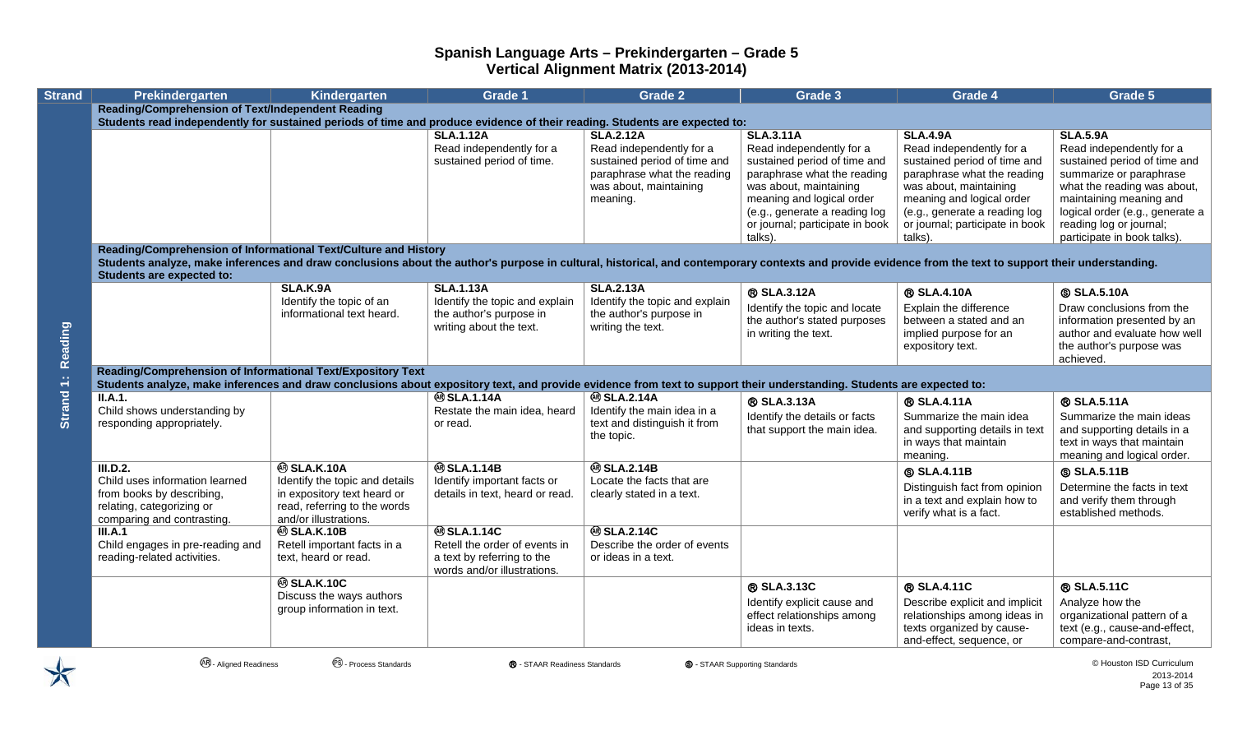| <b>Strand</b> | Prekindergarten                                                                                                                                                                                                                             | Kindergarten                                                                                                           | <b>Grade 1</b>                                                            | <b>Grade 2</b>                                                               | <b>Grade 3</b>                                                                                                      | <b>Grade 4</b>                                                                                                      | Grade 5                                                                                                              |
|---------------|---------------------------------------------------------------------------------------------------------------------------------------------------------------------------------------------------------------------------------------------|------------------------------------------------------------------------------------------------------------------------|---------------------------------------------------------------------------|------------------------------------------------------------------------------|---------------------------------------------------------------------------------------------------------------------|---------------------------------------------------------------------------------------------------------------------|----------------------------------------------------------------------------------------------------------------------|
|               | <b>Reading/Comprehension of Text/Independent Reading</b>                                                                                                                                                                                    |                                                                                                                        |                                                                           |                                                                              |                                                                                                                     |                                                                                                                     |                                                                                                                      |
|               | Students read independently for sustained periods of time and produce evidence of their reading. Students are expected to:                                                                                                                  |                                                                                                                        |                                                                           |                                                                              |                                                                                                                     |                                                                                                                     |                                                                                                                      |
|               |                                                                                                                                                                                                                                             |                                                                                                                        | <b>SLA.1.12A</b><br>Read independently for a<br>sustained period of time. | <b>SLA.2.12A</b><br>Read independently for a<br>sustained period of time and | <b>SLA.3.11A</b><br>Read independently for a<br>sustained period of time and                                        | <b>SLA.4.9A</b><br>Read independently for a<br>sustained period of time and                                         | <b>SLA.5.9A</b><br>Read independently for a<br>sustained period of time and                                          |
|               |                                                                                                                                                                                                                                             |                                                                                                                        |                                                                           | paraphrase what the reading<br>was about, maintaining<br>meaning.            | paraphrase what the reading<br>was about, maintaining<br>meaning and logical order<br>(e.g., generate a reading log | paraphrase what the reading<br>was about, maintaining<br>meaning and logical order<br>(e.g., generate a reading log | summarize or paraphrase<br>what the reading was about,<br>maintaining meaning and<br>logical order (e.g., generate a |
|               |                                                                                                                                                                                                                                             |                                                                                                                        |                                                                           |                                                                              | or journal; participate in book<br>talks).                                                                          | or journal; participate in book<br>talks).                                                                          | reading log or journal;<br>participate in book talks).                                                               |
|               | Reading/Comprehension of Informational Text/Culture and History                                                                                                                                                                             |                                                                                                                        |                                                                           |                                                                              |                                                                                                                     |                                                                                                                     |                                                                                                                      |
|               | Students analyze, make inferences and draw conclusions about the author's purpose in cultural, historical, and contemporary contexts and provide evidence from the text to support their understanding.<br><b>Students are expected to:</b> |                                                                                                                        |                                                                           |                                                                              |                                                                                                                     |                                                                                                                     |                                                                                                                      |
|               |                                                                                                                                                                                                                                             | SLA.K.9A                                                                                                               | <b>SLA.1.13A</b>                                                          | <b>SLA.2.13A</b>                                                             | <b>® SLA.3.12A</b>                                                                                                  | <b>® SLA.4.10A</b>                                                                                                  | <b>SLA.5.10A</b>                                                                                                     |
|               |                                                                                                                                                                                                                                             | Identify the topic of an<br>informational text heard.                                                                  | Identify the topic and explain<br>the author's purpose in                 | Identify the topic and explain<br>the author's purpose in                    | Identify the topic and locate                                                                                       | Explain the difference                                                                                              | Draw conclusions from the                                                                                            |
| Reading       |                                                                                                                                                                                                                                             |                                                                                                                        | writing about the text.                                                   | writing the text.                                                            | the author's stated purposes<br>in writing the text.                                                                | between a stated and an<br>implied purpose for an<br>expository text.                                               | information presented by an<br>author and evaluate how well<br>the author's purpose was<br>achieved.                 |
|               | Reading/Comprehension of Informational Text/Expository Text<br>Students analyze, make inferences and draw conclusions about expository text, and provide evidence from text to support their understanding. Students are expected to:       |                                                                                                                        |                                                                           |                                                                              |                                                                                                                     |                                                                                                                     |                                                                                                                      |
|               | II.A.1.                                                                                                                                                                                                                                     |                                                                                                                        | <b>@SLA.1.14A</b>                                                         | <b>@SLA.2.14A</b>                                                            | ® SLA.3.13A                                                                                                         | ® SLA.4.11A                                                                                                         | <b>® SLA.5.11A</b>                                                                                                   |
| Strand 1:     | Child shows understanding by<br>responding appropriately.                                                                                                                                                                                   |                                                                                                                        | Restate the main idea, heard<br>or read.                                  | Identify the main idea in a<br>text and distinguish it from<br>the topic.    | Identify the details or facts<br>that support the main idea.                                                        | Summarize the main idea<br>and supporting details in text<br>in ways that maintain<br>meaning.                      | Summarize the main ideas<br>and supporting details in a<br>text in ways that maintain<br>meaning and logical order.  |
|               | III.D.2.<br>Child uses information learned                                                                                                                                                                                                  | <b>@SLA.K.10A</b>                                                                                                      | <b>@SLA.1.14B</b>                                                         | <b>@SLA.2.14B</b><br>Locate the facts that are                               |                                                                                                                     | <b>SLA.4.11B</b>                                                                                                    | <b>SLA.5.11B</b>                                                                                                     |
|               | from books by describing,<br>relating, categorizing or<br>comparing and contrasting.                                                                                                                                                        | Identify the topic and details<br>in expository text heard or<br>read, referring to the words<br>and/or illustrations. | Identify important facts or<br>details in text, heard or read.            | clearly stated in a text.                                                    |                                                                                                                     | Distinguish fact from opinion<br>in a text and explain how to<br>verify what is a fact.                             | Determine the facts in text<br>and verify them through<br>established methods.                                       |
|               | III.A.1                                                                                                                                                                                                                                     | <b>@SLA.K.10B</b>                                                                                                      | <b>@SLA.1.14C</b>                                                         | <b>@SLA.2.14C</b>                                                            |                                                                                                                     |                                                                                                                     |                                                                                                                      |
|               | Child engages in pre-reading and                                                                                                                                                                                                            | Retell important facts in a                                                                                            | Retell the order of events in                                             | Describe the order of events                                                 |                                                                                                                     |                                                                                                                     |                                                                                                                      |
|               | reading-related activities.                                                                                                                                                                                                                 | text, heard or read.                                                                                                   | a text by referring to the<br>words and/or illustrations.                 | or ideas in a text.                                                          |                                                                                                                     |                                                                                                                     |                                                                                                                      |
|               |                                                                                                                                                                                                                                             | <b>@SLA.K.10C</b>                                                                                                      |                                                                           |                                                                              | ® SLA.3.13C                                                                                                         | ® SLA.4.11C                                                                                                         | ® SLA.5.11C                                                                                                          |
|               |                                                                                                                                                                                                                                             | Discuss the ways authors<br>group information in text.                                                                 |                                                                           |                                                                              | Identify explicit cause and<br>effect relationships among<br>ideas in texts.                                        | Describe explicit and implicit<br>relationships among ideas in<br>texts organized by cause-                         | Analyze how the<br>organizational pattern of a<br>text (e.g., cause-and-effect,                                      |
|               |                                                                                                                                                                                                                                             |                                                                                                                        |                                                                           |                                                                              |                                                                                                                     | and-effect, sequence, or                                                                                            | compare-and-contrast,                                                                                                |

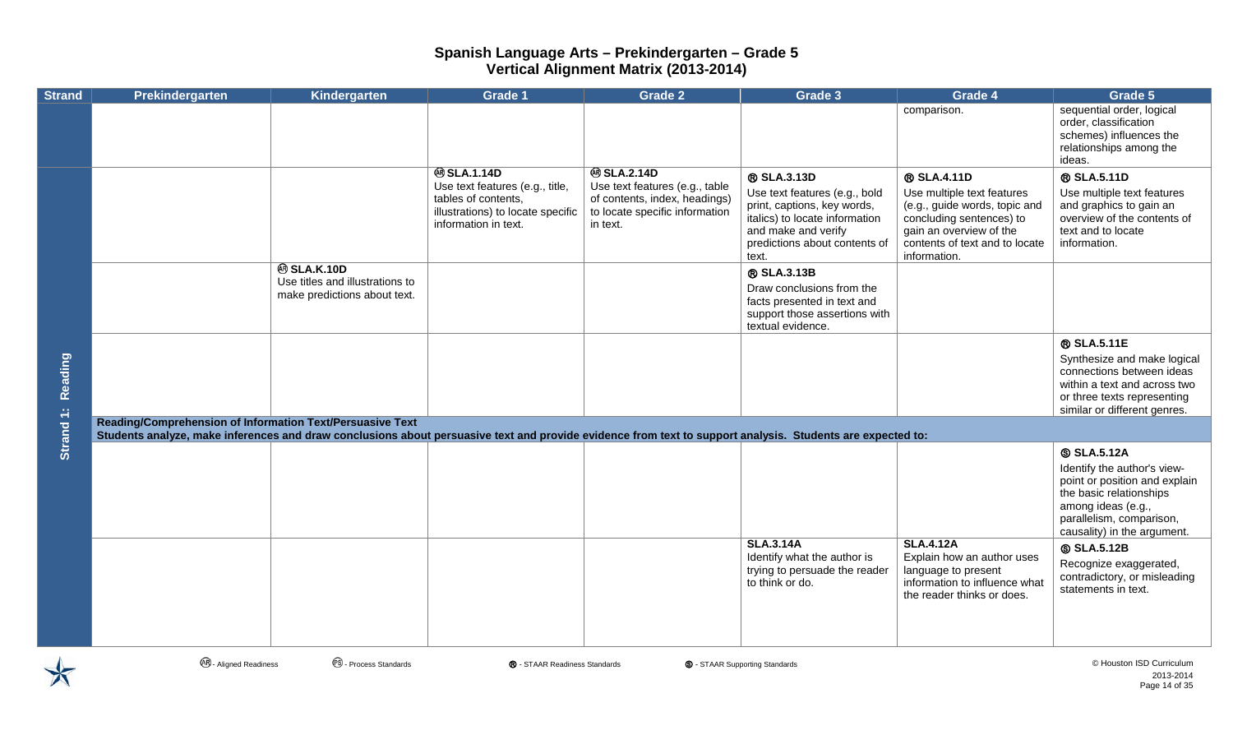| <b>Strand</b> | Prekindergarten                                                                                                                                                                                                         | Kindergarten                                                                         | <b>Grade 1</b>                                                                                                                           | <b>Grade 2</b>                                                                                                                     | Grade 3                                                                                                                                                                        | Grade 4                                                                                                                                                                             | Grade 5                                                                                                                                                                                      |
|---------------|-------------------------------------------------------------------------------------------------------------------------------------------------------------------------------------------------------------------------|--------------------------------------------------------------------------------------|------------------------------------------------------------------------------------------------------------------------------------------|------------------------------------------------------------------------------------------------------------------------------------|--------------------------------------------------------------------------------------------------------------------------------------------------------------------------------|-------------------------------------------------------------------------------------------------------------------------------------------------------------------------------------|----------------------------------------------------------------------------------------------------------------------------------------------------------------------------------------------|
|               |                                                                                                                                                                                                                         |                                                                                      |                                                                                                                                          |                                                                                                                                    |                                                                                                                                                                                | comparison.                                                                                                                                                                         | sequential order, logical<br>order, classification<br>schemes) influences the<br>relationships among the<br>ideas.                                                                           |
|               |                                                                                                                                                                                                                         |                                                                                      | <b>@SLA.1.14D</b><br>Use text features (e.g., title,<br>tables of contents,<br>illustrations) to locate specific<br>information in text. | <b>@SLA.2.14D</b><br>Use text features (e.g., table<br>of contents, index, headings)<br>to locate specific information<br>in text. | ® SLA.3.13D<br>Use text features (e.g., bold<br>print, captions, key words,<br>italics) to locate information<br>and make and verify<br>predictions about contents of<br>text. | ® SLA.4.11D<br>Use multiple text features<br>(e.g., guide words, topic and<br>concluding sentences) to<br>gain an overview of the<br>contents of text and to locate<br>information. | ® SLA.5.11D<br>Use multiple text features<br>and graphics to gain an<br>overview of the contents of<br>text and to locate<br>information.                                                    |
|               |                                                                                                                                                                                                                         | <b>@SLA.K.10D</b><br>Use titles and illustrations to<br>make predictions about text. |                                                                                                                                          |                                                                                                                                    | ® SLA.3.13B<br>Draw conclusions from the<br>facts presented in text and<br>support those assertions with<br>textual evidence.                                                  |                                                                                                                                                                                     |                                                                                                                                                                                              |
| Reading       |                                                                                                                                                                                                                         |                                                                                      |                                                                                                                                          |                                                                                                                                    |                                                                                                                                                                                |                                                                                                                                                                                     | ® SLA.5.11E<br>Synthesize and make logical<br>connections between ideas<br>within a text and across two<br>or three texts representing<br>similar or different genres.                       |
| Strand 1:     | Reading/Comprehension of Information Text/Persuasive Text<br>Students analyze, make inferences and draw conclusions about persuasive text and provide evidence from text to support analysis. Students are expected to: |                                                                                      |                                                                                                                                          |                                                                                                                                    |                                                                                                                                                                                |                                                                                                                                                                                     |                                                                                                                                                                                              |
|               |                                                                                                                                                                                                                         |                                                                                      |                                                                                                                                          |                                                                                                                                    |                                                                                                                                                                                |                                                                                                                                                                                     | <b>SLA.5.12A</b><br>Identify the author's view-<br>point or position and explain<br>the basic relationships<br>among ideas (e.g.,<br>parallelism, comparison,<br>causality) in the argument. |
|               |                                                                                                                                                                                                                         |                                                                                      |                                                                                                                                          |                                                                                                                                    | <b>SLA.3.14A</b><br>Identify what the author is<br>trying to persuade the reader<br>to think or do.                                                                            | <b>SLA.4.12A</b><br>Explain how an author uses<br>language to present<br>information to influence what<br>the reader thinks or does.                                                | <b>SLA.5.12B</b><br>Recognize exaggerated,<br>contradictory, or misleading<br>statements in text.                                                                                            |



**<sup>④</sup> - Aligned Readiness** ● ● Process Standards ● ● STAAR Readiness Standards ● ● STAAR Supporting Standards ● ● Aligned Readiness ● ● Process Standards ● ● Process Standards ● ● Process Standards ● ● Process Standards ●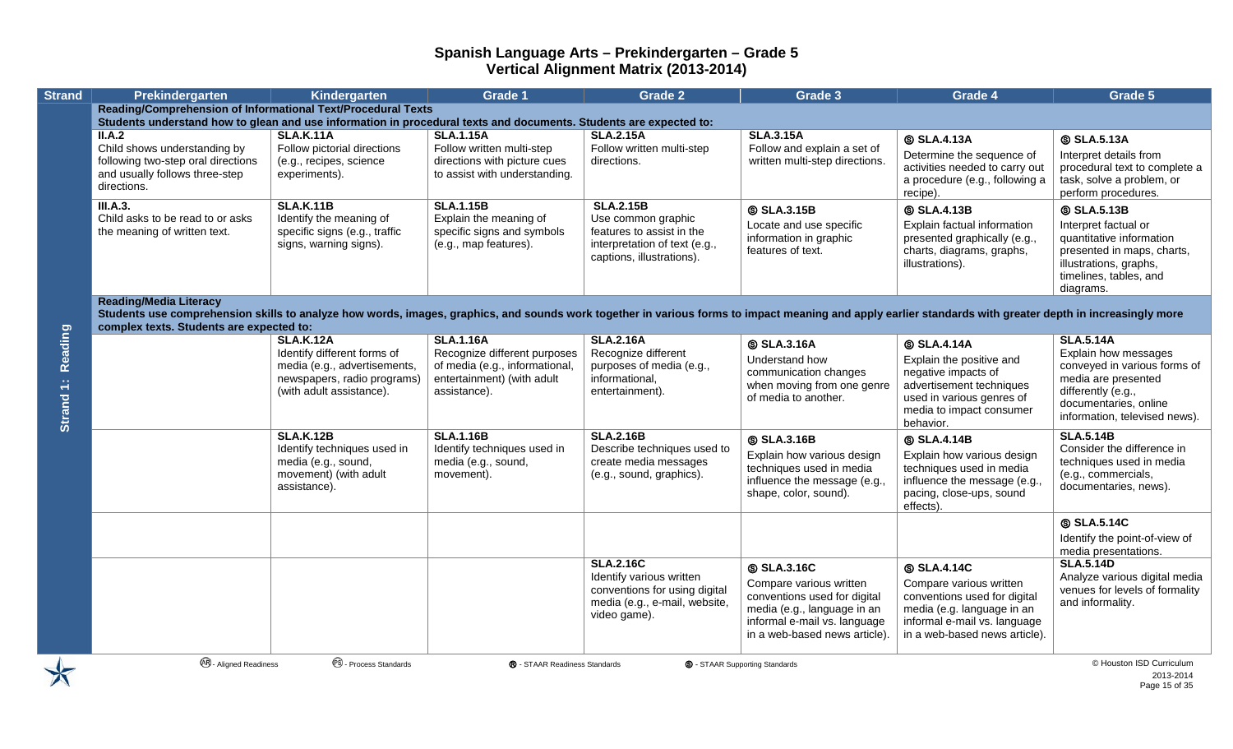| <b>Strand</b>                   | Prekindergarten                                                                                                                                                                                                                                                                        | Kindergarten                                                                                                           | <b>Grade 1</b>                                                                                               | Grade 2                                                                                                                        | <b>Grade 3</b>                                                                                                                                                              | Grade 4                                                                                                                                                                    | Grade 5                                                                                                                                                     |
|---------------------------------|----------------------------------------------------------------------------------------------------------------------------------------------------------------------------------------------------------------------------------------------------------------------------------------|------------------------------------------------------------------------------------------------------------------------|--------------------------------------------------------------------------------------------------------------|--------------------------------------------------------------------------------------------------------------------------------|-----------------------------------------------------------------------------------------------------------------------------------------------------------------------------|----------------------------------------------------------------------------------------------------------------------------------------------------------------------------|-------------------------------------------------------------------------------------------------------------------------------------------------------------|
|                                 | <b>Reading/Comprehension of Informational Text/Procedural Texts</b>                                                                                                                                                                                                                    |                                                                                                                        |                                                                                                              |                                                                                                                                |                                                                                                                                                                             |                                                                                                                                                                            |                                                                                                                                                             |
|                                 | Students understand how to glean and use information in procedural texts and documents. Students are expected to:<br>II.A.2                                                                                                                                                            | <b>SLA.K.11A</b>                                                                                                       | <b>SLA.1.15A</b>                                                                                             | <b>SLA.2.15A</b>                                                                                                               | <b>SLA.3.15A</b>                                                                                                                                                            |                                                                                                                                                                            |                                                                                                                                                             |
|                                 | Child shows understanding by<br>following two-step oral directions<br>and usually follows three-step<br>directions.                                                                                                                                                                    | Follow pictorial directions<br>(e.g., recipes, science<br>experiments).                                                | Follow written multi-step<br>directions with picture cues<br>to assist with understanding.                   | Follow written multi-step<br>directions.                                                                                       | Follow and explain a set of<br>written multi-step directions.                                                                                                               | <b>SLA.4.13A</b><br>Determine the sequence of<br>activities needed to carry out<br>a procedure (e.g., following a<br>recipe).                                              | <b>SLA.5.13A</b><br>Interpret details from<br>procedural text to complete a<br>task, solve a problem, or<br>perform procedures.                             |
|                                 | III.A.3.                                                                                                                                                                                                                                                                               | <b>SLA.K.11B</b>                                                                                                       | <b>SLA.1.15B</b>                                                                                             | <b>SLA.2.15B</b>                                                                                                               | <b>SLA.3.15B</b>                                                                                                                                                            | <b>SLA.4.13B</b>                                                                                                                                                           | <b>SLA.5.13B</b>                                                                                                                                            |
|                                 | Child asks to be read to or asks<br>the meaning of written text.                                                                                                                                                                                                                       | Identify the meaning of<br>specific signs (e.g., traffic<br>signs, warning signs).                                     | Explain the meaning of<br>specific signs and symbols<br>(e.g., map features).                                | Use common graphic<br>features to assist in the<br>interpretation of text (e.g.,<br>captions, illustrations).                  | Locate and use specific<br>information in graphic<br>features of text.                                                                                                      | Explain factual information<br>presented graphically (e.g.,<br>charts, diagrams, graphs,<br>illustrations).                                                                | Interpret factual or<br>quantitative information<br>presented in maps, charts,<br>illustrations, graphs,<br>timelines, tables, and<br>diagrams.             |
|                                 | <b>Reading/Media Literacy</b><br>Students use comprehension skills to analyze how words, images, graphics, and sounds work together in various forms to impact meaning and apply earlier standards with greater depth in increasingly more<br>complex texts. Students are expected to: |                                                                                                                        |                                                                                                              |                                                                                                                                |                                                                                                                                                                             |                                                                                                                                                                            |                                                                                                                                                             |
|                                 |                                                                                                                                                                                                                                                                                        | <b>SLA.K.12A</b>                                                                                                       | <b>SLA.1.16A</b>                                                                                             | <b>SLA.2.16A</b>                                                                                                               | <b>SLA.3.16A</b>                                                                                                                                                            | <b>SLA.4.14A</b>                                                                                                                                                           | <b>SLA.5.14A</b>                                                                                                                                            |
| Reading<br>Strand <sub>1:</sub> |                                                                                                                                                                                                                                                                                        | Identify different forms of<br>media (e.g., advertisements,<br>newspapers, radio programs)<br>(with adult assistance). | Recognize different purposes<br>of media (e.g., informational,<br>entertainment) (with adult<br>assistance). | Recognize different<br>purposes of media (e.g.,<br>informational,<br>entertainment).                                           | Understand how<br>communication changes<br>when moving from one genre<br>of media to another.                                                                               | Explain the positive and<br>negative impacts of<br>advertisement techniques<br>used in various genres of<br>media to impact consumer<br>behavior.                          | Explain how messages<br>conveyed in various forms of<br>media are presented<br>differently (e.g.,<br>documentaries, online<br>information, televised news). |
|                                 |                                                                                                                                                                                                                                                                                        | <b>SLA.K.12B</b>                                                                                                       | <b>SLA.1.16B</b>                                                                                             | <b>SLA.2.16B</b>                                                                                                               | <b>SLA.3.16B</b>                                                                                                                                                            | <b>SLA.4.14B</b>                                                                                                                                                           | <b>SLA.5.14B</b>                                                                                                                                            |
|                                 |                                                                                                                                                                                                                                                                                        | Identify techniques used in<br>media (e.g., sound,<br>movement) (with adult<br>assistance).                            | Identify techniques used in<br>media (e.g., sound,<br>movement).                                             | Describe techniques used to<br>create media messages<br>(e.g., sound, graphics).                                               | Explain how various design<br>techniques used in media<br>influence the message (e.g.,<br>shape, color, sound).                                                             | Explain how various design<br>techniques used in media<br>influence the message (e.g.,<br>pacing, close-ups, sound<br>effects).                                            | Consider the difference in<br>techniques used in media<br>(e.g., commercials,<br>documentaries, news).                                                      |
|                                 |                                                                                                                                                                                                                                                                                        |                                                                                                                        |                                                                                                              |                                                                                                                                |                                                                                                                                                                             |                                                                                                                                                                            | <b>SLA.5.14C</b>                                                                                                                                            |
|                                 |                                                                                                                                                                                                                                                                                        |                                                                                                                        |                                                                                                              |                                                                                                                                |                                                                                                                                                                             |                                                                                                                                                                            | Identify the point-of-view of<br>media presentations.                                                                                                       |
|                                 |                                                                                                                                                                                                                                                                                        |                                                                                                                        |                                                                                                              | <b>SLA.2.16C</b><br>Identify various written<br>conventions for using digital<br>media (e.g., e-mail, website,<br>video game). | <b>SLA.3.16C</b><br>Compare various written<br>conventions used for digital<br>media (e.g., language in an<br>informal e-mail vs. language<br>in a web-based news article). | <b>SLA.4.14C</b><br>Compare various written<br>conventions used for digital<br>media (e.g. language in an<br>informal e-mail vs. language<br>in a web-based news article). | <b>SLA.5.14D</b><br>Analyze various digital media<br>venues for levels of formality<br>and informality.                                                     |
|                                 | <b>48</b> - Aligned Readiness                                                                                                                                                                                                                                                          | <sup>6</sup> - Process Standards                                                                                       | ® - STAAR Readiness Standards                                                                                |                                                                                                                                | <b>S</b> - STAAR Supporting Standards                                                                                                                                       |                                                                                                                                                                            | © Houston ISD Curriculum                                                                                                                                    |

2013-2014 Page 15 of 35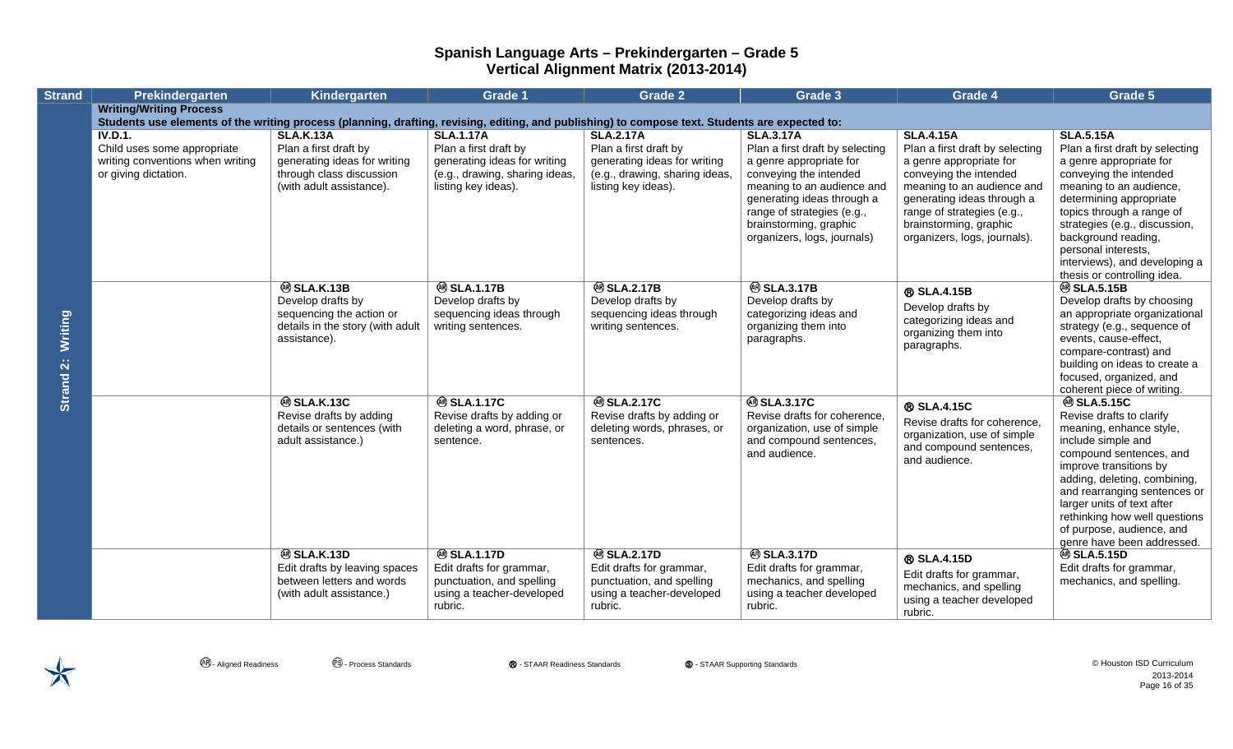| <b>Strand</b>        | Prekindergarten                                                                                                                                 | Kindergarten                                                                                                                      | <b>Grade 1</b>                                                                                                                     | <b>Grade 2</b>                                                                                                                     | Grade 3                                                                                                                                                                                                                                                     | Grade 4                                                                                                                                                                                                                                                      | Grade 5                                                                                                                                                                                                                                                                                                                                            |
|----------------------|-------------------------------------------------------------------------------------------------------------------------------------------------|-----------------------------------------------------------------------------------------------------------------------------------|------------------------------------------------------------------------------------------------------------------------------------|------------------------------------------------------------------------------------------------------------------------------------|-------------------------------------------------------------------------------------------------------------------------------------------------------------------------------------------------------------------------------------------------------------|--------------------------------------------------------------------------------------------------------------------------------------------------------------------------------------------------------------------------------------------------------------|----------------------------------------------------------------------------------------------------------------------------------------------------------------------------------------------------------------------------------------------------------------------------------------------------------------------------------------------------|
|                      | <b>Writing/Writing Process</b>                                                                                                                  |                                                                                                                                   |                                                                                                                                    |                                                                                                                                    |                                                                                                                                                                                                                                                             |                                                                                                                                                                                                                                                              |                                                                                                                                                                                                                                                                                                                                                    |
|                      | Students use elements of the writing process (planning, drafting, revising, editing, and publishing) to compose text. Students are expected to: |                                                                                                                                   |                                                                                                                                    |                                                                                                                                    |                                                                                                                                                                                                                                                             |                                                                                                                                                                                                                                                              |                                                                                                                                                                                                                                                                                                                                                    |
| Writing<br>Strand 2: | <b>IV.D.1.</b><br>Child uses some appropriate<br>writing conventions when writing<br>or giving dictation.                                       | <b>SLA.K.13A</b><br>Plan a first draft by<br>generating ideas for writing<br>through class discussion<br>(with adult assistance). | <b>SLA.1.17A</b><br>Plan a first draft by<br>generating ideas for writing<br>(e.g., drawing, sharing ideas,<br>listing key ideas). | <b>SLA.2.17A</b><br>Plan a first draft by<br>generating ideas for writing<br>(e.g., drawing, sharing ideas,<br>listing key ideas). | <b>SLA.3.17A</b><br>Plan a first draft by selecting<br>a genre appropriate for<br>conveying the intended<br>meaning to an audience and<br>generating ideas through a<br>range of strategies (e.g.,<br>brainstorming, graphic<br>organizers, logs, journals) | <b>SLA.4.15A</b><br>Plan a first draft by selecting<br>a genre appropriate for<br>conveying the intended<br>meaning to an audience and<br>generating ideas through a<br>range of strategies (e.g.,<br>brainstorming, graphic<br>organizers, logs, journals). | <b>SLA.5.15A</b><br>Plan a first draft by selecting<br>a genre appropriate for<br>conveying the intended<br>meaning to an audience,<br>determining appropriate<br>topics through a range of<br>strategies (e.g., discussion,<br>background reading,<br>personal interests,<br>interviews), and developing a                                        |
|                      |                                                                                                                                                 | <b>@SLA.K.13B</b><br>Develop drafts by<br>sequencing the action or<br>details in the story (with adult<br>assistance).            | <b>@SLA.1.17B</b><br>Develop drafts by<br>sequencing ideas through<br>writing sentences.                                           | <b>@SLA.2.17B</b><br>Develop drafts by<br>sequencing ideas through<br>writing sentences.                                           | <b>@SLA.3.17B</b><br>Develop drafts by<br>categorizing ideas and<br>organizing them into<br>paragraphs.                                                                                                                                                     | ® SLA.4.15B<br>Develop drafts by<br>categorizing ideas and<br>organizing them into<br>paragraphs.                                                                                                                                                            | thesis or controlling idea.<br><b>@SLA.5.15B</b><br>Develop drafts by choosing<br>an appropriate organizational<br>strategy (e.g., sequence of<br>events, cause-effect,<br>compare-contrast) and<br>building on ideas to create a<br>focused, organized, and<br>coherent piece of writing.                                                         |
|                      |                                                                                                                                                 | <b>@SLA.K.13C</b><br>Revise drafts by adding<br>details or sentences (with<br>adult assistance.)                                  | <b>@SLA.1.17C</b><br>Revise drafts by adding or<br>deleting a word, phrase, or<br>sentence.                                        | <b>@SLA.2.17C</b><br>Revise drafts by adding or<br>deleting words, phrases, or<br>sentences.                                       | <b>@SLA.3.17C</b><br>Revise drafts for coherence.<br>organization, use of simple<br>and compound sentences,<br>and audience.                                                                                                                                | ® SLA.4.15C<br>Revise drafts for coherence,<br>organization, use of simple<br>and compound sentences,<br>and audience.                                                                                                                                       | <sup>⑧</sup> SLA.5.15C<br>Revise drafts to clarify<br>meaning, enhance style,<br>include simple and<br>compound sentences, and<br>improve transitions by<br>adding, deleting, combining,<br>and rearranging sentences or<br>larger units of text after<br>rethinking how well questions<br>of purpose, audience, and<br>genre have been addressed. |
|                      |                                                                                                                                                 | <b>@SLA.K.13D</b><br>Edit drafts by leaving spaces<br>between letters and words<br>(with adult assistance.)                       | <b>@SLA.1.17D</b><br>Edit drafts for grammar,<br>punctuation, and spelling<br>using a teacher-developed<br>rubric.                 | <b>@SLA.2.17D</b><br>Edit drafts for grammar,<br>punctuation, and spelling<br>using a teacher-developed<br>rubric.                 | <b>@SLA.3.17D</b><br>Edit drafts for grammar,<br>mechanics, and spelling<br>using a teacher developed<br>rubric.                                                                                                                                            | ® SLA.4.15D<br>Edit drafts for grammar,<br>mechanics, and spelling<br>using a teacher developed<br>rubric.                                                                                                                                                   | <b>@ SLA.5.15D</b><br>Edit drafts for grammar,<br>mechanics, and spelling.                                                                                                                                                                                                                                                                         |

**<sup>④</sup> - Aligned Readiness** ● ● Process Standards ● ● STAAR Readiness Standards ● ● STAAR Supporting Standards ● ● Aligned Readiness ● ● Process Standards ● ● Process Standards ● ● Process Standards ● ● Process Standards ● 2013-2014 Page 16 of 35

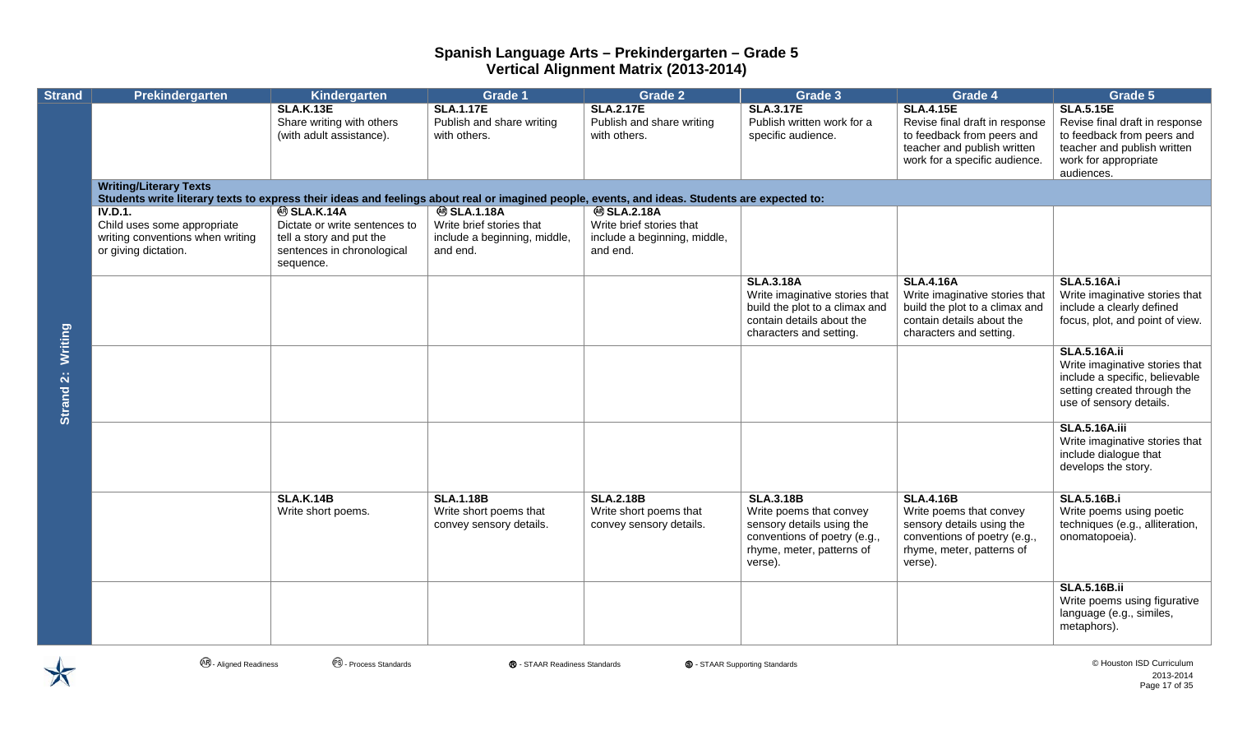| <b>Strand</b>        | Prekindergarten                                                                                                                                                                | Kindergarten                                                                                                              | <b>Grade 1</b>                                                                            | <b>Grade 2</b>                                                                            | Grade 3                                                                                                                                          | Grade 4                                                                                                                                          | Grade 5                                                                                                                                               |
|----------------------|--------------------------------------------------------------------------------------------------------------------------------------------------------------------------------|---------------------------------------------------------------------------------------------------------------------------|-------------------------------------------------------------------------------------------|-------------------------------------------------------------------------------------------|--------------------------------------------------------------------------------------------------------------------------------------------------|--------------------------------------------------------------------------------------------------------------------------------------------------|-------------------------------------------------------------------------------------------------------------------------------------------------------|
|                      |                                                                                                                                                                                | <b>SLA.K.13E</b><br>Share writing with others<br>(with adult assistance).                                                 | <b>SLA.1.17E</b><br>Publish and share writing<br>with others.                             | <b>SLA.2.17E</b><br>Publish and share writing<br>with others.                             | <b>SLA.3.17E</b><br>Publish written work for a<br>specific audience.                                                                             | <b>SLA.4.15E</b><br>Revise final draft in response<br>to feedback from peers and<br>teacher and publish written<br>work for a specific audience. | <b>SLA.5.15E</b><br>Revise final draft in response<br>to feedback from peers and<br>teacher and publish written<br>work for appropriate<br>audiences. |
| Writing<br>Strand 2: | <b>Writing/Literary Texts</b><br>Students write literary texts to express their ideas and feelings about real or imagined people, events, and ideas. Students are expected to: |                                                                                                                           |                                                                                           |                                                                                           |                                                                                                                                                  |                                                                                                                                                  |                                                                                                                                                       |
|                      | IV.D.1.<br>Child uses some appropriate<br>writing conventions when writing<br>or giving dictation.                                                                             | <b>@SLA.K.14A</b><br>Dictate or write sentences to<br>tell a story and put the<br>sentences in chronological<br>sequence. | <b>@SLA.1.18A</b><br>Write brief stories that<br>include a beginning, middle,<br>and end. | <b>@SLA.2.18A</b><br>Write brief stories that<br>include a beginning, middle,<br>and end. |                                                                                                                                                  |                                                                                                                                                  |                                                                                                                                                       |
|                      |                                                                                                                                                                                |                                                                                                                           |                                                                                           |                                                                                           | <b>SLA.3.18A</b><br>Write imaginative stories that<br>build the plot to a climax and<br>contain details about the<br>characters and setting.     | <b>SLA.4.16A</b><br>Write imaginative stories that<br>build the plot to a climax and<br>contain details about the<br>characters and setting.     | <b>SLA.5.16A.i</b><br>Write imaginative stories that<br>include a clearly defined<br>focus, plot, and point of view.                                  |
|                      |                                                                                                                                                                                |                                                                                                                           |                                                                                           |                                                                                           |                                                                                                                                                  |                                                                                                                                                  | <b>SLA.5.16A.ii</b><br>Write imaginative stories that<br>include a specific, believable<br>setting created through the<br>use of sensory details.     |
|                      |                                                                                                                                                                                |                                                                                                                           |                                                                                           |                                                                                           |                                                                                                                                                  |                                                                                                                                                  | <b>SLA.5.16A.iii</b><br>Write imaginative stories that<br>include dialogue that<br>develops the story.                                                |
|                      |                                                                                                                                                                                | <b>SLA.K.14B</b><br>Write short poems.                                                                                    | <b>SLA.1.18B</b><br>Write short poems that<br>convey sensory details.                     | <b>SLA.2.18B</b><br>Write short poems that<br>convey sensory details.                     | <b>SLA.3.18B</b><br>Write poems that convey<br>sensory details using the<br>conventions of poetry (e.g.,<br>rhyme, meter, patterns of<br>verse). | <b>SLA.4.16B</b><br>Write poems that convey<br>sensory details using the<br>conventions of poetry (e.g.,<br>rhyme, meter, patterns of<br>verse). | <b>SLA.5.16B.i</b><br>Write poems using poetic<br>techniques (e.g., alliteration,<br>onomatopoeia).                                                   |
|                      |                                                                                                                                                                                |                                                                                                                           |                                                                                           |                                                                                           |                                                                                                                                                  |                                                                                                                                                  | <b>SLA.5.16B.ii</b><br>Write poems using figurative<br>language (e.g., similes,<br>metaphors).                                                        |

 $\bigtimes$ 

**<sup>④</sup> - Aligned Readiness** ● ● Process Standards ● ● STAAR Readiness Standards ● ● STAAR Supporting Standards ● ● Aligned Readiness ● ● Process Standards ● ● Process Standards ● ● Process Standards ● ● Process Standards ●

2013-2014 Page 17 of 35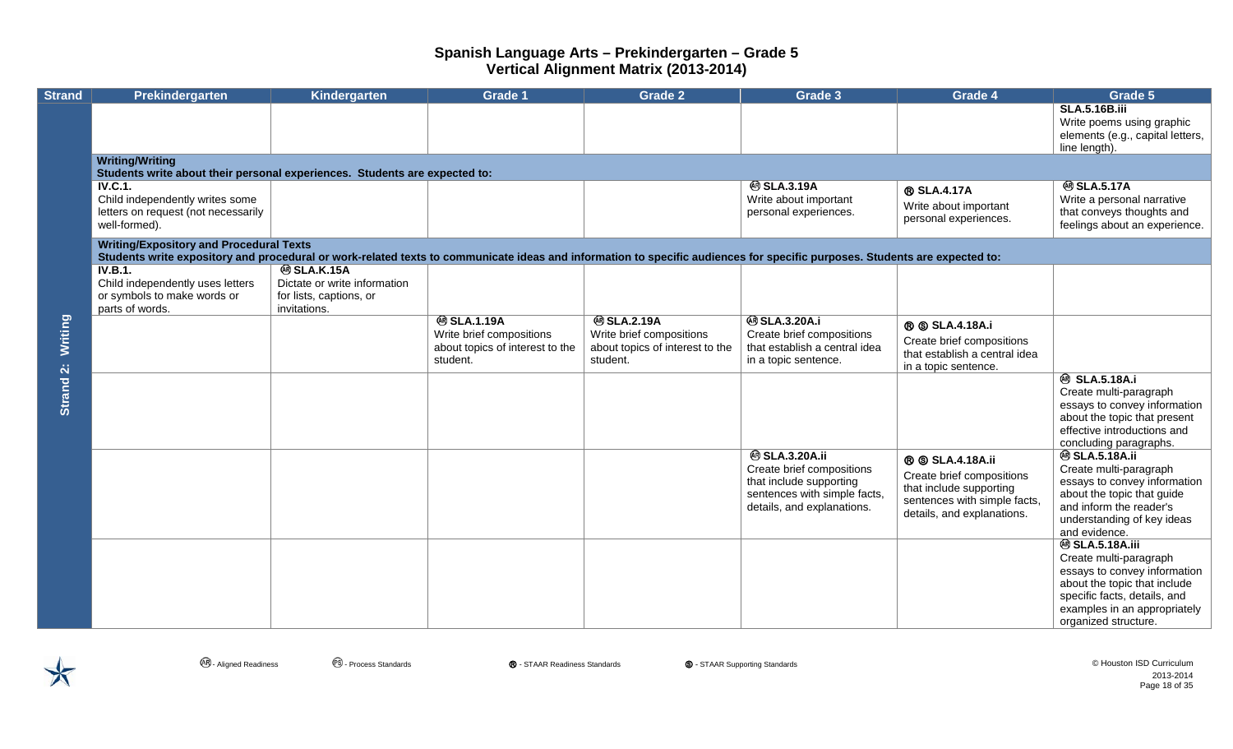| <b>Strand</b>        | <b>Prekindergarten</b>                                                                                                                                                                                                       | Kindergarten                                                                                 | <b>Grade 1</b>                                                                               | <b>Grade 2</b>                                                                               | Grade 3                                                                                                                                     | Grade 4                                                                                                                                     | Grade 5                                                                                                                                                                                                  |  |  |  |  |
|----------------------|------------------------------------------------------------------------------------------------------------------------------------------------------------------------------------------------------------------------------|----------------------------------------------------------------------------------------------|----------------------------------------------------------------------------------------------|----------------------------------------------------------------------------------------------|---------------------------------------------------------------------------------------------------------------------------------------------|---------------------------------------------------------------------------------------------------------------------------------------------|----------------------------------------------------------------------------------------------------------------------------------------------------------------------------------------------------------|--|--|--|--|
|                      |                                                                                                                                                                                                                              |                                                                                              |                                                                                              |                                                                                              |                                                                                                                                             |                                                                                                                                             | <b>SLA.5.16B.iii</b><br>Write poems using graphic<br>elements (e.g., capital letters,<br>line length).                                                                                                   |  |  |  |  |
|                      | <b>Writing/Writing</b><br>Students write about their personal experiences. Students are expected to:                                                                                                                         |                                                                                              |                                                                                              |                                                                                              |                                                                                                                                             |                                                                                                                                             |                                                                                                                                                                                                          |  |  |  |  |
|                      | IV.C.1.<br>Child independently writes some<br>letters on request (not necessarily<br>well-formed).                                                                                                                           |                                                                                              |                                                                                              |                                                                                              | <b>@SLA.3.19A</b><br>Write about important<br>personal experiences.                                                                         | ® SLA.4.17A<br>Write about important<br>personal experiences.                                                                               | <b>@SLA.5.17A</b><br>Write a personal narrative<br>that conveys thoughts and<br>feelings about an experience.                                                                                            |  |  |  |  |
|                      | <b>Writing/Expository and Procedural Texts</b><br>Students write expository and procedural or work-related texts to communicate ideas and information to specific audiences for specific purposes. Students are expected to: |                                                                                              |                                                                                              |                                                                                              |                                                                                                                                             |                                                                                                                                             |                                                                                                                                                                                                          |  |  |  |  |
| Writing<br>Strand 2: | <b>IV.B.1.</b><br>Child independently uses letters<br>or symbols to make words or<br>parts of words.                                                                                                                         | <b>@SLA.K.15A</b><br>Dictate or write information<br>for lists, captions, or<br>invitations. |                                                                                              |                                                                                              |                                                                                                                                             |                                                                                                                                             |                                                                                                                                                                                                          |  |  |  |  |
|                      |                                                                                                                                                                                                                              |                                                                                              | <b>@SLA.1.19A</b><br>Write brief compositions<br>about topics of interest to the<br>student. | <b>@SLA.2.19A</b><br>Write brief compositions<br>about topics of interest to the<br>student. | <b>@SLA.3.20A.i</b><br>Create brief compositions<br>that establish a central idea<br>in a topic sentence.                                   | <b>® SLA.4.18A.i</b><br>Create brief compositions<br>that establish a central idea<br>in a topic sentence.                                  |                                                                                                                                                                                                          |  |  |  |  |
|                      |                                                                                                                                                                                                                              |                                                                                              |                                                                                              |                                                                                              |                                                                                                                                             |                                                                                                                                             | <b><sup>49</sup> SLA.5.18A.i</b><br>Create multi-paragraph<br>essays to convey information<br>about the topic that present<br>effective introductions and<br>concluding paragraphs.                      |  |  |  |  |
|                      |                                                                                                                                                                                                                              |                                                                                              |                                                                                              |                                                                                              | <b>@ SLA.3.20A.ii</b><br>Create brief compositions<br>that include supporting<br>sentences with simple facts,<br>details, and explanations. | <b>® SLA.4.18A.ii</b><br>Create brief compositions<br>that include supporting<br>sentences with simple facts,<br>details, and explanations. | <b>@ SLA.5.18A.ii</b><br>Create multi-paragraph<br>essays to convey information<br>about the topic that guide<br>and inform the reader's<br>understanding of key ideas<br>and evidence.                  |  |  |  |  |
|                      |                                                                                                                                                                                                                              |                                                                                              |                                                                                              |                                                                                              |                                                                                                                                             |                                                                                                                                             | <b>@ SLA.5.18A.iii</b><br>Create multi-paragraph<br>essays to convey information<br>about the topic that include<br>specific facts, details, and<br>examples in an appropriately<br>organized structure. |  |  |  |  |

**<sup>④</sup> - Aligned Readiness** ● ● Process Standards ● ● STAAR Readiness Standards ● ● STAAR Supporting Standards ● ● Aligned Readiness ● ● Process Standards ● ● Process Standards ● ● Process Standards ● ● Process Standards ● 2013-2014 Page 18 of 35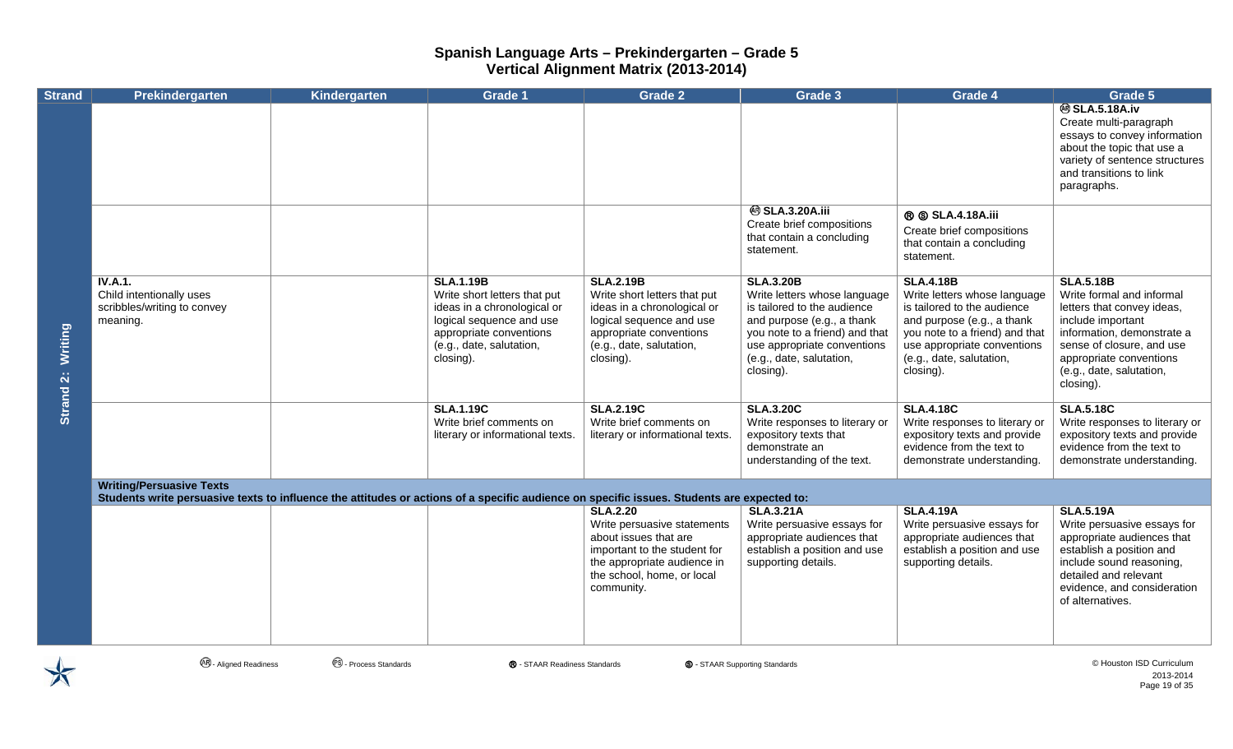| <b>Strand</b>        | Prekindergarten                                                                                                                                                               | Kindergarten | <b>Grade 1</b>                                                                                                                                                                  | <b>Grade 2</b>                                                                                                                                                                     | Grade 3                                                                                                                                                                                                                 | Grade 4                                                                                                                                                                                                                 | Grade 5                                                                                                                                                                                                                         |
|----------------------|-------------------------------------------------------------------------------------------------------------------------------------------------------------------------------|--------------|---------------------------------------------------------------------------------------------------------------------------------------------------------------------------------|------------------------------------------------------------------------------------------------------------------------------------------------------------------------------------|-------------------------------------------------------------------------------------------------------------------------------------------------------------------------------------------------------------------------|-------------------------------------------------------------------------------------------------------------------------------------------------------------------------------------------------------------------------|---------------------------------------------------------------------------------------------------------------------------------------------------------------------------------------------------------------------------------|
|                      |                                                                                                                                                                               |              |                                                                                                                                                                                 |                                                                                                                                                                                    |                                                                                                                                                                                                                         |                                                                                                                                                                                                                         | <b>@SLA.5.18A.iv</b><br>Create multi-paragraph<br>essays to convey information<br>about the topic that use a<br>variety of sentence structures<br>and transitions to link<br>paragraphs.                                        |
|                      |                                                                                                                                                                               |              |                                                                                                                                                                                 |                                                                                                                                                                                    | <b>@ SLA.3.20A.iii</b><br>Create brief compositions<br>that contain a concluding<br>statement.                                                                                                                          | <b>® SLA.4.18A.iii</b><br>Create brief compositions<br>that contain a concluding<br>statement.                                                                                                                          |                                                                                                                                                                                                                                 |
| <b>Writing</b>       | <b>IV.A.1.</b><br>Child intentionally uses<br>scribbles/writing to convey<br>meaning.                                                                                         |              | <b>SLA.1.19B</b><br>Write short letters that put<br>ideas in a chronological or<br>logical sequence and use<br>appropriate conventions<br>(e.g., date, salutation,<br>closing). | <b>SLA.2.19B</b><br>Write short letters that put<br>ideas in a chronological or<br>logical sequence and use<br>appropriate conventions<br>(e.g., date, salutation,<br>closing).    | <b>SLA.3.20B</b><br>Write letters whose language<br>is tailored to the audience<br>and purpose (e.g., a thank<br>you note to a friend) and that<br>use appropriate conventions<br>(e.g., date, salutation,<br>closing). | <b>SLA.4.18B</b><br>Write letters whose language<br>is tailored to the audience<br>and purpose (e.g., a thank<br>you note to a friend) and that<br>use appropriate conventions<br>(e.g., date, salutation,<br>closing). | <b>SLA.5.18B</b><br>Write formal and informal<br>letters that convey ideas,<br>include important<br>information, demonstrate a<br>sense of closure, and use<br>appropriate conventions<br>(e.g., date, salutation,<br>closing). |
| Strand <sub>2:</sub> |                                                                                                                                                                               |              | <b>SLA.1.19C</b><br>Write brief comments on<br>literary or informational texts.                                                                                                 | <b>SLA.2.19C</b><br>Write brief comments on<br>literary or informational texts.                                                                                                    | <b>SLA.3.20C</b><br>Write responses to literary or<br>expository texts that<br>demonstrate an<br>understanding of the text.                                                                                             | <b>SLA.4.18C</b><br>Write responses to literary or<br>expository texts and provide<br>evidence from the text to<br>demonstrate understanding.                                                                           | <b>SLA.5.18C</b><br>Write responses to literary or<br>expository texts and provide<br>evidence from the text to<br>demonstrate understanding.                                                                                   |
|                      | <b>Writing/Persuasive Texts</b><br>Students write persuasive texts to influence the attitudes or actions of a specific audience on specific issues. Students are expected to: |              |                                                                                                                                                                                 |                                                                                                                                                                                    |                                                                                                                                                                                                                         |                                                                                                                                                                                                                         |                                                                                                                                                                                                                                 |
|                      |                                                                                                                                                                               |              |                                                                                                                                                                                 | <b>SLA.2.20</b><br>Write persuasive statements<br>about issues that are<br>important to the student for<br>the appropriate audience in<br>the school, home, or local<br>community. | <b>SLA.3.21A</b><br>Write persuasive essays for<br>appropriate audiences that<br>establish a position and use<br>supporting details.                                                                                    | <b>SLA.4.19A</b><br>Write persuasive essays for<br>appropriate audiences that<br>establish a position and use<br>supporting details.                                                                                    | <b>SLA.5.19A</b><br>Write persuasive essays for<br>appropriate audiences that<br>establish a position and<br>include sound reasoning,<br>detailed and relevant<br>evidence, and consideration<br>of alternatives.               |

 $\bigtimes$ 

**<sup>④</sup> - Aligned Readiness** ● ● Process Standards ● ● STAAR Readiness Standards ● ● STAAR Supporting Standards ● ● Aligned Readiness ● ● Process Standards ● ● Process Standards ● ● Process Standards ● ● Process Standards ● 2013-2014 Page 19 of 35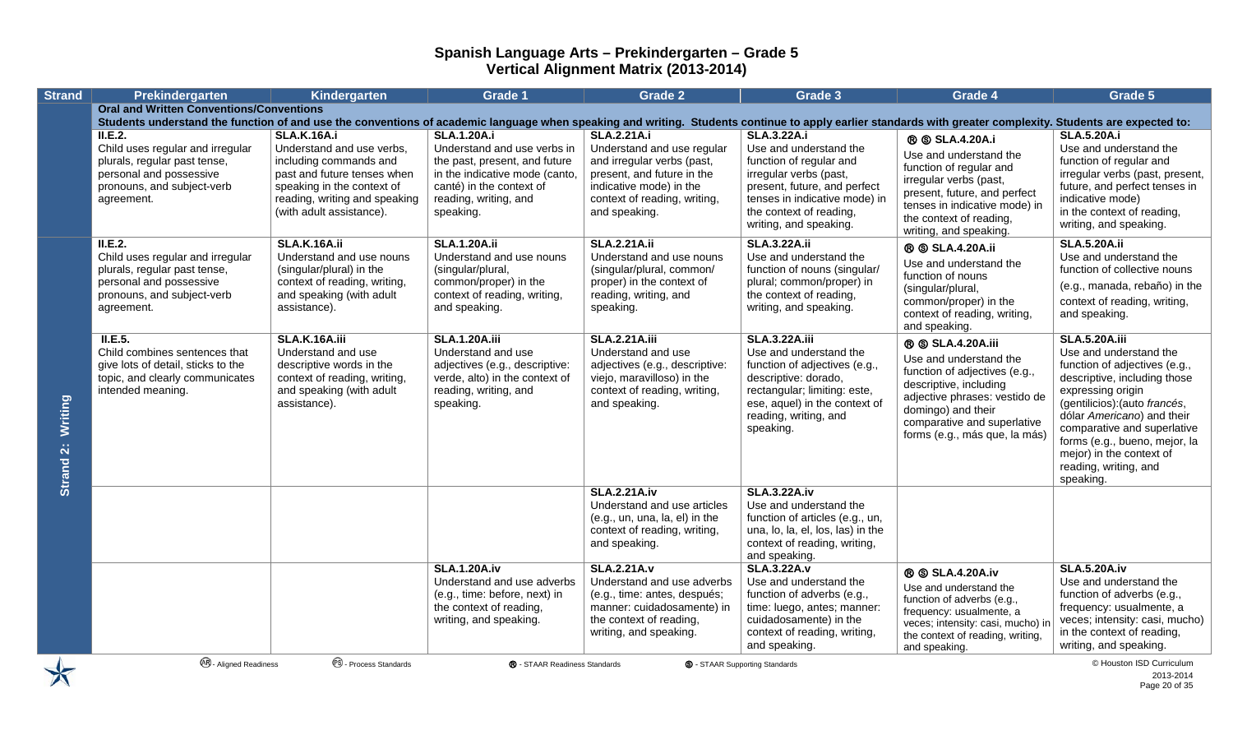| <b>Strand</b>        | Prekindergarten                                                                                                                                                                                             | Kindergarten                                                                                                                                            | <b>Grade 1</b>                                                                                                                                       | <b>Grade 2</b>                                                                                                                                                      | Grade 3                                                                                                                                                                                                        | Grade 4                                                                                                                                                                                                                            | Grade 5                                                                                                                                                                                                                                                                                                                               |
|----------------------|-------------------------------------------------------------------------------------------------------------------------------------------------------------------------------------------------------------|---------------------------------------------------------------------------------------------------------------------------------------------------------|------------------------------------------------------------------------------------------------------------------------------------------------------|---------------------------------------------------------------------------------------------------------------------------------------------------------------------|----------------------------------------------------------------------------------------------------------------------------------------------------------------------------------------------------------------|------------------------------------------------------------------------------------------------------------------------------------------------------------------------------------------------------------------------------------|---------------------------------------------------------------------------------------------------------------------------------------------------------------------------------------------------------------------------------------------------------------------------------------------------------------------------------------|
|                      | <b>Oral and Written Conventions/Conventions</b>                                                                                                                                                             |                                                                                                                                                         |                                                                                                                                                      |                                                                                                                                                                     |                                                                                                                                                                                                                |                                                                                                                                                                                                                                    |                                                                                                                                                                                                                                                                                                                                       |
|                      | Students understand the function of and use the conventions of academic language when speaking and writing. Students continue to apply earlier standards with greater complexity. Students are expected to: |                                                                                                                                                         |                                                                                                                                                      |                                                                                                                                                                     |                                                                                                                                                                                                                |                                                                                                                                                                                                                                    |                                                                                                                                                                                                                                                                                                                                       |
|                      | II.E.2.<br>Child uses regular and irregular<br>plurals, regular past tense,<br>personal and possessive<br>pronouns, and subject-verb                                                                        | SLA.K.16A.i<br>Understand and use verbs,<br>including commands and<br>past and future tenses when<br>speaking in the context of                         | <b>SLA.1.20A.i</b><br>Understand and use verbs in<br>the past, present, and future<br>in the indicative mode (canto,<br>canté) in the context of     | <b>SLA.2.21A.i</b><br>Understand and use regular<br>and irregular verbs (past,<br>present, and future in the<br>indicative mode) in the                             | <b>SLA.3.22A.i</b><br>Use and understand the<br>function of regular and<br>irregular verbs (past,<br>present, future, and perfect                                                                              | <b>® SLA.4.20A.i</b><br>Use and understand the<br>function of regular and<br>irregular verbs (past,                                                                                                                                | <b>SLA.5.20A.i</b><br>Use and understand the<br>function of regular and<br>irregular verbs (past, present,<br>future, and perfect tenses in                                                                                                                                                                                           |
|                      | agreement.                                                                                                                                                                                                  | reading, writing and speaking<br>(with adult assistance).                                                                                               | reading, writing, and<br>speaking.                                                                                                                   | context of reading, writing,<br>and speaking.                                                                                                                       | tenses in indicative mode) in<br>the context of reading,<br>writing, and speaking.                                                                                                                             | present, future, and perfect<br>tenses in indicative mode) in<br>the context of reading,<br>writing, and speaking.                                                                                                                 | indicative mode)<br>in the context of reading,<br>writing, and speaking.                                                                                                                                                                                                                                                              |
|                      | II.E.2.<br>Child uses regular and irregular<br>plurals, regular past tense,<br>personal and possessive<br>pronouns, and subject-verb<br>agreement.                                                          | <b>SLA.K.16A.ii</b><br>Understand and use nouns<br>(singular/plural) in the<br>context of reading, writing,<br>and speaking (with adult<br>assistance). | <b>SLA.1.20A.ii</b><br>Understand and use nouns<br>(singular/plural,<br>common/proper) in the<br>context of reading, writing,<br>and speaking.       | <b>SLA.2.21A.ii</b><br>Understand and use nouns<br>(singular/plural, common/<br>proper) in the context of<br>reading, writing, and<br>speaking.                     | <b>SLA.3.22A.ii</b><br>Use and understand the<br>function of nouns (singular/<br>plural; common/proper) in<br>the context of reading,<br>writing, and speaking.                                                | ® SLA.4.20A.ii<br>Use and understand the<br>function of nouns<br>(singular/plural,<br>common/proper) in the<br>context of reading, writing,<br>and speaking.                                                                       | <b>SLA.5.20A.ii</b><br>Use and understand the<br>function of collective nouns<br>(e.g., manada, rebaño) in the<br>context of reading, writing,<br>and speaking.                                                                                                                                                                       |
| Writing<br>Strand 2: | II.E.5.<br>Child combines sentences that<br>give lots of detail, sticks to the<br>topic, and clearly communicates<br>intended meaning.                                                                      | SLA.K.16A.iii<br>Understand and use<br>descriptive words in the<br>context of reading, writing,<br>and speaking (with adult<br>assistance).             | <b>SLA.1.20A.iii</b><br>Understand and use<br>adjectives (e.g., descriptive:<br>verde, alto) in the context of<br>reading, writing, and<br>speaking. | <b>SLA.2.21A.iii</b><br>Understand and use<br>adjectives (e.g., descriptive:<br>viejo, maravilloso) in the<br>context of reading, writing,<br>and speaking.         | <b>SLA.3.22A.iii</b><br>Use and understand the<br>function of adjectives (e.g.,<br>descriptive: dorado,<br>rectangular; limiting: este,<br>ese, aquel) in the context of<br>reading, writing, and<br>speaking. | <b>® SLA.4.20A.iii</b><br>Use and understand the<br>function of adjectives (e.g.,<br>descriptive, including<br>adjective phrases: vestido de<br>domingo) and their<br>comparative and superlative<br>forms (e.g., más que, la más) | <b>SLA.5.20A.iii</b><br>Use and understand the<br>function of adjectives (e.g.,<br>descriptive, including those<br>expressing origin<br>(gentilicios): (auto francés,<br>dólar Americano) and their<br>comparative and superlative<br>forms (e.g., bueno, mejor, la<br>mejor) in the context of<br>reading, writing, and<br>speaking. |
|                      |                                                                                                                                                                                                             |                                                                                                                                                         |                                                                                                                                                      | <b>SLA.2.21A.iv</b><br>Understand and use articles<br>(e.g., un, una, la, el) in the<br>context of reading, writing,<br>and speaking.                               | <b>SLA.3.22A.iv</b><br>Use and understand the<br>function of articles (e.g., un,<br>una, lo, la, el, los, las) in the<br>context of reading, writing,<br>and speaking.                                         |                                                                                                                                                                                                                                    |                                                                                                                                                                                                                                                                                                                                       |
|                      |                                                                                                                                                                                                             |                                                                                                                                                         | <b>SLA.1.20A.iv</b><br>Understand and use adverbs<br>(e.g., time: before, next) in<br>the context of reading,<br>writing, and speaking.              | <b>SLA.2.21A.v</b><br>Understand and use adverbs<br>(e.g., time: antes, después;<br>manner: cuidadosamente) in<br>the context of reading,<br>writing, and speaking. | <b>SLA.3.22A.v</b><br>Use and understand the<br>function of adverbs (e.g.,<br>time: luego, antes; manner:<br>cuidadosamente) in the<br>context of reading, writing,<br>and speaking.                           | <b>® SLA.4.20A.iv</b><br>Use and understand the<br>function of adverbs (e.g.,<br>frequency: usualmente, a<br>veces; intensity: casi, mucho) ir<br>the context of reading, writing,<br>and speaking.                                | <b>SLA.5.20A.iv</b><br>Use and understand the<br>function of adverbs (e.g.,<br>frequency: usualmente, a<br>veces; intensity: casi, mucho)<br>in the context of reading,<br>writing, and speaking.                                                                                                                                     |
| $\bigtimes$          | <b>AR</b> - Aligned Readiness                                                                                                                                                                               | <sup>®</sup> - Process Standards                                                                                                                        | ® - STAAR Readiness Standards                                                                                                                        |                                                                                                                                                                     | <b>S</b> - STAAR Supporting Standards                                                                                                                                                                          |                                                                                                                                                                                                                                    | © Houston ISD Curriculum<br>2013-2014<br>Page 20 of 35                                                                                                                                                                                                                                                                                |

2013-2014 Page 20 of 35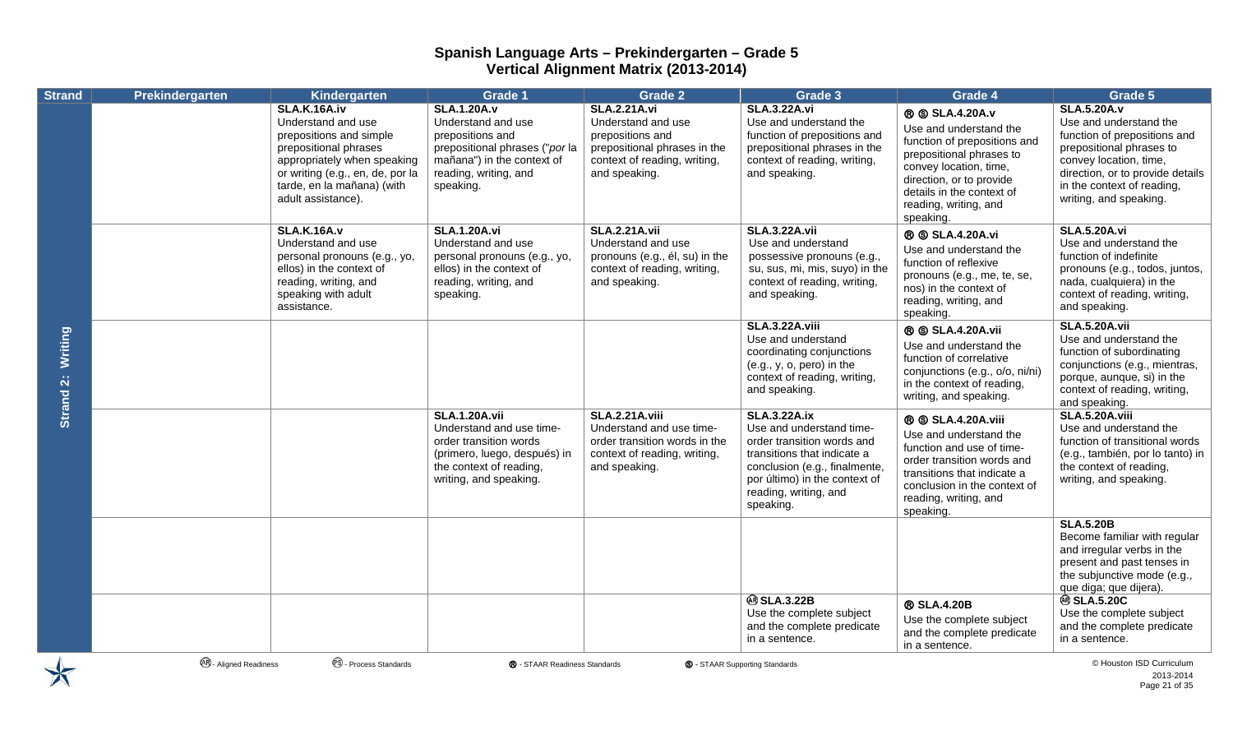| <b>Strand</b>               | Prekindergarten               | <b>Kindergarten</b>                                                                                                                                                                                                  | <b>Grade 1</b>                                                                                                                                                     | <b>Grade 2</b>                                                                                                                                 | Grade 3                                                                                                                                                                                                              | Grade 4                                                                                                                                                                                                                      | Grade 5                                                                                                                                                                                                                        |
|-----------------------------|-------------------------------|----------------------------------------------------------------------------------------------------------------------------------------------------------------------------------------------------------------------|--------------------------------------------------------------------------------------------------------------------------------------------------------------------|------------------------------------------------------------------------------------------------------------------------------------------------|----------------------------------------------------------------------------------------------------------------------------------------------------------------------------------------------------------------------|------------------------------------------------------------------------------------------------------------------------------------------------------------------------------------------------------------------------------|--------------------------------------------------------------------------------------------------------------------------------------------------------------------------------------------------------------------------------|
|                             |                               | <b>SLA.K.16A.iv</b><br>Understand and use<br>prepositions and simple<br>prepositional phrases<br>appropriately when speaking<br>or writing (e.g., en, de, por la<br>tarde, en la mañana) (with<br>adult assistance). | <b>SLA.1.20A.v</b><br>Understand and use<br>prepositions and<br>prepositional phrases ("por la<br>mañana") in the context of<br>reading, writing, and<br>speaking. | <b>SLA.2.21A.vi</b><br>Understand and use<br>prepositions and<br>prepositional phrases in the<br>context of reading, writing,<br>and speaking. | <b>SLA.3.22A.vi</b><br>Use and understand the<br>function of prepositions and<br>prepositional phrases in the<br>context of reading, writing,<br>and speaking.                                                       | ® SLA.4.20A.v<br>Use and understand the<br>function of prepositions and<br>prepositional phrases to<br>convey location, time,<br>direction, or to provide<br>details in the context of<br>reading, writing, and<br>speaking. | <b>SLA.5.20A.v</b><br>Use and understand the<br>function of prepositions and<br>prepositional phrases to<br>convey location, time,<br>direction, or to provide details<br>in the context of reading,<br>writing, and speaking. |
| <b>Writing</b><br>Strand 2: |                               | <b>SLA.K.16A.v</b><br>Understand and use<br>personal pronouns (e.g., yo,<br>ellos) in the context of<br>reading, writing, and<br>speaking with adult<br>assistance.                                                  | <b>SLA.1.20A.vi</b><br>Understand and use<br>personal pronouns (e.g., yo,<br>ellos) in the context of<br>reading, writing, and<br>speaking.                        | <b>SLA.2.21A.vii</b><br>Understand and use<br>pronouns (e.g., él, su) in the<br>context of reading, writing,<br>and speaking.                  | <b>SLA.3.22A.vii</b><br>Use and understand<br>possessive pronouns (e.g.,<br>su, sus, mi, mis, suyo) in the<br>context of reading, writing,<br>and speaking.                                                          | <b>® SLA.4.20A.vi</b><br>Use and understand the<br>function of reflexive<br>pronouns (e.g., me, te, se,<br>nos) in the context of<br>reading, writing, and<br>speaking.                                                      | <b>SLA.5.20A.vi</b><br>Use and understand the<br>function of indefinite<br>pronouns (e.g., todos, juntos,<br>nada, cualquiera) in the<br>context of reading, writing,<br>and speaking.                                         |
|                             |                               |                                                                                                                                                                                                                      |                                                                                                                                                                    |                                                                                                                                                | <b>SLA.3.22A.viii</b><br>Use and understand<br>coordinating conjunctions<br>$(e.g., y, o, pero)$ in the<br>context of reading, writing,<br>and speaking.                                                             | <b>® SLA.4.20A.vii</b><br>Use and understand the<br>function of correlative<br>conjunctions (e.g., o/o, ni/ni)<br>in the context of reading,<br>writing, and speaking.                                                       | <b>SLA.5.20A.vii</b><br>Use and understand the<br>function of subordinating<br>conjunctions (e.g., mientras,<br>porque, aunque, si) in the<br>context of reading, writing,<br>and speaking.                                    |
|                             |                               |                                                                                                                                                                                                                      | <b>SLA.1.20A.vii</b><br>Understand and use time-<br>order transition words<br>(primero, luego, después) in<br>the context of reading,<br>writing, and speaking.    | <b>SLA.2.21A.viii</b><br>Understand and use time-<br>order transition words in the<br>context of reading, writing,<br>and speaking.            | <b>SLA.3.22A.ix</b><br>Use and understand time-<br>order transition words and<br>transitions that indicate a<br>conclusion (e.g., finalmente,<br>por último) in the context of<br>reading, writing, and<br>speaking. | <b>® SLA.4.20A.viii</b><br>Use and understand the<br>function and use of time-<br>order transition words and<br>transitions that indicate a<br>conclusion in the context of<br>reading, writing, and<br>speaking.            | <b>SLA.5.20A.viii</b><br>Use and understand the<br>function of transitional words<br>(e.g., también, por lo tanto) in<br>the context of reading,<br>writing, and speaking.                                                     |
|                             |                               |                                                                                                                                                                                                                      |                                                                                                                                                                    |                                                                                                                                                |                                                                                                                                                                                                                      |                                                                                                                                                                                                                              | <b>SLA.5.20B</b><br>Become familiar with regular<br>and irregular verbs in the<br>present and past tenses in<br>the subjunctive mode (e.g.,<br>que diga; que dijera).                                                          |
|                             |                               |                                                                                                                                                                                                                      |                                                                                                                                                                    |                                                                                                                                                | <b>@SLA.3.22B</b><br>Use the complete subject<br>and the complete predicate<br>in a sentence.                                                                                                                        | ® SLA.4.20B<br>Use the complete subject<br>and the complete predicate<br>in a sentence.                                                                                                                                      | <b>@ SLA.5.20C</b><br>Use the complete subject<br>and the complete predicate<br>in a sentence.                                                                                                                                 |
| $\blacktriangleright$       | <b>48</b> - Aligned Readiness | <sup>®</sup> - Process Standards                                                                                                                                                                                     | ® - STAAR Readiness Standards                                                                                                                                      |                                                                                                                                                | <b>S</b> - STAAR Supporting Standards                                                                                                                                                                                |                                                                                                                                                                                                                              | © Houston ISD Curriculum<br>2013-2014<br>Page 21 of 35                                                                                                                                                                         |

2013-2014 Page 21 of 35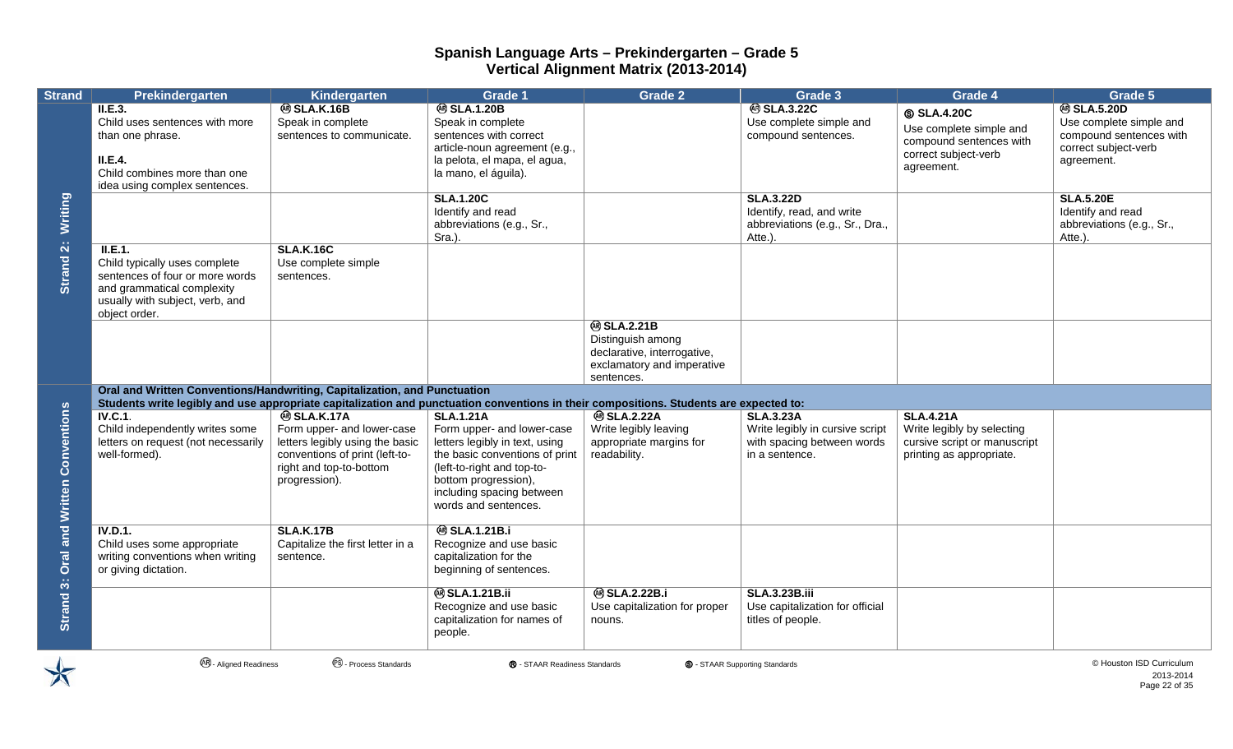| <b>Strand</b>                                    | Prekindergarten                                                                                                                                                                                                     | Kindergarten                                                                                                                                                      | Grade 1                                                                                                                                                                                                                       | <b>Grade 2</b>                                                                                                    | Grade 3                                                                                             | Grade 4                                                                                                      | Grade 5                                                                                                       |
|--------------------------------------------------|---------------------------------------------------------------------------------------------------------------------------------------------------------------------------------------------------------------------|-------------------------------------------------------------------------------------------------------------------------------------------------------------------|-------------------------------------------------------------------------------------------------------------------------------------------------------------------------------------------------------------------------------|-------------------------------------------------------------------------------------------------------------------|-----------------------------------------------------------------------------------------------------|--------------------------------------------------------------------------------------------------------------|---------------------------------------------------------------------------------------------------------------|
|                                                  | II.E.3.<br>Child uses sentences with more<br>than one phrase.<br>II.E.4.<br>Child combines more than one<br>idea using complex sentences.                                                                           | <b>@SLA.K.16B</b><br>Speak in complete<br>sentences to communicate.                                                                                               | <b>@SLA.1.20B</b><br>Speak in complete<br>sentences with correct<br>article-noun agreement (e.g.,<br>la pelota, el mapa, el agua,<br>la mano, el águila).                                                                     |                                                                                                                   | <b>@SLA.3.22C</b><br>Use complete simple and<br>compound sentences.                                 | <b>SLA.4.20C</b><br>Use complete simple and<br>compound sentences with<br>correct subject-verb<br>agreement. | <b>@SLA.5.20D</b><br>Use complete simple and<br>compound sentences with<br>correct subject-verb<br>agreement. |
| Writing                                          |                                                                                                                                                                                                                     |                                                                                                                                                                   | <b>SLA.1.20C</b><br>Identify and read<br>abbreviations (e.g., Sr.,<br>Sra.).                                                                                                                                                  |                                                                                                                   | <b>SLA.3.22D</b><br>Identify, read, and write<br>abbreviations (e.g., Sr., Dra.,<br>Atte.).         |                                                                                                              | <b>SLA.5.20E</b><br>Identify and read<br>abbreviations (e.g., Sr.,<br>Atte.).                                 |
| Strand 2:                                        | ILE.1.<br>Child typically uses complete<br>sentences of four or more words<br>and grammatical complexity<br>usually with subject, verb, and<br>object order.                                                        | <b>SLA.K.16C</b><br>Use complete simple<br>sentences.                                                                                                             |                                                                                                                                                                                                                               |                                                                                                                   |                                                                                                     |                                                                                                              |                                                                                                               |
|                                                  |                                                                                                                                                                                                                     |                                                                                                                                                                   |                                                                                                                                                                                                                               | <b>@SLA.2.21B</b><br>Distinguish among<br>declarative, interrogative,<br>exclamatory and imperative<br>sentences. |                                                                                                     |                                                                                                              |                                                                                                               |
| <b>Oral and Written Conventions</b><br>Strand 3: | Oral and Written Conventions/Handwriting, Capitalization, and Punctuation<br>Students write legibly and use appropriate capitalization and punctuation conventions in their compositions. Students are expected to: |                                                                                                                                                                   |                                                                                                                                                                                                                               |                                                                                                                   |                                                                                                     |                                                                                                              |                                                                                                               |
|                                                  | <b>IV.C.1.</b><br>Child independently writes some<br>letters on request (not necessarily<br>well-formed).                                                                                                           | <b>® SLA.K.17A</b><br>Form upper- and lower-case<br>letters legibly using the basic<br>conventions of print (left-to-<br>right and top-to-bottom<br>progression). | <b>SLA.1.21A</b><br>Form upper- and lower-case<br>letters legibly in text, using<br>the basic conventions of print<br>(left-to-right and top-to-<br>bottom progression),<br>including spacing between<br>words and sentences. | <b>@SLA.2.22A</b><br>Write legibly leaving<br>appropriate margins for<br>readability.                             | <b>SLA.3.23A</b><br>Write legibly in cursive script<br>with spacing between words<br>in a sentence. | <b>SLA.4.21A</b><br>Write legibly by selecting<br>cursive script or manuscript<br>printing as appropriate.   |                                                                                                               |
|                                                  | <b>IV.D.1.</b><br>Child uses some appropriate<br>writing conventions when writing<br>or giving dictation.                                                                                                           | <b>SLA.K.17B</b><br>Capitalize the first letter in a<br>sentence.                                                                                                 | <b>@SLA.1.21B.i</b><br>Recognize and use basic<br>capitalization for the<br>beginning of sentences.                                                                                                                           |                                                                                                                   |                                                                                                     |                                                                                                              |                                                                                                               |
|                                                  |                                                                                                                                                                                                                     |                                                                                                                                                                   | <b>@SLA.1.21B.ii</b><br>Recognize and use basic<br>capitalization for names of<br>people.                                                                                                                                     | <b>@SLA.2.22B.i</b><br>Use capitalization for proper<br>nouns.                                                    | <b>SLA.3.23B.iii</b><br>Use capitalization for official<br>titles of people.                        |                                                                                                              |                                                                                                               |



**<sup>④</sup> - Aligned Readiness** ● ● Process Standards ● ● STAAR Readiness Standards ● ● STAAR Supporting Standards ● ● Aligned Readiness ● ● Process Standards ● ● Process Standards ● ● Process Standards ● ● Process Standards ●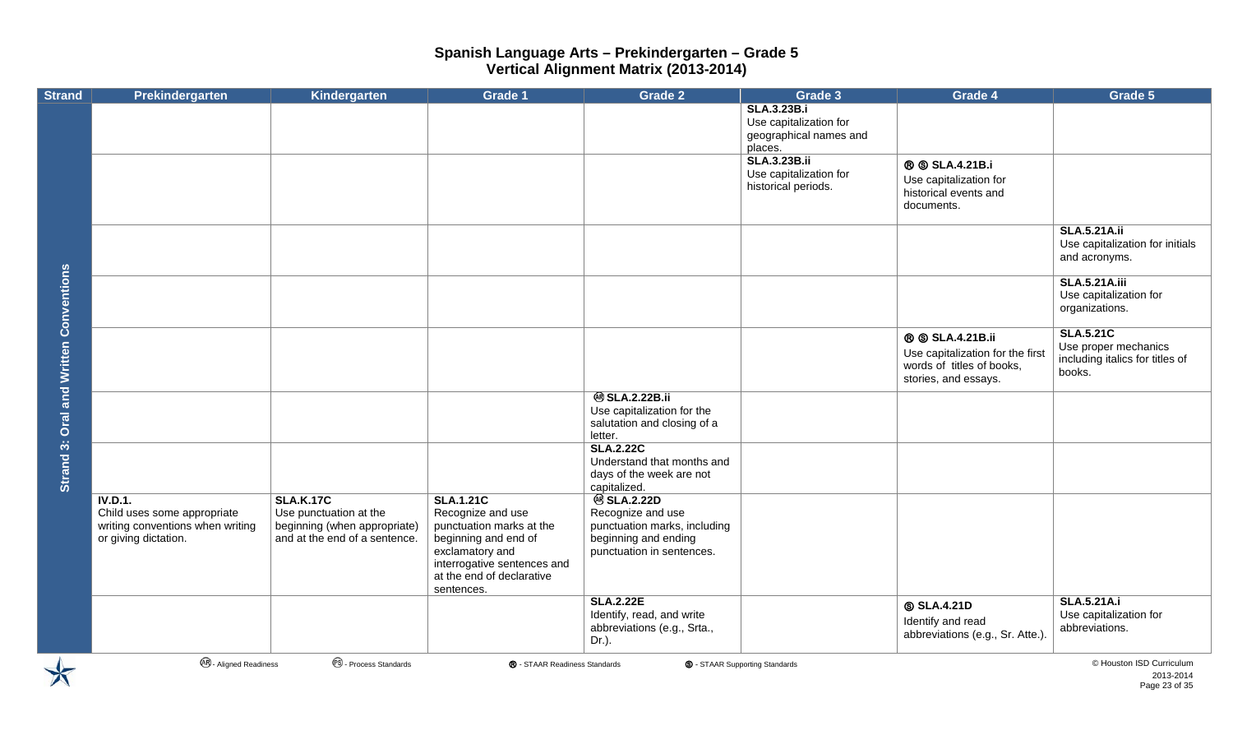| <b>Strand</b>                       | Prekindergarten                                                                                    | Kindergarten                                                                                                | <b>Grade 1</b>                                                                                                                                                                         | <b>Grade 2</b>                                                                                                              | Grade 3                                                                           | Grade 4                                                                                                        | Grade 5                                                                               |
|-------------------------------------|----------------------------------------------------------------------------------------------------|-------------------------------------------------------------------------------------------------------------|----------------------------------------------------------------------------------------------------------------------------------------------------------------------------------------|-----------------------------------------------------------------------------------------------------------------------------|-----------------------------------------------------------------------------------|----------------------------------------------------------------------------------------------------------------|---------------------------------------------------------------------------------------|
|                                     |                                                                                                    |                                                                                                             |                                                                                                                                                                                        |                                                                                                                             | <b>SLA.3.23B.i</b><br>Use capitalization for<br>geographical names and<br>places. |                                                                                                                |                                                                                       |
|                                     |                                                                                                    |                                                                                                             |                                                                                                                                                                                        |                                                                                                                             | <b>SLA.3.23B.ii</b><br>Use capitalization for<br>historical periods.              | <b>® SLA.4.21B.i</b><br>Use capitalization for<br>historical events and<br>documents.                          |                                                                                       |
|                                     |                                                                                                    |                                                                                                             |                                                                                                                                                                                        |                                                                                                                             |                                                                                   |                                                                                                                | <b>SLA.5.21A.ii</b><br>Use capitalization for initials<br>and acronyms.               |
|                                     |                                                                                                    |                                                                                                             |                                                                                                                                                                                        |                                                                                                                             |                                                                                   |                                                                                                                | <b>SLA.5.21A.iii</b><br>Use capitalization for<br>organizations.                      |
| <b>Oral and Written Conventions</b> |                                                                                                    |                                                                                                             |                                                                                                                                                                                        |                                                                                                                             |                                                                                   | <b>® SLA.4.21B.ii</b><br>Use capitalization for the first<br>words of titles of books,<br>stories, and essays. | <b>SLA.5.21C</b><br>Use proper mechanics<br>including italics for titles of<br>books. |
|                                     |                                                                                                    |                                                                                                             |                                                                                                                                                                                        | <b>@SLA.2.22B.ii</b><br>Use capitalization for the<br>salutation and closing of a<br>letter.                                |                                                                                   |                                                                                                                |                                                                                       |
| Strand 3:                           |                                                                                                    |                                                                                                             |                                                                                                                                                                                        | <b>SLA.2.22C</b><br>Understand that months and<br>days of the week are not<br>capitalized.                                  |                                                                                   |                                                                                                                |                                                                                       |
|                                     | IV.D.1.<br>Child uses some appropriate<br>writing conventions when writing<br>or giving dictation. | <b>SLA.K.17C</b><br>Use punctuation at the<br>beginning (when appropriate)<br>and at the end of a sentence. | <b>SLA.1.21C</b><br>Recognize and use<br>punctuation marks at the<br>beginning and end of<br>exclamatory and<br>interrogative sentences and<br>at the end of declarative<br>sentences. | <b>@SLA.2.22D</b><br>Recognize and use<br>punctuation marks, including<br>beginning and ending<br>punctuation in sentences. |                                                                                   |                                                                                                                |                                                                                       |
|                                     |                                                                                                    |                                                                                                             |                                                                                                                                                                                        | <b>SLA.2.22E</b><br>Identify, read, and write<br>abbreviations (e.g., Srta.,<br>Dr.).                                       |                                                                                   | <b>SLA.4.21D</b><br>Identify and read<br>abbreviations (e.g., Sr. Atte.).                                      | <b>SLA.5.21A.i</b><br>Use capitalization for<br>abbreviations.                        |
| $\blacktriangleright$               | <b>48</b> - Aligned Readiness                                                                      | <sup>®</sup> - Process Standards                                                                            | <b>®</b> - STAAR Readiness Standards                                                                                                                                                   |                                                                                                                             | <b>S</b> - STAAR Supporting Standards                                             |                                                                                                                | © Houston ISD Curriculum<br>2013-2014<br>Page 23 of 35                                |

2013-2014 Page 23 of 35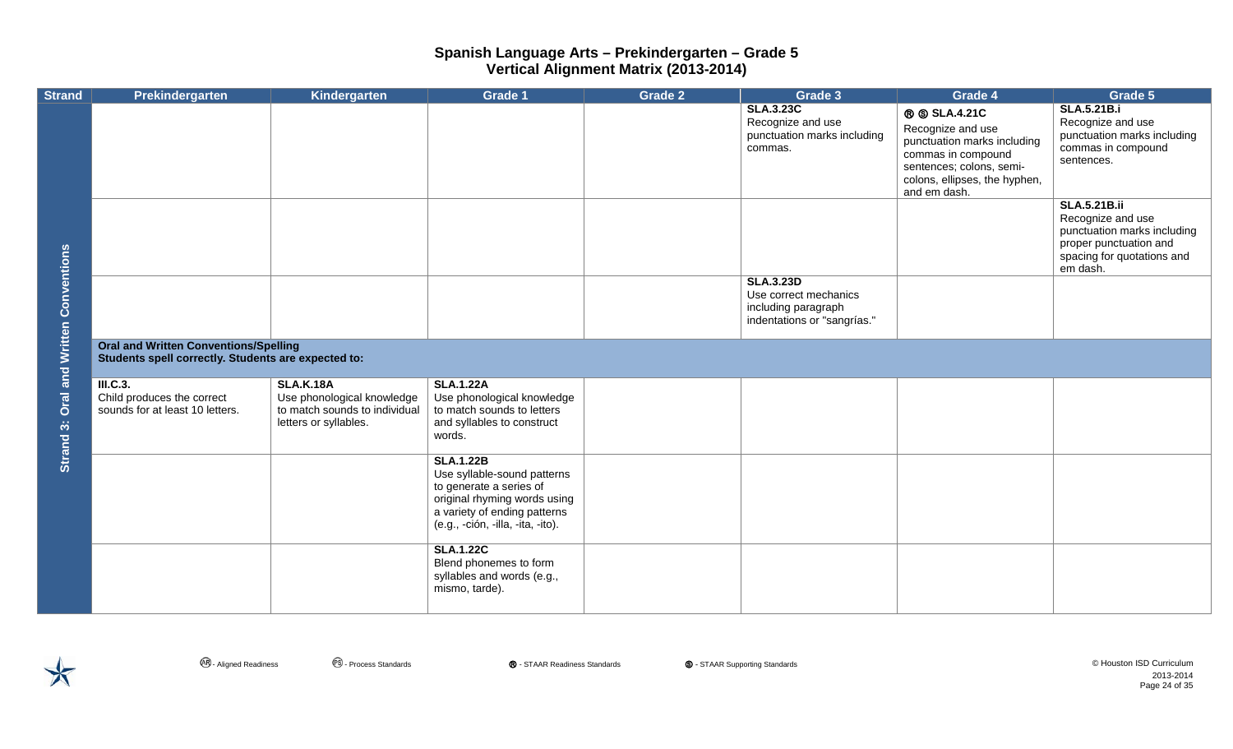| <b>Strand</b>           | Prekindergarten                                                                                     | Kindergarten                                                                                             | <b>Grade 1</b>                                                                                                                                                                  | <b>Grade 2</b> | Grade 3                                                                                         | Grade 4                                                                                                                                                                   | Grade 5                                                                                                                                     |
|-------------------------|-----------------------------------------------------------------------------------------------------|----------------------------------------------------------------------------------------------------------|---------------------------------------------------------------------------------------------------------------------------------------------------------------------------------|----------------|-------------------------------------------------------------------------------------------------|---------------------------------------------------------------------------------------------------------------------------------------------------------------------------|---------------------------------------------------------------------------------------------------------------------------------------------|
|                         |                                                                                                     |                                                                                                          |                                                                                                                                                                                 |                | <b>SLA.3.23C</b><br>Recognize and use<br>punctuation marks including<br>commas.                 | <b>® SLA.4.21C</b><br>Recognize and use<br>punctuation marks including<br>commas in compound<br>sentences; colons, semi-<br>colons, ellipses, the hyphen,<br>and em dash. | <b>SLA.5.21B.i</b><br>Recognize and use<br>punctuation marks including<br>commas in compound<br>sentences.                                  |
|                         |                                                                                                     |                                                                                                          |                                                                                                                                                                                 |                |                                                                                                 |                                                                                                                                                                           | <b>SLA.5.21B.ii</b><br>Recognize and use<br>punctuation marks including<br>proper punctuation and<br>spacing for quotations and<br>em dash. |
| and Written Conventions |                                                                                                     |                                                                                                          |                                                                                                                                                                                 |                | <b>SLA.3.23D</b><br>Use correct mechanics<br>including paragraph<br>indentations or "sangrías." |                                                                                                                                                                           |                                                                                                                                             |
|                         | <b>Oral and Written Conventions/Spelling</b><br>Students spell correctly. Students are expected to: |                                                                                                          |                                                                                                                                                                                 |                |                                                                                                 |                                                                                                                                                                           |                                                                                                                                             |
| Oral<br>Strand 3:       | III.C.3.<br>Child produces the correct<br>sounds for at least 10 letters.                           | <b>SLA.K.18A</b><br>Use phonological knowledge<br>to match sounds to individual<br>letters or syllables. | <b>SLA.1.22A</b><br>Use phonological knowledge<br>to match sounds to letters<br>and syllables to construct<br>words.                                                            |                |                                                                                                 |                                                                                                                                                                           |                                                                                                                                             |
|                         |                                                                                                     |                                                                                                          | <b>SLA.1.22B</b><br>Use syllable-sound patterns<br>to generate a series of<br>original rhyming words using<br>a variety of ending patterns<br>(e.g., -ción, -illa, -ita, -ito). |                |                                                                                                 |                                                                                                                                                                           |                                                                                                                                             |
|                         |                                                                                                     |                                                                                                          | <b>SLA.1.22C</b><br>Blend phonemes to form<br>syllables and words (e.g.,<br>mismo, tarde).                                                                                      |                |                                                                                                 |                                                                                                                                                                           |                                                                                                                                             |

2013-2014 Page 24 of 35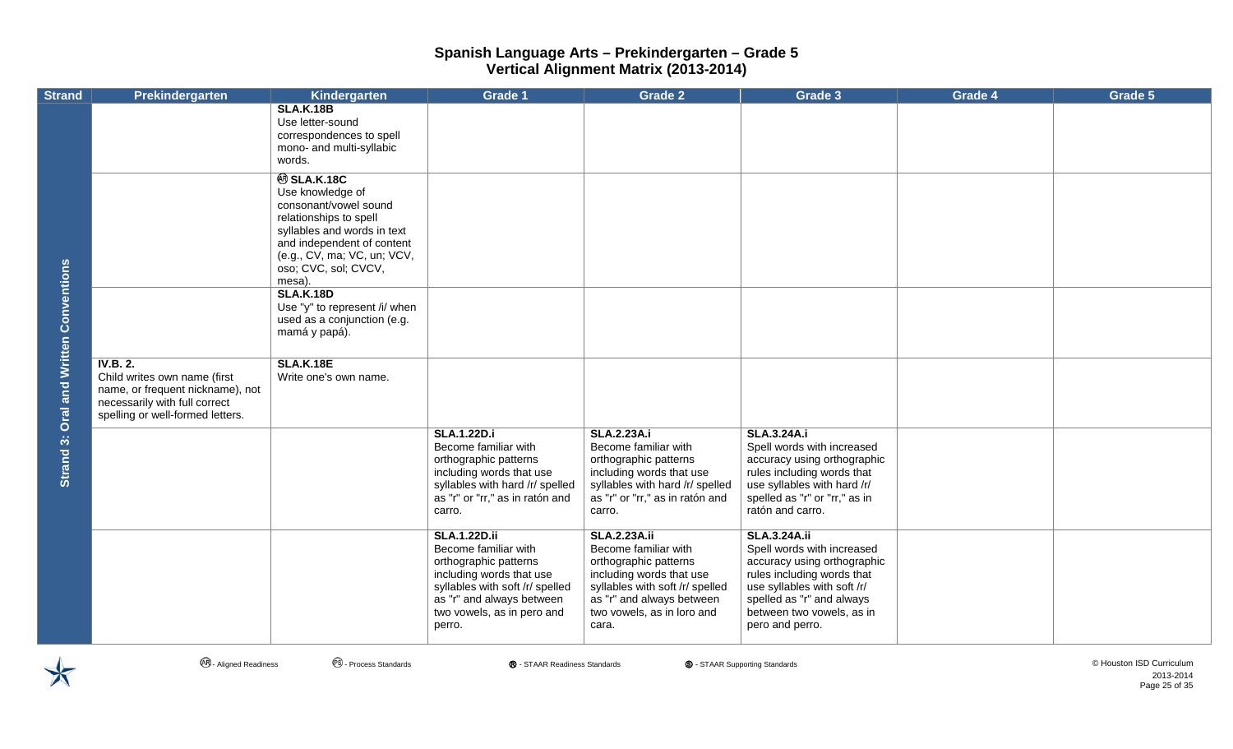| <b>Strand</b>                                 | Prekindergarten                                                                                                                                   | Kindergarten                                                                                                                                                                                                           | <b>Grade 1</b>                                                                                                                                                                                           | <b>Grade 2</b>                                                                                                                                                                                          | Grade 3                                                                                                                                                                                                                    | Grade 4 | Grade 5 |
|-----------------------------------------------|---------------------------------------------------------------------------------------------------------------------------------------------------|------------------------------------------------------------------------------------------------------------------------------------------------------------------------------------------------------------------------|----------------------------------------------------------------------------------------------------------------------------------------------------------------------------------------------------------|---------------------------------------------------------------------------------------------------------------------------------------------------------------------------------------------------------|----------------------------------------------------------------------------------------------------------------------------------------------------------------------------------------------------------------------------|---------|---------|
| <b>Strand 3: Oral and Written Conventions</b> |                                                                                                                                                   | <b>SLA.K.18B</b><br>Use letter-sound<br>correspondences to spell<br>mono- and multi-syllabic<br>words.                                                                                                                 |                                                                                                                                                                                                          |                                                                                                                                                                                                         |                                                                                                                                                                                                                            |         |         |
|                                               |                                                                                                                                                   | <b>@SLA.K.18C</b><br>Use knowledge of<br>consonant/vowel sound<br>relationships to spell<br>syllables and words in text<br>and independent of content<br>(e.g., CV, ma; VC, un; VCV,<br>oso; CVC, sol; CVCV,<br>mesa). |                                                                                                                                                                                                          |                                                                                                                                                                                                         |                                                                                                                                                                                                                            |         |         |
|                                               |                                                                                                                                                   | <b>SLA.K.18D</b><br>Use "y" to represent /i/ when<br>used as a conjunction (e.g.<br>mamá y papá).                                                                                                                      |                                                                                                                                                                                                          |                                                                                                                                                                                                         |                                                                                                                                                                                                                            |         |         |
|                                               | IV.B. 2.<br>Child writes own name (first<br>name, or frequent nickname), not<br>necessarily with full correct<br>spelling or well-formed letters. | <b>SLA.K.18E</b><br>Write one's own name.                                                                                                                                                                              |                                                                                                                                                                                                          |                                                                                                                                                                                                         |                                                                                                                                                                                                                            |         |         |
|                                               |                                                                                                                                                   |                                                                                                                                                                                                                        | <b>SLA.1.22D.i</b><br>Become familiar with<br>orthographic patterns<br>including words that use<br>syllables with hard /r/ spelled<br>as "r" or "rr," as in ratón and<br>carro.                          | <b>SLA.2.23A.i</b><br>Become familiar with<br>orthographic patterns<br>including words that use<br>syllables with hard /r/ spelled<br>as "r" or "rr," as in ratón and<br>carro.                         | <b>SLA.3.24A.i</b><br>Spell words with increased<br>accuracy using orthographic<br>rules including words that<br>use syllables with hard /r/<br>spelled as "r" or "rr," as in<br>ratón and carro.                          |         |         |
|                                               |                                                                                                                                                   |                                                                                                                                                                                                                        | <b>SLA.1.22D.ii</b><br>Become familiar with<br>orthographic patterns<br>including words that use<br>syllables with soft /r/ spelled<br>as "r" and always between<br>two vowels, as in pero and<br>perro. | <b>SLA.2.23A.ii</b><br>Become familiar with<br>orthographic patterns<br>including words that use<br>syllables with soft /r/ spelled<br>as "r" and always between<br>two vowels, as in loro and<br>cara. | <b>SLA.3.24A.ii</b><br>Spell words with increased<br>accuracy using orthographic<br>rules including words that<br>use syllables with soft /r/<br>spelled as "r" and always<br>between two vowels, as in<br>pero and perro. |         |         |



**4**. Aligned Readiness **CO.** Process Standards **®** - STAAR Readiness Standards **©** - STAAR Supporting Standards **©** - STAAR Supporting Standards © Houston ISD Curriculum

2013-2014 Page 25 of 35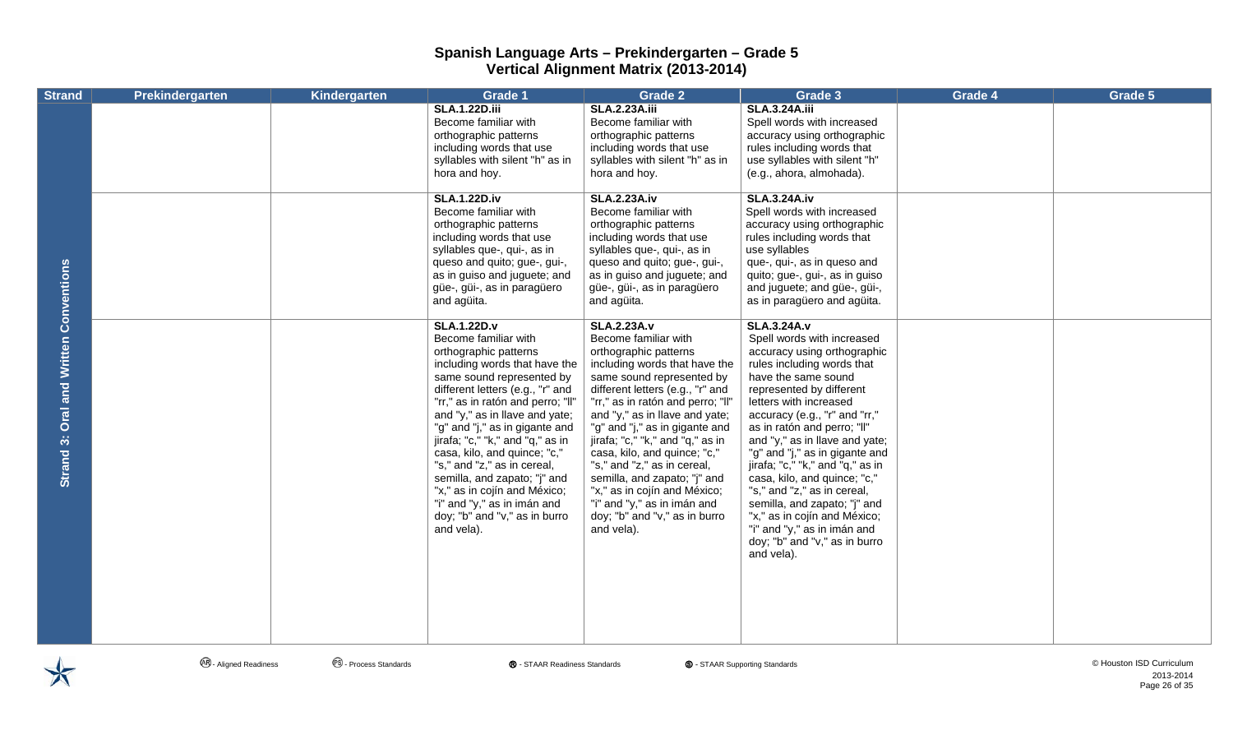| <b>Strand</b>                                | <b>Prekindergarten</b> | Kindergarten | Grade 1                                                                                                                                                                                                                                                                                                                                                                                                                                                                                                                         | <b>Grade 2</b>                                                                                                                                                                                                                                                                                                                                                                                                                                                                                                                  | Grade 3                                                                                                                                                                                                                                                                                                                                                                                                                                                                                                                                                                         | Grade 4 | Grade 5 |
|----------------------------------------------|------------------------|--------------|---------------------------------------------------------------------------------------------------------------------------------------------------------------------------------------------------------------------------------------------------------------------------------------------------------------------------------------------------------------------------------------------------------------------------------------------------------------------------------------------------------------------------------|---------------------------------------------------------------------------------------------------------------------------------------------------------------------------------------------------------------------------------------------------------------------------------------------------------------------------------------------------------------------------------------------------------------------------------------------------------------------------------------------------------------------------------|---------------------------------------------------------------------------------------------------------------------------------------------------------------------------------------------------------------------------------------------------------------------------------------------------------------------------------------------------------------------------------------------------------------------------------------------------------------------------------------------------------------------------------------------------------------------------------|---------|---------|
|                                              |                        |              | <b>SLA.1.22D.iii</b><br>Become familiar with<br>orthographic patterns<br>including words that use<br>syllables with silent "h" as in<br>hora and hoy.                                                                                                                                                                                                                                                                                                                                                                           | <b>SLA.2.23A.iii</b><br>Become familiar with<br>orthographic patterns<br>including words that use<br>syllables with silent "h" as in<br>hora and hoy.                                                                                                                                                                                                                                                                                                                                                                           | <b>SLA.3.24A.iii</b><br>Spell words with increased<br>accuracy using orthographic<br>rules including words that<br>use syllables with silent "h"<br>(e.g., ahora, almohada).                                                                                                                                                                                                                                                                                                                                                                                                    |         |         |
|                                              |                        |              | <b>SLA.1.22D.iv</b><br>Become familiar with<br>orthographic patterns<br>including words that use<br>syllables que-, qui-, as in<br>queso and quito; gue-, gui-,<br>as in guiso and juguete; and<br>güe-, güi-, as in paragüero<br>and agüita.                                                                                                                                                                                                                                                                                   | <b>SLA.2.23A.iv</b><br>Become familiar with<br>orthographic patterns<br>including words that use<br>syllables que-, qui-, as in<br>queso and quito; gue-, gui-,<br>as in guiso and juguete; and<br>güe-, güi-, as in paragüero<br>and agüita.                                                                                                                                                                                                                                                                                   | <b>SLA.3.24A.iv</b><br>Spell words with increased<br>accuracy using orthographic<br>rules including words that<br>use syllables<br>que-, qui-, as in queso and<br>quito; gue-, gui-, as in guiso<br>and juguete; and güe-, güi-,<br>as in paragüero and agüita.                                                                                                                                                                                                                                                                                                                 |         |         |
| and Written Conventions<br>Oral<br>Strand 3: |                        |              | <b>SLA.1.22D.v</b><br>Become familiar with<br>orthographic patterns<br>including words that have the<br>same sound represented by<br>different letters (e.g., "r" and<br>"rr," as in ratón and perro; "II"<br>and "y," as in llave and yate;<br>"g" and "j," as in gigante and<br>jirafa; "c," "k," and "q," as in<br>casa, kilo, and quince; "c,"<br>"s," and "z," as in cereal,<br>semilla, and zapato; "j" and<br>"x," as in cojín and México;<br>"i" and "y," as in imán and<br>doy; "b" and "v," as in burro<br>and vela). | <b>SLA.2.23A.v</b><br>Become familiar with<br>orthographic patterns<br>including words that have the<br>same sound represented by<br>different letters (e.g., "r" and<br>"rr," as in ratón and perro; "II"<br>and "y," as in llave and yate;<br>"g" and "j," as in gigante and<br>jirafa; "c," "k," and "q," as in<br>casa, kilo, and quince; "c,"<br>"s," and "z," as in cereal,<br>semilla, and zapato; "j" and<br>"x," as in cojín and México;<br>"i" and "y," as in imán and<br>doy; "b" and "v," as in burro<br>and vela). | <b>SLA.3.24A.v</b><br>Spell words with increased<br>accuracy using orthographic<br>rules including words that<br>have the same sound<br>represented by different<br>letters with increased<br>accuracy (e.g., "r" and "rr,"<br>as in ratón and perro; "II"<br>and "y," as in llave and yate;<br>"g" and "j," as in gigante and<br>jirafa; "c," "k," and "q," as in<br>casa, kilo, and quince; "c,"<br>"s," and "z," as in cereal,<br>semilla, and zapato; "j" and<br>"x," as in cojín and México;<br>"i" and "y," as in imán and<br>doy; "b" and "v," as in burro<br>and vela). |         |         |

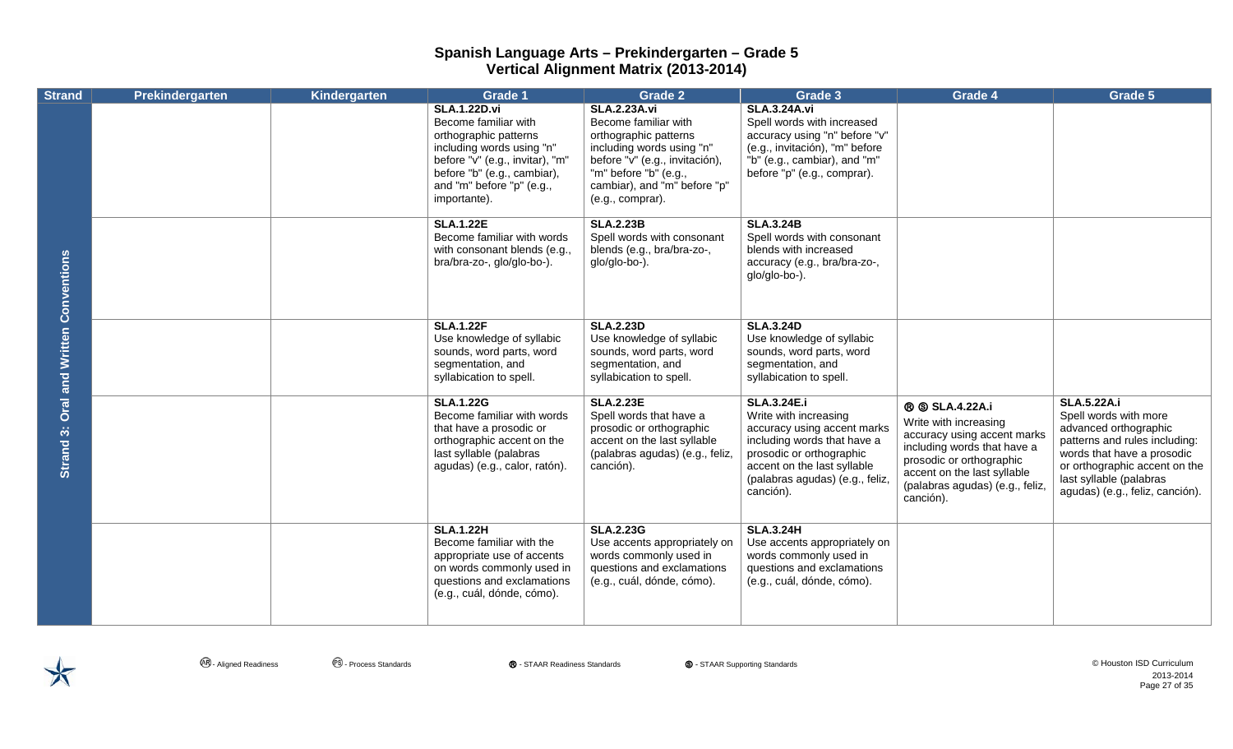| <b>Strand</b>                                 | Prekindergarten | Kindergarten | <b>Grade 1</b>                                                                                                                                                                                                   | <b>Grade 2</b>                                                                                                                                                                                                   | Grade 3                                                                                                                                                                                                              | Grade 4                                                                                                                                                                                                                | Grade 5                                                                                                                                                                                                                            |
|-----------------------------------------------|-----------------|--------------|------------------------------------------------------------------------------------------------------------------------------------------------------------------------------------------------------------------|------------------------------------------------------------------------------------------------------------------------------------------------------------------------------------------------------------------|----------------------------------------------------------------------------------------------------------------------------------------------------------------------------------------------------------------------|------------------------------------------------------------------------------------------------------------------------------------------------------------------------------------------------------------------------|------------------------------------------------------------------------------------------------------------------------------------------------------------------------------------------------------------------------------------|
| <b>Strand 3: Oral and Written Conventions</b> |                 |              | <b>SLA.1.22D.vi</b><br>Become familiar with<br>orthographic patterns<br>including words using "n"<br>before "v" (e.g., invitar), "m"<br>before "b" (e.g., cambiar),<br>and "m" before "p" (e.g.,<br>importante). | <b>SLA.2.23A.vi</b><br>Become familiar with<br>orthographic patterns<br>including words using "n"<br>before "v" (e.g., invitación),<br>"m" before "b" (e.g.,<br>cambiar), and "m" before "p"<br>(e.g., comprar). | <b>SLA.3.24A.vi</b><br>Spell words with increased<br>accuracy using "n" before "v"<br>(e.g., invitación), "m" before<br>"b" (e.g., cambiar), and "m"<br>before "p" (e.g., comprar).                                  |                                                                                                                                                                                                                        |                                                                                                                                                                                                                                    |
|                                               |                 |              | <b>SLA.1.22E</b><br>Become familiar with words<br>with consonant blends (e.g.,<br>bra/bra-zo-, glo/glo-bo-).                                                                                                     | <b>SLA.2.23B</b><br>Spell words with consonant<br>blends (e.g., bra/bra-zo-,<br>glo/glo-bo-).                                                                                                                    | <b>SLA.3.24B</b><br>Spell words with consonant<br>blends with increased<br>accuracy (e.g., bra/bra-zo-,<br>glo/glo-bo-).                                                                                             |                                                                                                                                                                                                                        |                                                                                                                                                                                                                                    |
|                                               |                 |              | <b>SLA.1.22F</b><br>Use knowledge of syllabic<br>sounds, word parts, word<br>segmentation, and<br>syllabication to spell.                                                                                        | <b>SLA.2.23D</b><br>Use knowledge of syllabic<br>sounds, word parts, word<br>segmentation, and<br>syllabication to spell.                                                                                        | <b>SLA.3.24D</b><br>Use knowledge of syllabic<br>sounds, word parts, word<br>segmentation, and<br>syllabication to spell.                                                                                            |                                                                                                                                                                                                                        |                                                                                                                                                                                                                                    |
|                                               |                 |              | <b>SLA.1.22G</b><br>Become familiar with words<br>that have a prosodic or<br>orthographic accent on the<br>last syllable (palabras<br>agudas) (e.g., calor, ratón).                                              | <b>SLA.2.23E</b><br>Spell words that have a<br>prosodic or orthographic<br>accent on the last syllable<br>(palabras agudas) (e.g., feliz,<br>canción).                                                           | <b>SLA.3.24E.i</b><br>Write with increasing<br>accuracy using accent marks<br>including words that have a<br>prosodic or orthographic<br>accent on the last syllable<br>(palabras agudas) (e.g., feliz,<br>canción). | <b>® SLA.4.22A.i</b><br>Write with increasing<br>accuracy using accent marks<br>including words that have a<br>prosodic or orthographic<br>accent on the last syllable<br>(palabras agudas) (e.g., feliz,<br>canción). | <b>SLA.5.22A.i</b><br>Spell words with more<br>advanced orthographic<br>patterns and rules including:<br>words that have a prosodic<br>or orthographic accent on the<br>last syllable (palabras<br>agudas) (e.g., feliz, canción). |
|                                               |                 |              | <b>SLA.1.22H</b><br>Become familiar with the<br>appropriate use of accents<br>on words commonly used in<br>questions and exclamations<br>(e.g., cuál, dónde, cómo).                                              | <b>SLA.2.23G</b><br>Use accents appropriately on<br>words commonly used in<br>questions and exclamations<br>(e.g., cuál, dónde, cómo).                                                                           | <b>SLA.3.24H</b><br>Use accents appropriately on<br>words commonly used in<br>questions and exclamations<br>(e.g., cuál, dónde, cómo).                                                                               |                                                                                                                                                                                                                        |                                                                                                                                                                                                                                    |

**<sup>④</sup> - Aligned Readiness** ● ● Process Standards ● ● STAAR Readiness Standards ● ● STAAR Supporting Standards ● ● Aligned Readiness ● ● Process Standards ● ● Process Standards ● ● Process Standards ● ● Process Standards ● 2013-2014 Page 27 of 35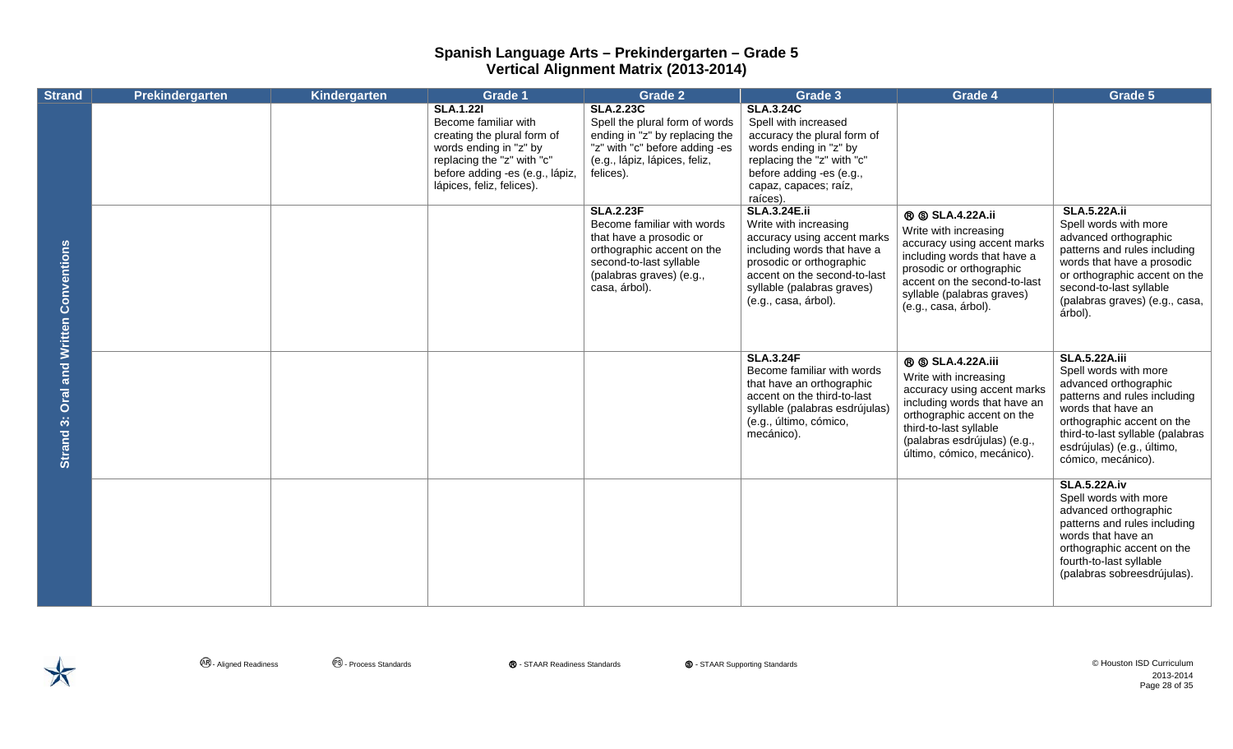| <b>Strand</b>                                    | Prekindergarten | Kindergarten | Grade 1                                                                                                                                                                                         | Grade 2                                                                                                                                                                         | Grade 3                                                                                                                                                                                                                      | Grade 4                                                                                                                                                                                                                              | Grade 5                                                                                                                                                                                                                                            |
|--------------------------------------------------|-----------------|--------------|-------------------------------------------------------------------------------------------------------------------------------------------------------------------------------------------------|---------------------------------------------------------------------------------------------------------------------------------------------------------------------------------|------------------------------------------------------------------------------------------------------------------------------------------------------------------------------------------------------------------------------|--------------------------------------------------------------------------------------------------------------------------------------------------------------------------------------------------------------------------------------|----------------------------------------------------------------------------------------------------------------------------------------------------------------------------------------------------------------------------------------------------|
|                                                  |                 |              | <b>SLA.1.221</b><br>Become familiar with<br>creating the plural form of<br>words ending in "z" by<br>replacing the "z" with "c"<br>before adding -es (e.g., lápiz,<br>lápices, feliz, felices). | <b>SLA.2.23C</b><br>Spell the plural form of words<br>ending in "z" by replacing the<br>"z" with "c" before adding -es<br>(e.g., lápiz, lápices, feliz,<br>felices).            | <b>SLA.3.24C</b><br>Spell with increased<br>accuracy the plural form of<br>words ending in "z" by<br>replacing the "z" with "c"<br>before adding -es (e.g.,<br>capaz, capaces; raíz,<br>raíces).                             |                                                                                                                                                                                                                                      |                                                                                                                                                                                                                                                    |
| <b>Oral and Written Conventions</b><br>Strand 3: |                 |              |                                                                                                                                                                                                 | <b>SLA.2.23F</b><br>Become familiar with words<br>that have a prosodic or<br>orthographic accent on the<br>second-to-last syllable<br>(palabras graves) (e.g.,<br>casa, árbol). | <b>SLA.3.24E.ii</b><br>Write with increasing<br>accuracy using accent marks<br>including words that have a<br>prosodic or orthographic<br>accent on the second-to-last<br>syllable (palabras graves)<br>(e.g., casa, árbol). | <b>® SLA.4.22A.ii</b><br>Write with increasing<br>accuracy using accent marks<br>including words that have a<br>prosodic or orthographic<br>accent on the second-to-last<br>syllable (palabras graves)<br>(e.g., casa, árbol).       | <b>SLA.5.22A.ii</b><br>Spell words with more<br>advanced orthographic<br>patterns and rules including<br>words that have a prosodic<br>or orthographic accent on the<br>second-to-last syllable<br>(palabras graves) (e.g., casa,<br>árbol).       |
|                                                  |                 |              |                                                                                                                                                                                                 |                                                                                                                                                                                 | <b>SLA.3.24F</b><br>Become familiar with words<br>that have an orthographic<br>accent on the third-to-last<br>syllable (palabras esdrújulas)<br>(e.g., último, cómico,<br>mecánico).                                         | <b>® SLA.4.22A.iii</b><br>Write with increasing<br>accuracy using accent marks<br>including words that have an<br>orthographic accent on the<br>third-to-last syllable<br>(palabras esdrújulas) (e.g.,<br>último, cómico, mecánico). | <b>SLA.5.22A.iii</b><br>Spell words with more<br>advanced orthographic<br>patterns and rules including<br>words that have an<br>orthographic accent on the<br>third-to-last syllable (palabras<br>esdrújulas) (e.g., último,<br>cómico, mecánico). |
|                                                  |                 |              |                                                                                                                                                                                                 |                                                                                                                                                                                 |                                                                                                                                                                                                                              |                                                                                                                                                                                                                                      | <b>SLA.5.22A.iv</b><br>Spell words with more<br>advanced orthographic<br>patterns and rules including<br>words that have an<br>orthographic accent on the<br>fourth-to-last syllable<br>(palabras sobreesdrújulas).                                |

 $\bigtimes$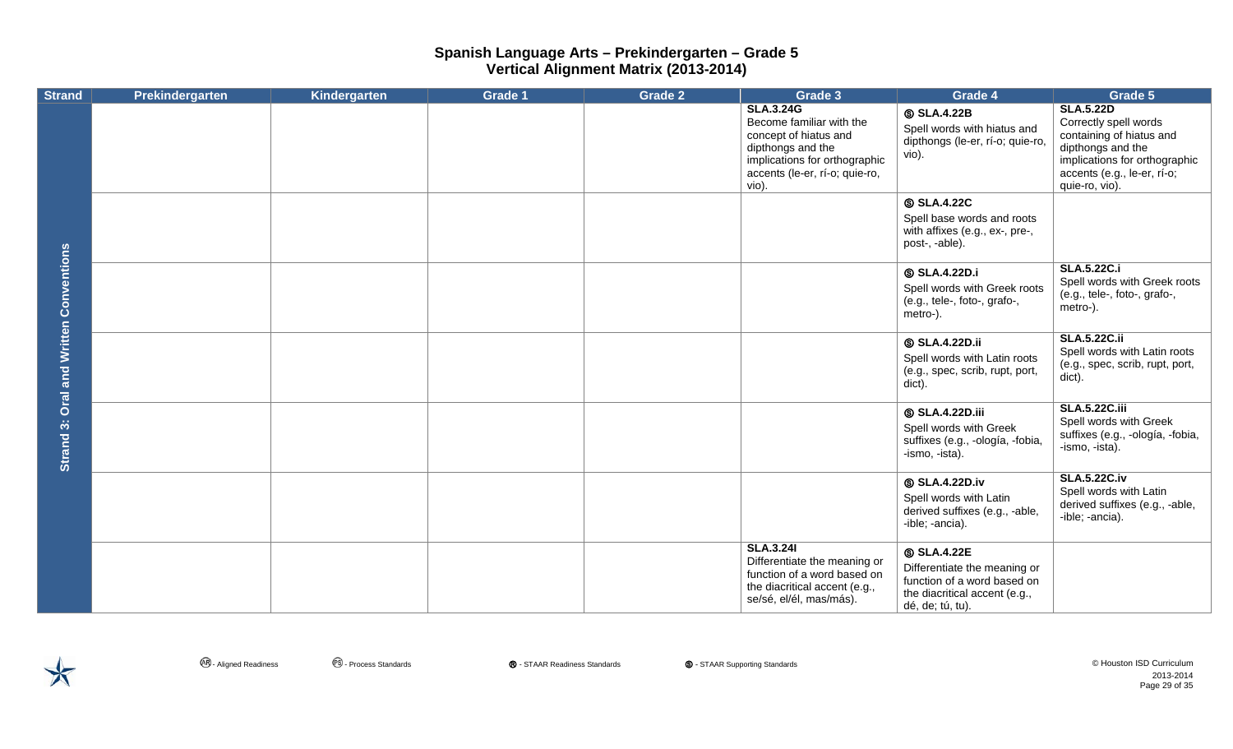| <b>Strand</b>                       | Prekindergarten | Kindergarten | <b>Grade 1</b> | <b>Grade 2</b> | Grade 3                                                                                                                                                                | Grade 4                                                                                                                              | Grade 5                                                                                                                                                                      |
|-------------------------------------|-----------------|--------------|----------------|----------------|------------------------------------------------------------------------------------------------------------------------------------------------------------------------|--------------------------------------------------------------------------------------------------------------------------------------|------------------------------------------------------------------------------------------------------------------------------------------------------------------------------|
|                                     |                 |              |                |                | <b>SLA.3.24G</b><br>Become familiar with the<br>concept of hiatus and<br>dipthongs and the<br>implications for orthographic<br>accents (le-er, rí-o; quie-ro,<br>vio). | <b>SLA.4.22B</b><br>Spell words with hiatus and<br>dipthongs (le-er, rí-o; quie-ro,<br>vio).                                         | <b>SLA.5.22D</b><br>Correctly spell words<br>containing of hiatus and<br>dipthongs and the<br>implications for orthographic<br>accents (e.g., le-er, rí-o;<br>quie-ro, vio). |
|                                     |                 |              |                |                |                                                                                                                                                                        | <b>SLA.4.22C</b><br>Spell base words and roots<br>with affixes (e.g., ex-, pre-,<br>post-, -able).                                   |                                                                                                                                                                              |
|                                     |                 |              |                |                |                                                                                                                                                                        | <b>SLA.4.22D.i</b><br>Spell words with Greek roots<br>(e.g., tele-, foto-, grafo-,<br>metro-).                                       | <b>SLA.5.22C.i</b><br>Spell words with Greek roots<br>(e.g., tele-, foto-, grafo-,<br>metro-).                                                                               |
| <b>Oral and Written Conventions</b> |                 |              |                |                |                                                                                                                                                                        | <b>SLA.4.22D.ii</b><br>Spell words with Latin roots<br>(e.g., spec, scrib, rupt, port,<br>dict).                                     | <b>SLA.5.22C.ii</b><br>Spell words with Latin roots<br>(e.g., spec, scrib, rupt, port,<br>dict).                                                                             |
| Strand 3:                           |                 |              |                |                |                                                                                                                                                                        | <b>SLA.4.22D.iii</b><br>Spell words with Greek<br>suffixes (e.g., -ología, -fobia,<br>-ismo, -ista).                                 | <b>SLA.5.22C.iii</b><br>Spell words with Greek<br>suffixes (e.g., -ología, -fobia,<br>-ismo, -ista).                                                                         |
|                                     |                 |              |                |                |                                                                                                                                                                        | <b>SLA.4.22D.iv</b><br>Spell words with Latin<br>derived suffixes (e.g., -able,<br>-ible; -ancia).                                   | <b>SLA.5.22C.iv</b><br>Spell words with Latin<br>derived suffixes (e.g., -able,<br>-ible; -ancia).                                                                           |
|                                     |                 |              |                |                | <b>SLA.3.241</b><br>Differentiate the meaning or<br>function of a word based on<br>the diacritical accent (e.g.,<br>se/sé, el/él, mas/más).                            | <b>SLA.4.22E</b><br>Differentiate the meaning or<br>function of a word based on<br>the diacritical accent (e.g.,<br>dé, de; tú, tu). |                                                                                                                                                                              |

 $\bigtimes$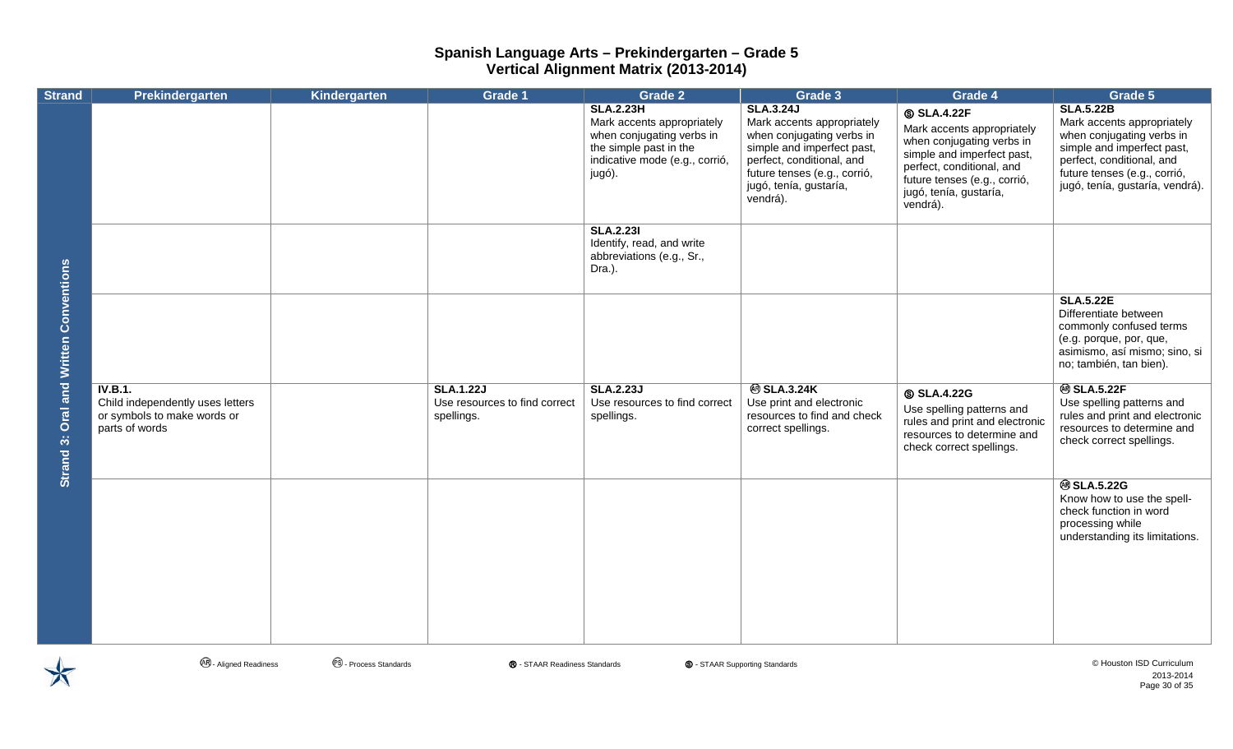| <b>Strand</b>                          | Prekindergarten                                                                              | Kindergarten | Grade 1                                                         | <b>Grade 2</b>                                                                                                                                    | Grade 3                                                                                                                                                                                                      | Grade 4                                                                                                                                                                                                      | Grade 5                                                                                                                                                                                                   |
|----------------------------------------|----------------------------------------------------------------------------------------------|--------------|-----------------------------------------------------------------|---------------------------------------------------------------------------------------------------------------------------------------------------|--------------------------------------------------------------------------------------------------------------------------------------------------------------------------------------------------------------|--------------------------------------------------------------------------------------------------------------------------------------------------------------------------------------------------------------|-----------------------------------------------------------------------------------------------------------------------------------------------------------------------------------------------------------|
|                                        |                                                                                              |              |                                                                 | <b>SLA.2.23H</b><br>Mark accents appropriately<br>when conjugating verbs in<br>the simple past in the<br>indicative mode (e.g., corrió,<br>jugó). | <b>SLA.3.24J</b><br>Mark accents appropriately<br>when conjugating verbs in<br>simple and imperfect past,<br>perfect, conditional, and<br>future tenses (e.g., corrió,<br>jugó, tenía, gustaría,<br>vendrá). | <b>SLA.4.22F</b><br>Mark accents appropriately<br>when conjugating verbs in<br>simple and imperfect past,<br>perfect, conditional, and<br>future tenses (e.g., corrió,<br>jugó, tenía, gustaría,<br>vendrá). | <b>SLA.5.22B</b><br>Mark accents appropriately<br>when conjugating verbs in<br>simple and imperfect past,<br>perfect, conditional, and<br>future tenses (e.g., corrió,<br>jugó, tenía, gustaría, vendrá). |
|                                        |                                                                                              |              |                                                                 | <b>SLA.2.231</b><br>Identify, read, and write<br>abbreviations (e.g., Sr.,<br>Dra.).                                                              |                                                                                                                                                                                                              |                                                                                                                                                                                                              |                                                                                                                                                                                                           |
|                                        |                                                                                              |              |                                                                 |                                                                                                                                                   |                                                                                                                                                                                                              |                                                                                                                                                                                                              | <b>SLA.5.22E</b><br>Differentiate between<br>commonly confused terms<br>(e.g. porque, por, que,<br>asimismo, así mismo; sino, si<br>no; también, tan bien).                                               |
| Strand 3: Oral and Written Conventions | IV.B.1.<br>Child independently uses letters<br>or symbols to make words or<br>parts of words |              | <b>SLA.1.22J</b><br>Use resources to find correct<br>spellings. | <b>SLA.2.23J</b><br>Use resources to find correct<br>spellings.                                                                                   | <b>@SLA.3.24K</b><br>Use print and electronic<br>resources to find and check<br>correct spellings.                                                                                                           | <b>SLA.4.22G</b><br>Use spelling patterns and<br>rules and print and electronic<br>resources to determine and<br>check correct spellings.                                                                    | <b>@SLA.5.22F</b><br>Use spelling patterns and<br>rules and print and electronic<br>resources to determine and<br>check correct spellings.                                                                |
|                                        |                                                                                              |              |                                                                 |                                                                                                                                                   |                                                                                                                                                                                                              |                                                                                                                                                                                                              | <b>@SLA.5.22G</b><br>Know how to use the spell-<br>check function in word<br>processing while<br>understanding its limitations.                                                                           |
|                                        |                                                                                              |              |                                                                 |                                                                                                                                                   |                                                                                                                                                                                                              |                                                                                                                                                                                                              |                                                                                                                                                                                                           |



**⊕** - Aligned Readiness **●** Process Standards **◎** - STAAR Readiness Standards ● ● STAAR Supporting Standards ● △ Process Standards ● △ Process Standards ● △ Process Standards ● △ Process Standards ● △ Process Standards ●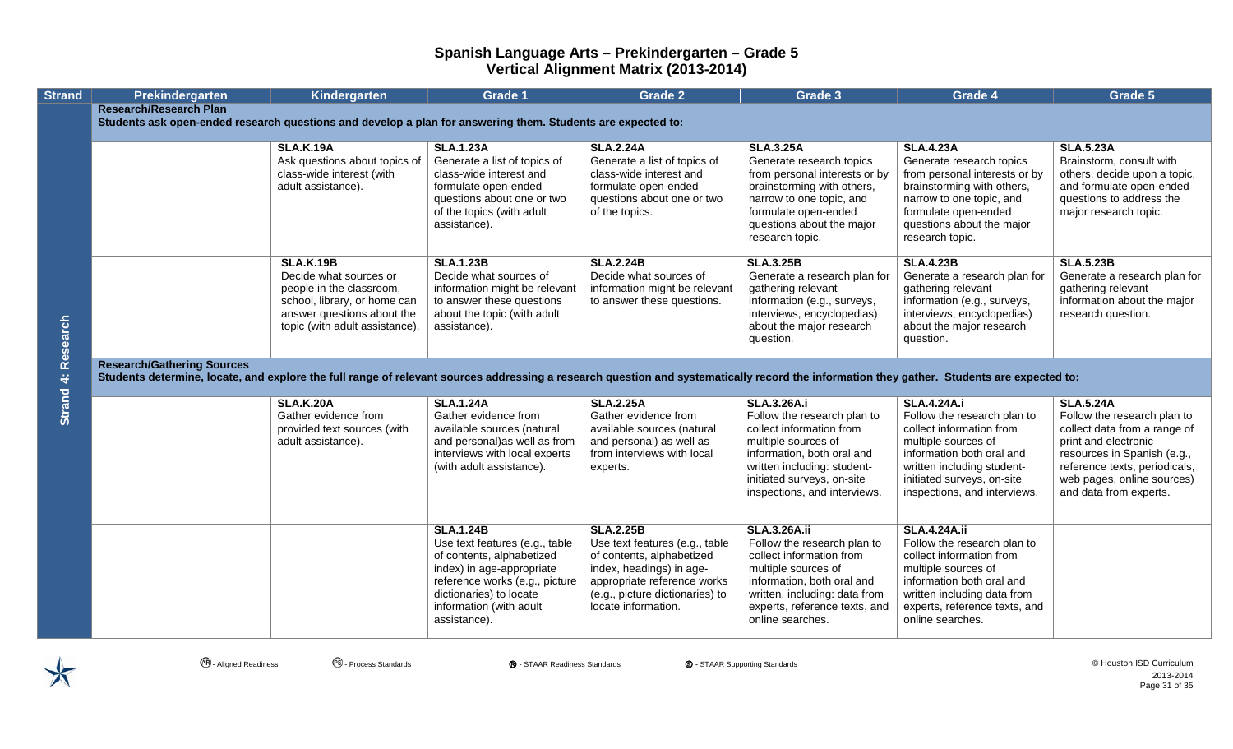| <b>Strand</b>             | Prekindergarten                                                                                                                                                                                                                 | Kindergarten                                                 | <b>Grade 1</b>                                         | <b>Grade 2</b>                                         | Grade 3                                                        | Grade 4                                                      | Grade 5                                                     |
|---------------------------|---------------------------------------------------------------------------------------------------------------------------------------------------------------------------------------------------------------------------------|--------------------------------------------------------------|--------------------------------------------------------|--------------------------------------------------------|----------------------------------------------------------------|--------------------------------------------------------------|-------------------------------------------------------------|
|                           | <b>Research/Research Plan</b>                                                                                                                                                                                                   |                                                              |                                                        |                                                        |                                                                |                                                              |                                                             |
|                           | Students ask open-ended research questions and develop a plan for answering them. Students are expected to:                                                                                                                     |                                                              |                                                        |                                                        |                                                                |                                                              |                                                             |
|                           |                                                                                                                                                                                                                                 | <b>SLA.K.19A</b>                                             | <b>SLA.1.23A</b>                                       | <b>SLA.2.24A</b>                                       | <b>SLA.3.25A</b>                                               | <b>SLA.4.23A</b>                                             | <b>SLA.5.23A</b>                                            |
|                           |                                                                                                                                                                                                                                 | Ask questions about topics of                                | Generate a list of topics of                           | Generate a list of topics of                           | Generate research topics                                       | Generate research topics                                     | Brainstorm, consult with                                    |
|                           |                                                                                                                                                                                                                                 | class-wide interest (with<br>adult assistance).              | class-wide interest and<br>formulate open-ended        | class-wide interest and<br>formulate open-ended        | from personal interests or by<br>brainstorming with others,    | from personal interests or by<br>brainstorming with others,  | others, decide upon a topic,<br>and formulate open-ended    |
|                           |                                                                                                                                                                                                                                 |                                                              | questions about one or two                             | questions about one or two                             | narrow to one topic, and                                       | narrow to one topic, and                                     | questions to address the                                    |
|                           |                                                                                                                                                                                                                                 |                                                              | of the topics (with adult                              | of the topics.                                         | formulate open-ended                                           | formulate open-ended                                         | major research topic.                                       |
|                           |                                                                                                                                                                                                                                 |                                                              | assistance).                                           |                                                        | questions about the major<br>research topic.                   | questions about the major<br>research topic.                 |                                                             |
|                           |                                                                                                                                                                                                                                 |                                                              |                                                        |                                                        |                                                                |                                                              |                                                             |
|                           |                                                                                                                                                                                                                                 | <b>SLA.K.19B</b><br>Decide what sources or                   | <b>SLA.1.23B</b><br>Decide what sources of             | <b>SLA.2.24B</b><br>Decide what sources of             | <b>SLA.3.25B</b><br>Generate a research plan for               | <b>SLA.4.23B</b><br>Generate a research plan for             | <b>SLA.5.23B</b>                                            |
|                           |                                                                                                                                                                                                                                 | people in the classroom,                                     | information might be relevant                          | information might be relevant                          | gathering relevant                                             | gathering relevant                                           | Generate a research plan for<br>gathering relevant          |
|                           |                                                                                                                                                                                                                                 | school, library, or home can                                 | to answer these questions                              | to answer these questions.                             | information (e.g., surveys,                                    | information (e.g., surveys,                                  | information about the major                                 |
|                           |                                                                                                                                                                                                                                 | answer questions about the<br>topic (with adult assistance). | about the topic (with adult<br>assistance).            |                                                        | interviews, encyclopedias)<br>about the major research         | interviews, encyclopedias)<br>about the major research       | research question.                                          |
| <b>Strand 4: Research</b> |                                                                                                                                                                                                                                 |                                                              |                                                        |                                                        | question.                                                      | question.                                                    |                                                             |
|                           |                                                                                                                                                                                                                                 |                                                              |                                                        |                                                        |                                                                |                                                              |                                                             |
|                           | <b>Research/Gathering Sources</b><br>Students determine, locate, and explore the full range of relevant sources addressing a research question and systematically record the information they gather. Students are expected to: |                                                              |                                                        |                                                        |                                                                |                                                              |                                                             |
|                           |                                                                                                                                                                                                                                 |                                                              |                                                        |                                                        |                                                                |                                                              |                                                             |
|                           |                                                                                                                                                                                                                                 | <b>SLA.K.20A</b>                                             | <b>SLA.1.24A</b>                                       | <b>SLA.2.25A</b>                                       | <b>SLA.3.26A.i</b>                                             | <b>SLA.4.24A.i</b>                                           | <b>SLA.5.24A</b>                                            |
|                           |                                                                                                                                                                                                                                 | Gather evidence from<br>provided text sources (with          | Gather evidence from<br>available sources (natural     | Gather evidence from<br>available sources (natural     | Follow the research plan to<br>collect information from        | Follow the research plan to<br>collect information from      | Follow the research plan to<br>collect data from a range of |
|                           |                                                                                                                                                                                                                                 | adult assistance).                                           | and personal)as well as from                           | and personal) as well as                               | multiple sources of                                            | multiple sources of                                          | print and electronic                                        |
|                           |                                                                                                                                                                                                                                 |                                                              | interviews with local experts                          | from interviews with local                             | information, both oral and                                     | information both oral and                                    | resources in Spanish (e.g.,                                 |
|                           |                                                                                                                                                                                                                                 |                                                              | (with adult assistance).                               | experts.                                               | written including: student-<br>initiated surveys, on-site      | written including student-<br>initiated surveys, on-site     | reference texts, periodicals,<br>web pages, online sources) |
|                           |                                                                                                                                                                                                                                 |                                                              |                                                        |                                                        | inspections, and interviews.                                   | inspections, and interviews.                                 | and data from experts.                                      |
|                           |                                                                                                                                                                                                                                 |                                                              |                                                        |                                                        |                                                                |                                                              |                                                             |
|                           |                                                                                                                                                                                                                                 |                                                              | <b>SLA.1.24B</b>                                       | <b>SLA.2.25B</b>                                       | <b>SLA.3.26A.ii</b>                                            | <b>SLA.4.24A.ii</b>                                          |                                                             |
|                           |                                                                                                                                                                                                                                 |                                                              | Use text features (e.g., table                         | Use text features (e.g., table                         | Follow the research plan to<br>collect information from        | Follow the research plan to<br>collect information from      |                                                             |
|                           |                                                                                                                                                                                                                                 |                                                              | of contents, alphabetized<br>index) in age-appropriate | of contents, alphabetized<br>index, headings) in age-  | multiple sources of                                            | multiple sources of                                          |                                                             |
|                           |                                                                                                                                                                                                                                 |                                                              | reference works (e.g., picture                         | appropriate reference works                            | information, both oral and                                     | information both oral and                                    |                                                             |
|                           |                                                                                                                                                                                                                                 |                                                              | dictionaries) to locate<br>information (with adult     | (e.g., picture dictionaries) to<br>locate information. | written, including: data from<br>experts, reference texts, and | written including data from<br>experts, reference texts, and |                                                             |
|                           |                                                                                                                                                                                                                                 |                                                              | assistance).                                           |                                                        | online searches.                                               | online searches.                                             |                                                             |
|                           |                                                                                                                                                                                                                                 |                                                              |                                                        |                                                        |                                                                |                                                              |                                                             |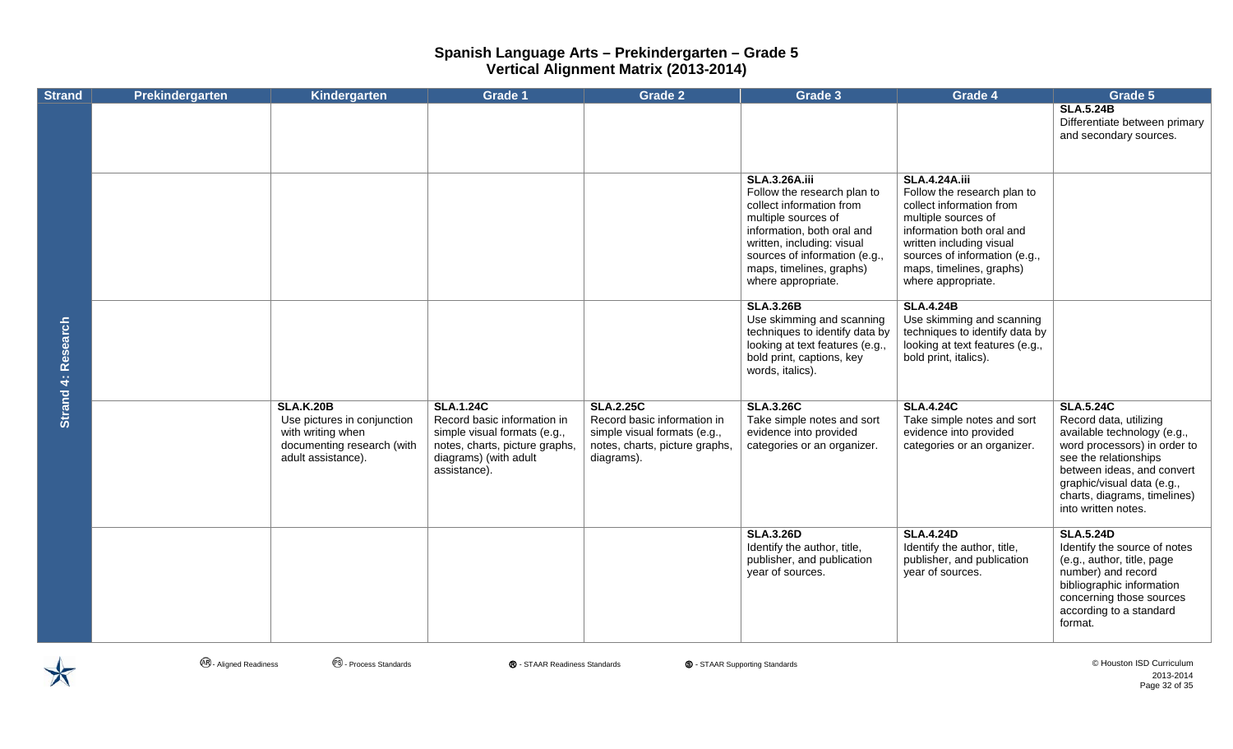| <b>Strand</b> | Prekindergarten | Kindergarten                                                                                                             | <b>Grade 1</b>                                                                                                                                             | <b>Grade 2</b>                                                                                                                  | Grade 3                                                                                                                                                                                                                                               | Grade 4                                                                                                                                                                                                                                            | Grade 5                                                                                                                                                                                                                                               |
|---------------|-----------------|--------------------------------------------------------------------------------------------------------------------------|------------------------------------------------------------------------------------------------------------------------------------------------------------|---------------------------------------------------------------------------------------------------------------------------------|-------------------------------------------------------------------------------------------------------------------------------------------------------------------------------------------------------------------------------------------------------|----------------------------------------------------------------------------------------------------------------------------------------------------------------------------------------------------------------------------------------------------|-------------------------------------------------------------------------------------------------------------------------------------------------------------------------------------------------------------------------------------------------------|
|               |                 |                                                                                                                          |                                                                                                                                                            |                                                                                                                                 |                                                                                                                                                                                                                                                       |                                                                                                                                                                                                                                                    | <b>SLA.5.24B</b><br>Differentiate between primary<br>and secondary sources.                                                                                                                                                                           |
|               |                 |                                                                                                                          |                                                                                                                                                            |                                                                                                                                 | <b>SLA.3.26A.iii</b><br>Follow the research plan to<br>collect information from<br>multiple sources of<br>information, both oral and<br>written, including: visual<br>sources of information (e.g.,<br>maps, timelines, graphs)<br>where appropriate. | <b>SLA.4.24A.iii</b><br>Follow the research plan to<br>collect information from<br>multiple sources of<br>information both oral and<br>written including visual<br>sources of information (e.g.,<br>maps, timelines, graphs)<br>where appropriate. |                                                                                                                                                                                                                                                       |
| Research      |                 |                                                                                                                          |                                                                                                                                                            |                                                                                                                                 | <b>SLA.3.26B</b><br>Use skimming and scanning<br>techniques to identify data by<br>looking at text features (e.g.,<br>bold print, captions, key<br>words, italics).                                                                                   | <b>SLA.4.24B</b><br>Use skimming and scanning<br>techniques to identify data by<br>looking at text features (e.g.,<br>bold print, italics).                                                                                                        |                                                                                                                                                                                                                                                       |
| Strand 4:     |                 | <b>SLA.K.20B</b><br>Use pictures in conjunction<br>with writing when<br>documenting research (with<br>adult assistance). | <b>SLA.1.24C</b><br>Record basic information in<br>simple visual formats (e.g.,<br>notes, charts, picture graphs,<br>diagrams) (with adult<br>assistance). | <b>SLA.2.25C</b><br>Record basic information in<br>simple visual formats (e.g.,<br>notes, charts, picture graphs,<br>diagrams). | <b>SLA.3.26C</b><br>Take simple notes and sort<br>evidence into provided<br>categories or an organizer.                                                                                                                                               | <b>SLA.4.24C</b><br>Take simple notes and sort<br>evidence into provided<br>categories or an organizer.                                                                                                                                            | <b>SLA.5.24C</b><br>Record data, utilizing<br>available technology (e.g.,<br>word processors) in order to<br>see the relationships<br>between ideas, and convert<br>graphic/visual data (e.g.,<br>charts, diagrams, timelines)<br>into written notes. |
|               |                 |                                                                                                                          |                                                                                                                                                            |                                                                                                                                 | <b>SLA.3.26D</b><br>Identify the author, title,<br>publisher, and publication<br>year of sources.                                                                                                                                                     | <b>SLA.4.24D</b><br>Identify the author, title,<br>publisher, and publication<br>year of sources.                                                                                                                                                  | <b>SLA.5.24D</b><br>Identify the source of notes<br>(e.g., author, title, page<br>number) and record<br>bibliographic information<br>concerning those sources<br>according to a standard<br>format.                                                   |

 $\bigstar$ 

**<sup>④</sup> - Aligned Readiness** ● ● Process Standards ● ● STAAR Readiness Standards ● ● STAAR Supporting Standards ● ● Process Standards ● ● STAAR Readiness Standards ● ● STAAR Supporting Standards → ● Process Standards ● ● Pr 2013-2014 Page 32 of 35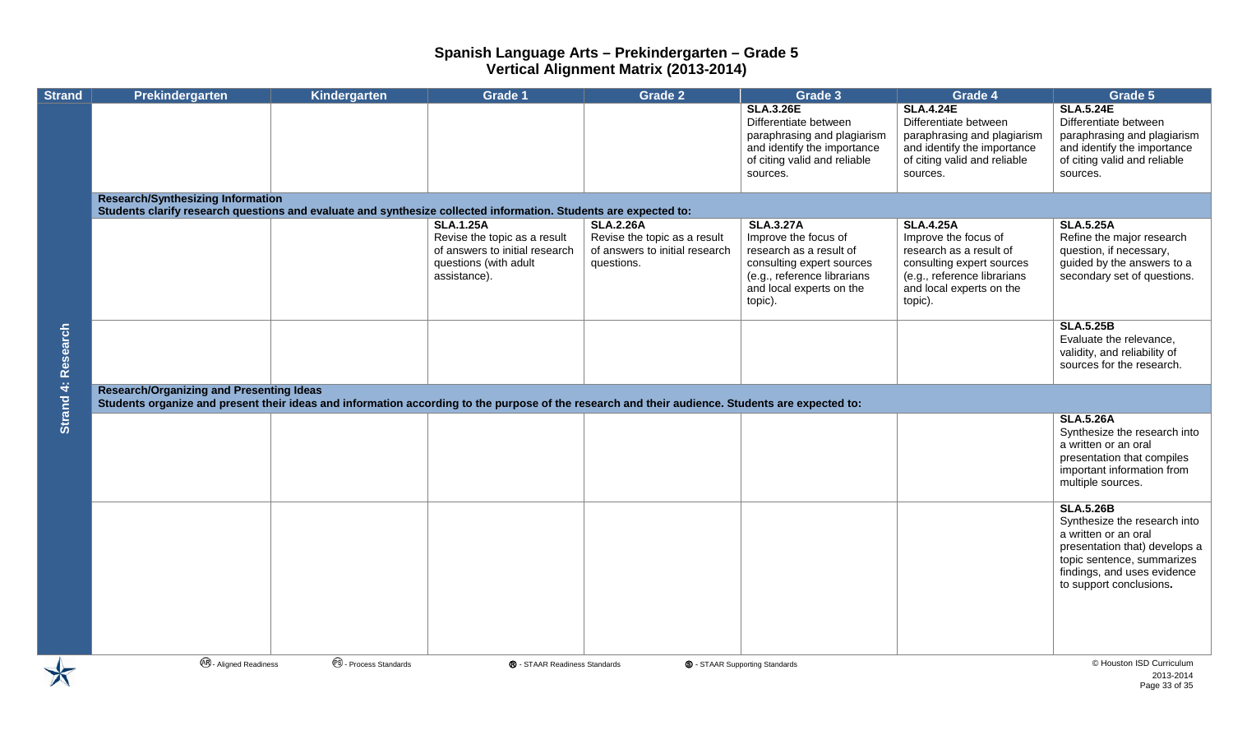| <b>Strand</b>      | Prekindergarten                                                                                                                                                                                     | Kindergarten                     | <b>Grade 1</b>                                                                                                              | <b>Grade 2</b>                                                                                   | Grade 3                                                                                                                                                                | Grade 4                                                                                                                                                                | Grade 5                                                                                                                                                                                           |
|--------------------|-----------------------------------------------------------------------------------------------------------------------------------------------------------------------------------------------------|----------------------------------|-----------------------------------------------------------------------------------------------------------------------------|--------------------------------------------------------------------------------------------------|------------------------------------------------------------------------------------------------------------------------------------------------------------------------|------------------------------------------------------------------------------------------------------------------------------------------------------------------------|---------------------------------------------------------------------------------------------------------------------------------------------------------------------------------------------------|
|                    |                                                                                                                                                                                                     |                                  |                                                                                                                             |                                                                                                  | <b>SLA.3.26E</b><br>Differentiate between<br>paraphrasing and plagiarism<br>and identify the importance<br>of citing valid and reliable<br>sources.                    | <b>SLA.4.24E</b><br>Differentiate between<br>paraphrasing and plagiarism<br>and identify the importance<br>of citing valid and reliable<br>sources.                    | <b>SLA.5.24E</b><br>Differentiate between<br>paraphrasing and plagiarism<br>and identify the importance<br>of citing valid and reliable<br>sources.                                               |
|                    | <b>Research/Synthesizing Information</b><br>Students clarify research questions and evaluate and synthesize collected information. Students are expected to:                                        |                                  |                                                                                                                             |                                                                                                  |                                                                                                                                                                        |                                                                                                                                                                        |                                                                                                                                                                                                   |
|                    |                                                                                                                                                                                                     |                                  | <b>SLA.1.25A</b><br>Revise the topic as a result<br>of answers to initial research<br>questions (with adult<br>assistance). | <b>SLA.2.26A</b><br>Revise the topic as a result<br>of answers to initial research<br>questions. | <b>SLA.3.27A</b><br>Improve the focus of<br>research as a result of<br>consulting expert sources<br>(e.g., reference librarians<br>and local experts on the<br>topic). | <b>SLA.4.25A</b><br>Improve the focus of<br>research as a result of<br>consulting expert sources<br>(e.g., reference librarians<br>and local experts on the<br>topic). | <b>SLA.5.25A</b><br>Refine the major research<br>question, if necessary,<br>guided by the answers to a<br>secondary set of questions.                                                             |
| Strand 4: Research |                                                                                                                                                                                                     |                                  |                                                                                                                             |                                                                                                  |                                                                                                                                                                        |                                                                                                                                                                        | <b>SLA.5.25B</b><br>Evaluate the relevance,<br>validity, and reliability of<br>sources for the research.                                                                                          |
|                    | <b>Research/Organizing and Presenting Ideas</b><br>Students organize and present their ideas and information according to the purpose of the research and their audience. Students are expected to: |                                  |                                                                                                                             |                                                                                                  |                                                                                                                                                                        |                                                                                                                                                                        |                                                                                                                                                                                                   |
|                    |                                                                                                                                                                                                     |                                  |                                                                                                                             |                                                                                                  |                                                                                                                                                                        |                                                                                                                                                                        | <b>SLA.5.26A</b><br>Synthesize the research into<br>a written or an oral<br>presentation that compiles<br>important information from<br>multiple sources.                                         |
|                    |                                                                                                                                                                                                     |                                  |                                                                                                                             |                                                                                                  |                                                                                                                                                                        |                                                                                                                                                                        | <b>SLA.5.26B</b><br>Synthesize the research into<br>a written or an oral<br>presentation that) develops a<br>topic sentence, summarizes<br>findings, and uses evidence<br>to support conclusions. |
|                    | <b>AB</b> - Aligned Readiness                                                                                                                                                                       | <sup>®</sup> - Process Standards | ® - STAAR Readiness Standards                                                                                               |                                                                                                  | <b>S</b> - STAAR Supporting Standards                                                                                                                                  |                                                                                                                                                                        | © Houston ISD Curriculum<br>2013-2014<br>Page 33 of 35                                                                                                                                            |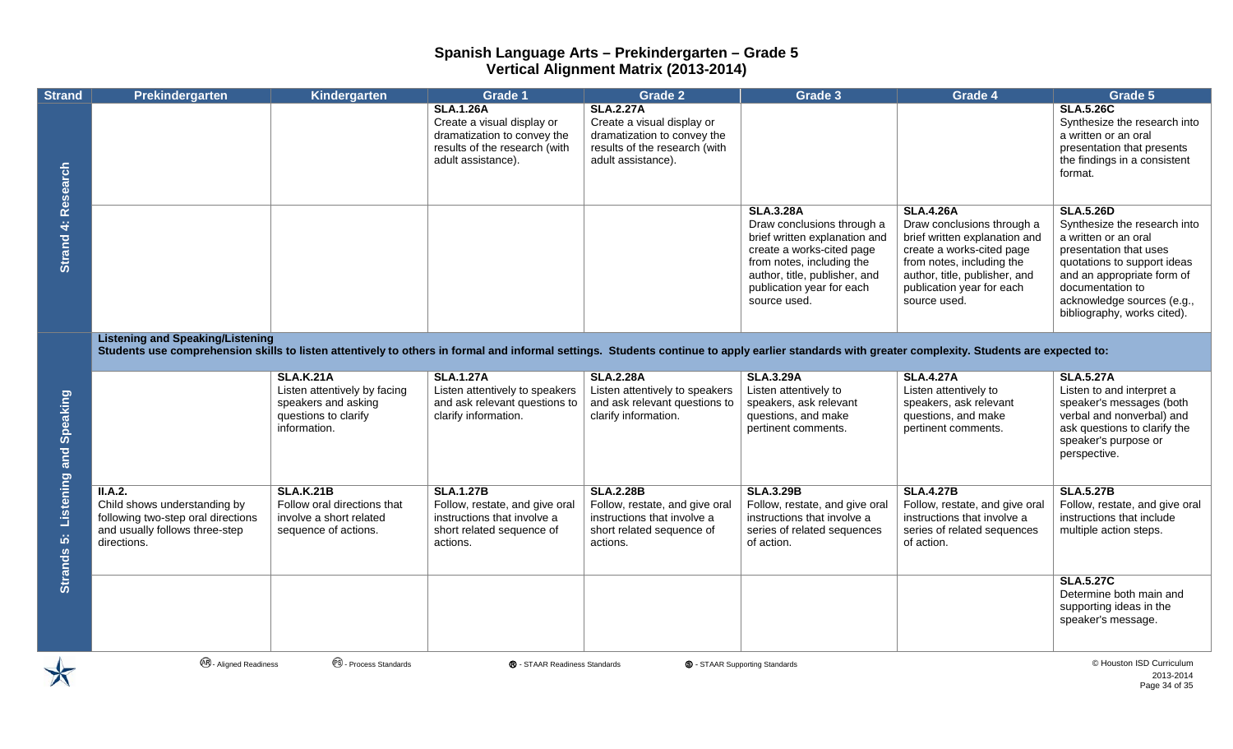| <b>Strand</b>                  | Prekindergarten                                                                                                                                                                                                                               | Kindergarten                                                                                                    | <b>Grade 1</b>                                                                                                                       | <b>Grade 2</b>                                                                                                                       | Grade 3                                                                                                                                                                                                                 | Grade 4                                                                                                                                                                                                                 | Grade 5                                                                                                                                                                                                                                          |
|--------------------------------|-----------------------------------------------------------------------------------------------------------------------------------------------------------------------------------------------------------------------------------------------|-----------------------------------------------------------------------------------------------------------------|--------------------------------------------------------------------------------------------------------------------------------------|--------------------------------------------------------------------------------------------------------------------------------------|-------------------------------------------------------------------------------------------------------------------------------------------------------------------------------------------------------------------------|-------------------------------------------------------------------------------------------------------------------------------------------------------------------------------------------------------------------------|--------------------------------------------------------------------------------------------------------------------------------------------------------------------------------------------------------------------------------------------------|
| Research                       |                                                                                                                                                                                                                                               |                                                                                                                 | <b>SLA.1.26A</b><br>Create a visual display or<br>dramatization to convey the<br>results of the research (with<br>adult assistance). | <b>SLA.2.27A</b><br>Create a visual display or<br>dramatization to convey the<br>results of the research (with<br>adult assistance). |                                                                                                                                                                                                                         |                                                                                                                                                                                                                         | <b>SLA.5.26C</b><br>Synthesize the research into<br>a written or an oral<br>presentation that presents<br>the findings in a consistent<br>format.                                                                                                |
| Strand 4:                      |                                                                                                                                                                                                                                               |                                                                                                                 |                                                                                                                                      |                                                                                                                                      | <b>SLA.3.28A</b><br>Draw conclusions through a<br>brief written explanation and<br>create a works-cited page<br>from notes, including the<br>author, title, publisher, and<br>publication year for each<br>source used. | <b>SLA.4.26A</b><br>Draw conclusions through a<br>brief written explanation and<br>create a works-cited page<br>from notes, including the<br>author, title, publisher, and<br>publication year for each<br>source used. | <b>SLA.5.26D</b><br>Synthesize the research into<br>a written or an oral<br>presentation that uses<br>quotations to support ideas<br>and an appropriate form of<br>documentation to<br>acknowledge sources (e.g.,<br>bibliography, works cited). |
|                                | <b>Listening and Speaking/Listening</b><br>Students use comprehension skills to listen attentively to others in formal and informal settings. Students continue to apply earlier standards with greater complexity. Students are expected to: |                                                                                                                 |                                                                                                                                      |                                                                                                                                      |                                                                                                                                                                                                                         |                                                                                                                                                                                                                         |                                                                                                                                                                                                                                                  |
| Listening and Speaking         |                                                                                                                                                                                                                                               | <b>SLA.K.21A</b><br>Listen attentively by facing<br>speakers and asking<br>questions to clarify<br>information. | <b>SLA.1.27A</b><br>Listen attentively to speakers<br>and ask relevant questions to<br>clarify information.                          | <b>SLA.2.28A</b><br>Listen attentively to speakers<br>and ask relevant questions to<br>clarify information.                          | <b>SLA.3.29A</b><br>Listen attentively to<br>speakers, ask relevant<br>questions, and make<br>pertinent comments.                                                                                                       | <b>SLA.4.27A</b><br>Listen attentively to<br>speakers, ask relevant<br>questions, and make<br>pertinent comments.                                                                                                       | <b>SLA.5.27A</b><br>Listen to and interpret a<br>speaker's messages (both<br>verbal and nonverbal) and<br>ask questions to clarify the<br>speaker's purpose or<br>perspective.                                                                   |
| $\ddot{\mathbf{S}}$<br>Strands | II.A.2.<br>Child shows understanding by<br>following two-step oral directions<br>and usually follows three-step<br>directions.                                                                                                                | <b>SLA.K.21B</b><br>Follow oral directions that<br>involve a short related<br>sequence of actions.              | <b>SLA.1.27B</b><br>Follow, restate, and give oral<br>instructions that involve a<br>short related sequence of<br>actions.           | <b>SLA.2.28B</b><br>Follow, restate, and give oral<br>instructions that involve a<br>short related sequence of<br>actions.           | <b>SLA.3.29B</b><br>Follow, restate, and give oral<br>instructions that involve a<br>series of related sequences<br>of action.                                                                                          | <b>SLA.4.27B</b><br>Follow, restate, and give oral<br>instructions that involve a<br>series of related sequences<br>of action.                                                                                          | <b>SLA.5.27B</b><br>Follow, restate, and give oral<br>instructions that include<br>multiple action steps.                                                                                                                                        |
|                                |                                                                                                                                                                                                                                               |                                                                                                                 |                                                                                                                                      |                                                                                                                                      |                                                                                                                                                                                                                         |                                                                                                                                                                                                                         | <b>SLA.5.27C</b><br>Determine both main and<br>supporting ideas in the<br>speaker's message.                                                                                                                                                     |
|                                | <b>48</b> - Aligned Readiness                                                                                                                                                                                                                 | <sup>®</sup> - Process Standards                                                                                | ® - STAAR Readiness Standards                                                                                                        |                                                                                                                                      | <b>S</b> - STAAR Supporting Standards                                                                                                                                                                                   |                                                                                                                                                                                                                         | © Houston ISD Curriculum                                                                                                                                                                                                                         |